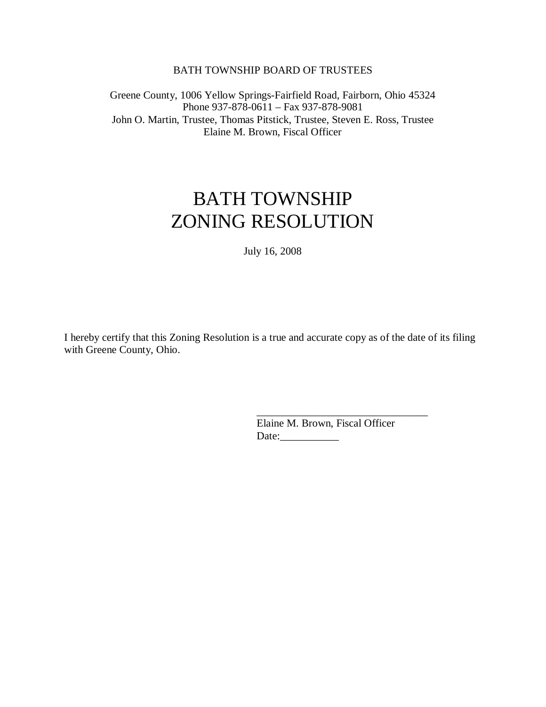#### BATH TOWNSHIP BOARD OF TRUSTEES

Greene County, 1006 Yellow Springs-Fairfield Road, Fairborn, Ohio 45324 Phone 937-878-0611 – Fax 937-878-9081 John O. Martin, Trustee, Thomas Pitstick, Trustee, Steven E. Ross, Trustee Elaine M. Brown, Fiscal Officer

# BATH TOWNSHIP ZONING RESOLUTION

July 16, 2008

I hereby certify that this Zoning Resolution is a true and accurate copy as of the date of its filing with Greene County, Ohio.

> Elaine M. Brown, Fiscal Officer Date:\_\_\_\_\_\_\_\_\_\_\_

\_\_\_\_\_\_\_\_\_\_\_\_\_\_\_\_\_\_\_\_\_\_\_\_\_\_\_\_\_\_\_\_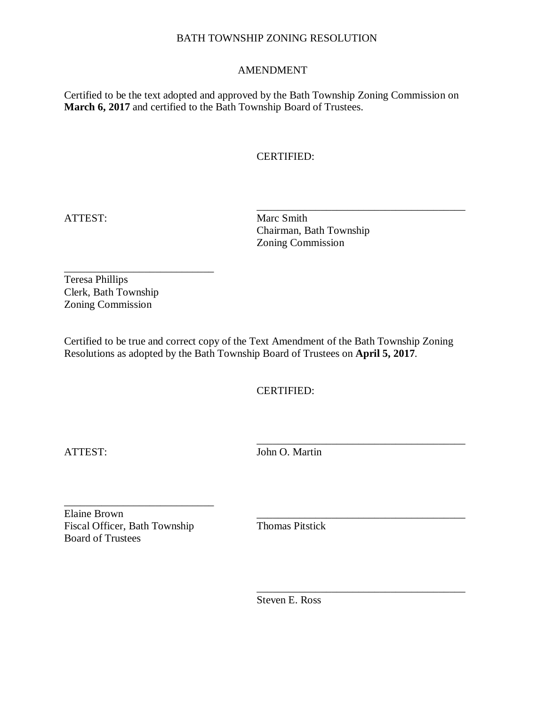#### AMENDMENT

Certified to be the text adopted and approved by the Bath Township Zoning Commission on **March 6, 2017** and certified to the Bath Township Board of Trustees.

## CERTIFIED:

\_\_\_\_\_\_\_\_\_\_\_\_\_\_\_\_\_\_\_\_\_\_\_\_\_\_\_\_\_\_\_\_\_\_\_\_\_\_\_ ATTEST: Marc Smith Chairman, Bath Township Zoning Commission

\_\_\_\_\_\_\_\_\_\_\_\_\_\_\_\_\_\_\_\_\_\_\_\_\_\_\_\_ Teresa Phillips Clerk, Bath Township Zoning Commission

Certified to be true and correct copy of the Text Amendment of the Bath Township Zoning Resolutions as adopted by the Bath Township Board of Trustees on **April 5, 2017**.

CERTIFIED:

\_\_\_\_\_\_\_\_\_\_\_\_\_\_\_\_\_\_\_\_\_\_\_\_\_\_\_\_\_\_\_\_\_\_\_\_\_\_\_ ATTEST: John O. Martin

Elaine Brown<br>
Fiscal Officer. Bath Township<br>
Thomas Pitstick Fiscal Officer, Bath Township Board of Trustees

\_\_\_\_\_\_\_\_\_\_\_\_\_\_\_\_\_\_\_\_\_\_\_\_\_\_\_\_

Steven E. Ross

\_\_\_\_\_\_\_\_\_\_\_\_\_\_\_\_\_\_\_\_\_\_\_\_\_\_\_\_\_\_\_\_\_\_\_\_\_\_\_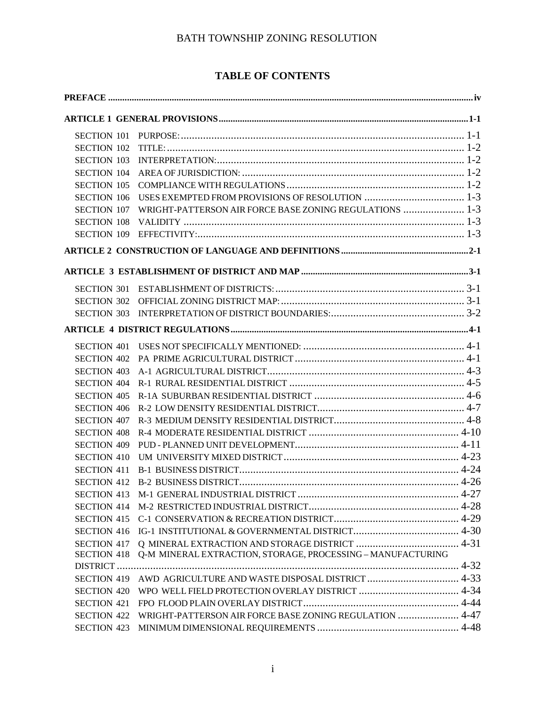# **TABLE OF CONTENTS**

| <b>SECTION 103</b> |                                                                     |  |
|--------------------|---------------------------------------------------------------------|--|
| <b>SECTION 104</b> |                                                                     |  |
| <b>SECTION 105</b> |                                                                     |  |
| <b>SECTION 106</b> |                                                                     |  |
|                    | SECTION 107 WRIGHT-PATTERSON AIR FORCE BASE ZONING REGULATIONS  1-3 |  |
|                    |                                                                     |  |
|                    |                                                                     |  |
|                    |                                                                     |  |
|                    |                                                                     |  |
|                    |                                                                     |  |
|                    |                                                                     |  |
|                    |                                                                     |  |
|                    |                                                                     |  |
| <b>SECTION 401</b> |                                                                     |  |
|                    |                                                                     |  |
| <b>SECTION 403</b> |                                                                     |  |
| <b>SECTION 404</b> |                                                                     |  |
| <b>SECTION 405</b> |                                                                     |  |
| <b>SECTION 406</b> |                                                                     |  |
| <b>SECTION 407</b> |                                                                     |  |
| <b>SECTION 408</b> |                                                                     |  |
| <b>SECTION 409</b> |                                                                     |  |
| <b>SECTION 410</b> |                                                                     |  |
| <b>SECTION 411</b> |                                                                     |  |
|                    |                                                                     |  |
|                    |                                                                     |  |
| <b>SECTION 414</b> |                                                                     |  |
| <b>SECTION 415</b> |                                                                     |  |
|                    |                                                                     |  |
|                    |                                                                     |  |
| <b>SECTION 418</b> | Q-M MINERAL EXTRACTION, STORAGE, PROCESSING - MANUFACTURING         |  |
| DISTRICT           |                                                                     |  |
| <b>SECTION 419</b> |                                                                     |  |
| <b>SECTION 420</b> |                                                                     |  |
| <b>SECTION 421</b> |                                                                     |  |
| <b>SECTION 422</b> | WRIGHT-PATTERSON AIR FORCE BASE ZONING REGULATION  4-47             |  |
| <b>SECTION 423</b> |                                                                     |  |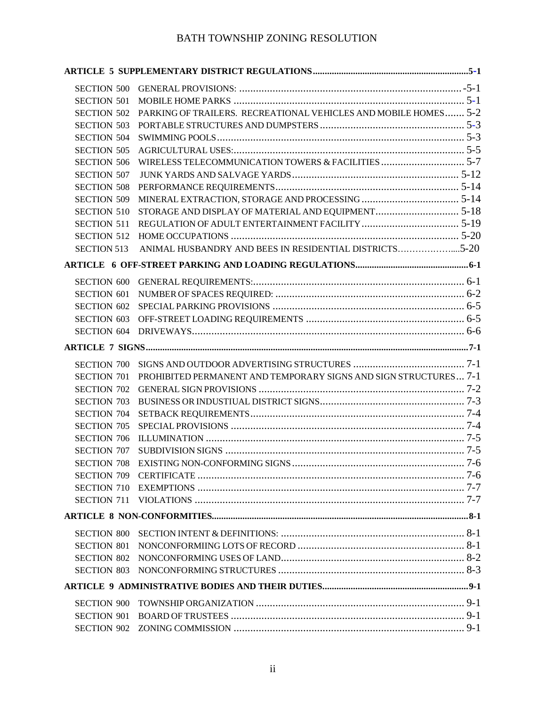| <b>SECTION 501</b> |                                                                  |  |
|--------------------|------------------------------------------------------------------|--|
| <b>SECTION 502</b> | PARKING OF TRAILERS. RECREATIONAL VEHICLES AND MOBILE HOMES 5-2  |  |
| <b>SECTION 503</b> |                                                                  |  |
| <b>SECTION 504</b> |                                                                  |  |
| <b>SECTION 505</b> |                                                                  |  |
| <b>SECTION 506</b> |                                                                  |  |
| <b>SECTION 507</b> |                                                                  |  |
| <b>SECTION 508</b> |                                                                  |  |
| <b>SECTION 509</b> |                                                                  |  |
| <b>SECTION 510</b> |                                                                  |  |
| <b>SECTION 511</b> |                                                                  |  |
| <b>SECTION 512</b> |                                                                  |  |
| <b>SECTION 513</b> | ANIMAL HUSBANDRY AND BEES IN RESIDENTIAL DISTRICTS5-20           |  |
|                    |                                                                  |  |
|                    |                                                                  |  |
| <b>SECTION 601</b> |                                                                  |  |
| <b>SECTION 602</b> |                                                                  |  |
| <b>SECTION 603</b> |                                                                  |  |
|                    |                                                                  |  |
|                    |                                                                  |  |
|                    |                                                                  |  |
| <b>SECTION 701</b> | PROHIBITED PERMANENT AND TEMPORARY SIGNS AND SIGN STRUCTURES 7-1 |  |
| <b>SECTION 702</b> |                                                                  |  |
| <b>SECTION 703</b> |                                                                  |  |
|                    |                                                                  |  |
| <b>SECTION 705</b> |                                                                  |  |
| <b>SECTION 706</b> |                                                                  |  |
|                    |                                                                  |  |
|                    |                                                                  |  |
|                    |                                                                  |  |
|                    |                                                                  |  |
|                    |                                                                  |  |
|                    |                                                                  |  |
| <b>SECTION 800</b> |                                                                  |  |
| <b>SECTION 801</b> |                                                                  |  |
|                    |                                                                  |  |
|                    |                                                                  |  |
|                    |                                                                  |  |
|                    |                                                                  |  |
| <b>SECTION 900</b> |                                                                  |  |
| <b>SECTION 901</b> |                                                                  |  |
|                    |                                                                  |  |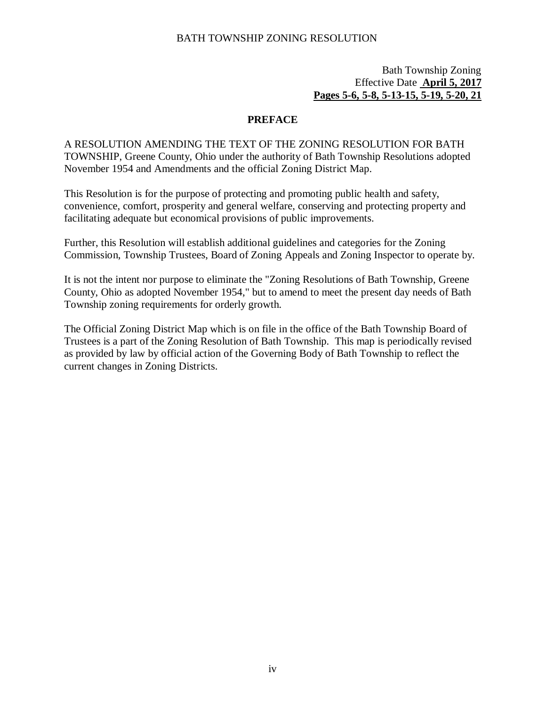## Bath Township Zoning Effective Date **April 5, 2017 Pages 5-6, 5-8, 5-13-15, 5-19, 5-20, 21**

## **PREFACE**

<span id="page-5-0"></span>A RESOLUTION AMENDING THE TEXT OF THE ZONING RESOLUTION FOR BATH TOWNSHIP, Greene County, Ohio under the authority of Bath Township Resolutions adopted November 1954 and Amendments and the official Zoning District Map.

This Resolution is for the purpose of protecting and promoting public health and safety, convenience, comfort, prosperity and general welfare, conserving and protecting property and facilitating adequate but economical provisions of public improvements.

Further, this Resolution will establish additional guidelines and categories for the Zoning Commission, Township Trustees, Board of Zoning Appeals and Zoning Inspector to operate by.

It is not the intent nor purpose to eliminate the "Zoning Resolutions of Bath Township, Greene County, Ohio as adopted November 1954," but to amend to meet the present day needs of Bath Township zoning requirements for orderly growth.

The Official Zoning District Map which is on file in the office of the Bath Township Board of Trustees is a part of the Zoning Resolution of Bath Township. This map is periodically revised as provided by law by official action of the Governing Body of Bath Township to reflect the current changes in Zoning Districts.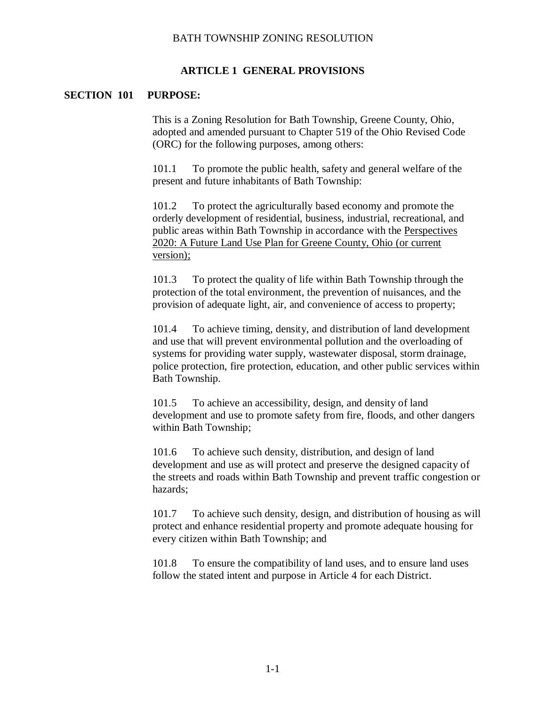#### **ARTICLE 1 GENERAL PROVISIONS**

#### <span id="page-6-1"></span><span id="page-6-0"></span>**SECTION 101 PURPOSE:**

This is a Zoning Resolution for Bath Township, Greene County, Ohio, adopted and amended pursuant to Chapter 519 of the Ohio Revised Code (ORC) for the following purposes, among others:

101.1 To promote the public health, safety and general welfare of the present and future inhabitants of Bath Township:

101.2 To protect the agriculturally based economy and promote the orderly development of residential, business, industrial, recreational, and public areas within Bath Township in accordance with the Perspectives 2020: A Future Land Use Plan for Greene County, Ohio (or current version);

101.3 To protect the quality of life within Bath Township through the protection of the total environment, the prevention of nuisances, and the provision of adequate light, air, and convenience of access to property;

101.4 To achieve timing, density, and distribution of land development and use that will prevent environmental pollution and the overloading of systems for providing water supply, wastewater disposal, storm drainage, police protection, fire protection, education, and other public services within Bath Township.

101.5 To achieve an accessibility, design, and density of land development and use to promote safety from fire, floods, and other dangers within Bath Township;

101.6 To achieve such density, distribution, and design of land development and use as will protect and preserve the designed capacity of the streets and roads within Bath Township and prevent traffic congestion or hazards;

101.7 To achieve such density, design, and distribution of housing as will protect and enhance residential property and promote adequate housing for every citizen within Bath Township; and

101.8 To ensure the compatibility of land uses, and to ensure land uses follow the stated intent and purpose in Article 4 for each District.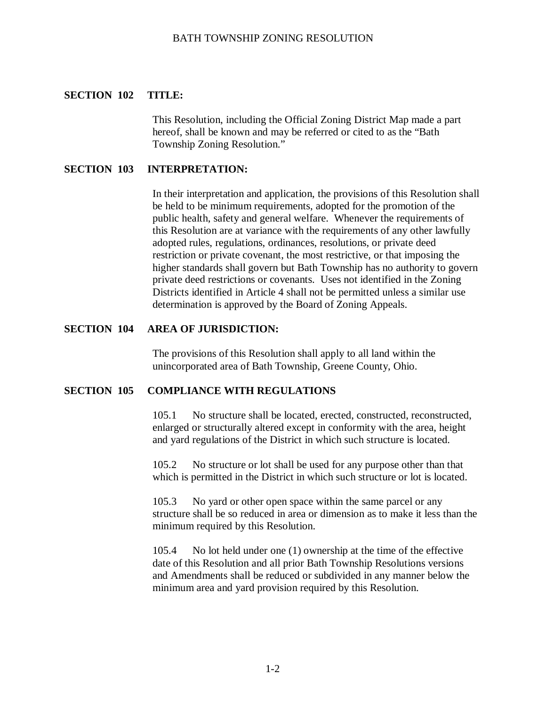#### <span id="page-7-0"></span>**SECTION 102 TITLE:**

This Resolution, including the Official Zoning District Map made a part hereof, shall be known and may be referred or cited to as the "Bath Township Zoning Resolution."

#### <span id="page-7-1"></span>**SECTION 103 INTERPRETATION:**

In their interpretation and application, the provisions of this Resolution shall be held to be minimum requirements, adopted for the promotion of the public health, safety and general welfare. Whenever the requirements of this Resolution are at variance with the requirements of any other lawfully adopted rules, regulations, ordinances, resolutions, or private deed restriction or private covenant, the most restrictive, or that imposing the higher standards shall govern but Bath Township has no authority to govern private deed restrictions or covenants. Uses not identified in the Zoning Districts identified in Article 4 shall not be permitted unless a similar use determination is approved by the Board of Zoning Appeals.

#### <span id="page-7-2"></span>**SECTION 104 AREA OF JURISDICTION:**

The provisions of this Resolution shall apply to all land within the unincorporated area of Bath Township, Greene County, Ohio.

#### <span id="page-7-3"></span>**SECTION 105 COMPLIANCE WITH REGULATIONS**

105.1 No structure shall be located, erected, constructed, reconstructed, enlarged or structurally altered except in conformity with the area, height and yard regulations of the District in which such structure is located.

105.2 No structure or lot shall be used for any purpose other than that which is permitted in the District in which such structure or lot is located.

105.3 No yard or other open space within the same parcel or any structure shall be so reduced in area or dimension as to make it less than the minimum required by this Resolution.

105.4 No lot held under one (1) ownership at the time of the effective date of this Resolution and all prior Bath Township Resolutions versions and Amendments shall be reduced or subdivided in any manner below the minimum area and yard provision required by this Resolution.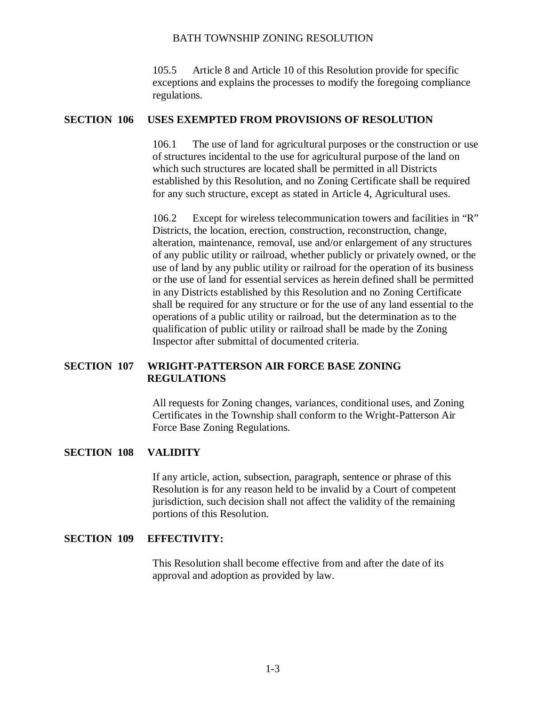105.5 Article 8 and Article 10 of this Resolution provide for specific exceptions and explains the processes to modify the foregoing compliance regulations.

#### <span id="page-8-0"></span>**SECTION 106 USES EXEMPTED FROM PROVISIONS OF RESOLUTION**

106.1 The use of land for agricultural purposes or the construction or use of structures incidental to the use for agricultural purpose of the land on which such structures are located shall be permitted in all Districts established by this Resolution, and no Zoning Certificate shall be required for any such structure, except as stated in Article 4, Agricultural uses.

106.2 Except for wireless telecommunication towers and facilities in "R" Districts, the location, erection, construction, reconstruction, change, alteration, maintenance, removal, use and/or enlargement of any structures of any public utility or railroad, whether publicly or privately owned, or the use of land by any public utility or railroad for the operation of its business or the use of land for essential services as herein defined shall be permitted in any Districts established by this Resolution and no Zoning Certificate shall be required for any structure or for the use of any land essential to the operations of a public utility or railroad, but the determination as to the qualification of public utility or railroad shall be made by the Zoning Inspector after submittal of documented criteria.

## <span id="page-8-1"></span>**SECTION 107 WRIGHT-PATTERSON AIR FORCE BASE ZONING REGULATIONS**

All requests for Zoning changes, variances, conditional uses, and Zoning Certificates in the Township shall conform to the Wright-Patterson Air Force Base Zoning Regulations.

#### <span id="page-8-2"></span>**SECTION 108 VALIDITY**

If any article, action, subsection, paragraph, sentence or phrase of this Resolution is for any reason held to be invalid by a Court of competent jurisdiction, such decision shall not affect the validity of the remaining portions of this Resolution.

#### <span id="page-8-3"></span>**SECTION 109 EFFECTIVITY:**

This Resolution shall become effective from and after the date of its approval and adoption as provided by law.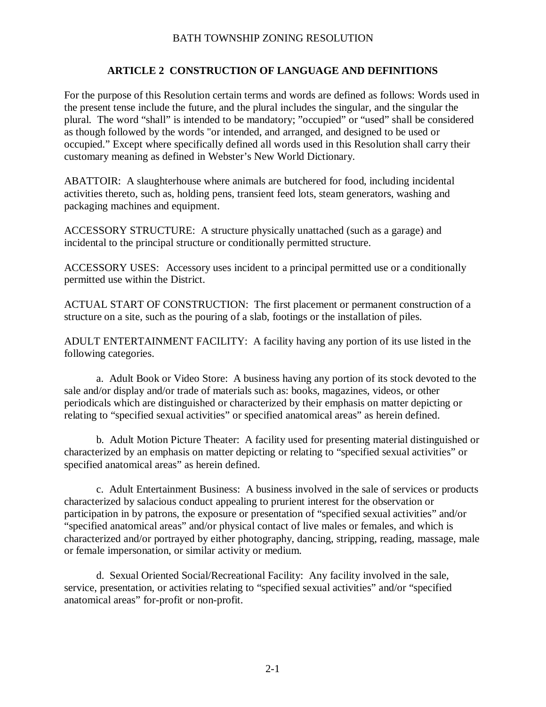## **ARTICLE 2 CONSTRUCTION OF LANGUAGE AND DEFINITIONS**

<span id="page-9-0"></span>For the purpose of this Resolution certain terms and words are defined as follows: Words used in the present tense include the future, and the plural includes the singular, and the singular the plural. The word "shall" is intended to be mandatory; "occupied" or "used" shall be considered as though followed by the words "or intended, and arranged, and designed to be used or occupied." Except where specifically defined all words used in this Resolution shall carry their customary meaning as defined in Webster's New World Dictionary.

ABATTOIR: A slaughterhouse where animals are butchered for food, including incidental activities thereto, such as, holding pens, transient feed lots, steam generators, washing and packaging machines and equipment.

ACCESSORY STRUCTURE: A structure physically unattached (such as a garage) and incidental to the principal structure or conditionally permitted structure.

ACCESSORY USES: Accessory uses incident to a principal permitted use or a conditionally permitted use within the District.

ACTUAL START OF CONSTRUCTION: The first placement or permanent construction of a structure on a site, such as the pouring of a slab, footings or the installation of piles.

ADULT ENTERTAINMENT FACILITY: A facility having any portion of its use listed in the following categories.

a. Adult Book or Video Store: A business having any portion of its stock devoted to the sale and/or display and/or trade of materials such as: books, magazines, videos, or other periodicals which are distinguished or characterized by their emphasis on matter depicting or relating to "specified sexual activities" or specified anatomical areas" as herein defined.

b. Adult Motion Picture Theater: A facility used for presenting material distinguished or characterized by an emphasis on matter depicting or relating to "specified sexual activities" or specified anatomical areas" as herein defined.

c. Adult Entertainment Business: A business involved in the sale of services or products characterized by salacious conduct appealing to prurient interest for the observation or participation in by patrons, the exposure or presentation of "specified sexual activities" and/or "specified anatomical areas" and/or physical contact of live males or females, and which is characterized and/or portrayed by either photography, dancing, stripping, reading, massage, male or female impersonation, or similar activity or medium.

d. Sexual Oriented Social/Recreational Facility: Any facility involved in the sale, service, presentation, or activities relating to "specified sexual activities" and/or "specified anatomical areas" for-profit or non-profit.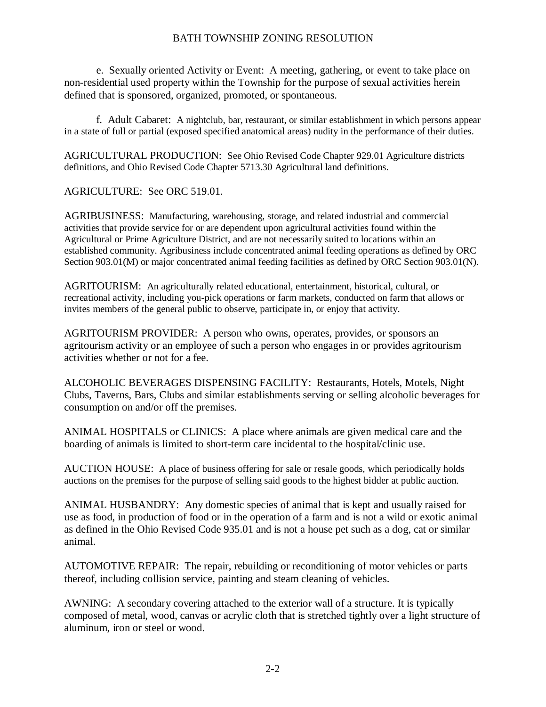e. Sexually oriented Activity or Event: A meeting, gathering, or event to take place on non-residential used property within the Township for the purpose of sexual activities herein defined that is sponsored, organized, promoted, or spontaneous.

f. Adult Cabaret: A nightclub, bar, restaurant, or similar establishment in which persons appear in a state of full or partial (exposed specified anatomical areas) nudity in the performance of their duties.

AGRICULTURAL PRODUCTION: See Ohio Revised Code Chapter 929.01 Agriculture districts definitions, and Ohio Revised Code Chapter 5713.30 Agricultural land definitions.

AGRICULTURE: See ORC 519.01.

AGRIBUSINESS: Manufacturing, warehousing, storage, and related industrial and commercial activities that provide service for or are dependent upon agricultural activities found within the Agricultural or Prime Agriculture District, and are not necessarily suited to locations within an established community. Agribusiness include concentrated animal feeding operations as defined by ORC Section 903.01(M) or major concentrated animal feeding facilities as defined by ORC Section 903.01(N).

AGRITOURISM: An agriculturally related educational, entertainment, historical, cultural, or recreational activity, including you-pick operations or farm markets, conducted on farm that allows or invites members of the general public to observe, participate in, or enjoy that activity.

AGRITOURISM PROVIDER: A person who owns, operates, provides, or sponsors an agritourism activity or an employee of such a person who engages in or provides agritourism activities whether or not for a fee.

ALCOHOLIC BEVERAGES DISPENSING FACILITY: Restaurants, Hotels, Motels, Night Clubs, Taverns, Bars, Clubs and similar establishments serving or selling alcoholic beverages for consumption on and/or off the premises.

ANIMAL HOSPITALS or CLINICS: A place where animals are given medical care and the boarding of animals is limited to short-term care incidental to the hospital/clinic use.

AUCTION HOUSE: A place of business offering for sale or resale goods, which periodically holds auctions on the premises for the purpose of selling said goods to the highest bidder at public auction.

ANIMAL HUSBANDRY: Any domestic species of animal that is kept and usually raised for use as food, in production of food or in the operation of a farm and is not a wild or exotic animal as defined in the Ohio Revised Code 935.01 and is not a house pet such as a dog, cat or similar animal.

AUTOMOTIVE REPAIR: The repair, rebuilding or reconditioning of motor vehicles or parts thereof, including collision service, painting and steam cleaning of vehicles.

AWNING: A secondary covering attached to the exterior wall of a structure. It is typically composed of metal, wood, canvas or acrylic cloth that is stretched tightly over a light structure of aluminum, iron or steel or wood.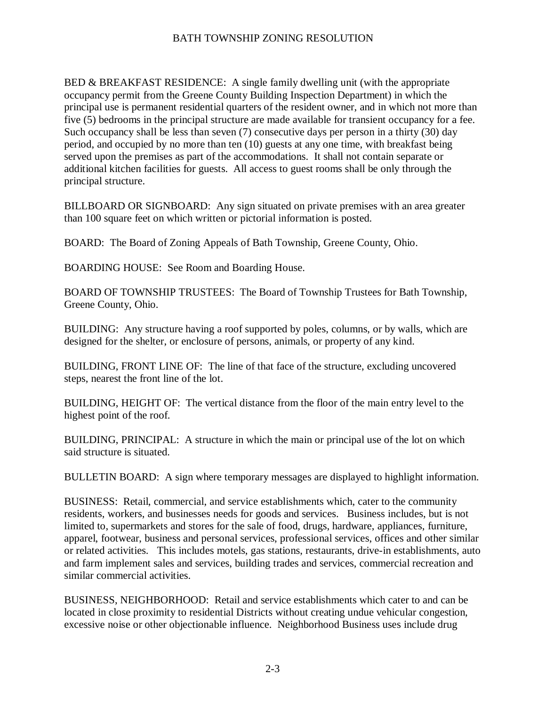BED & BREAKFAST RESIDENCE: A single family dwelling unit (with the appropriate occupancy permit from the Greene County Building Inspection Department) in which the principal use is permanent residential quarters of the resident owner, and in which not more than five (5) bedrooms in the principal structure are made available for transient occupancy for a fee. Such occupancy shall be less than seven (7) consecutive days per person in a thirty (30) day period, and occupied by no more than ten (10) guests at any one time, with breakfast being served upon the premises as part of the accommodations. It shall not contain separate or additional kitchen facilities for guests. All access to guest rooms shall be only through the principal structure.

BILLBOARD OR SIGNBOARD: Any sign situated on private premises with an area greater than 100 square feet on which written or pictorial information is posted.

BOARD: The Board of Zoning Appeals of Bath Township, Greene County, Ohio.

BOARDING HOUSE: See Room and Boarding House.

BOARD OF TOWNSHIP TRUSTEES: The Board of Township Trustees for Bath Township, Greene County, Ohio.

BUILDING: Any structure having a roof supported by poles, columns, or by walls, which are designed for the shelter, or enclosure of persons, animals, or property of any kind.

BUILDING, FRONT LINE OF: The line of that face of the structure, excluding uncovered steps, nearest the front line of the lot.

BUILDING, HEIGHT OF: The vertical distance from the floor of the main entry level to the highest point of the roof.

BUILDING, PRINCIPAL: A structure in which the main or principal use of the lot on which said structure is situated.

BULLETIN BOARD: A sign where temporary messages are displayed to highlight information.

BUSINESS: Retail, commercial, and service establishments which, cater to the community residents, workers, and businesses needs for goods and services. Business includes, but is not limited to, supermarkets and stores for the sale of food, drugs, hardware, appliances, furniture, apparel, footwear, business and personal services, professional services, offices and other similar or related activities. This includes motels, gas stations, restaurants, drive-in establishments, auto and farm implement sales and services, building trades and services, commercial recreation and similar commercial activities.

BUSINESS, NEIGHBORHOOD: Retail and service establishments which cater to and can be located in close proximity to residential Districts without creating undue vehicular congestion, excessive noise or other objectionable influence. Neighborhood Business uses include drug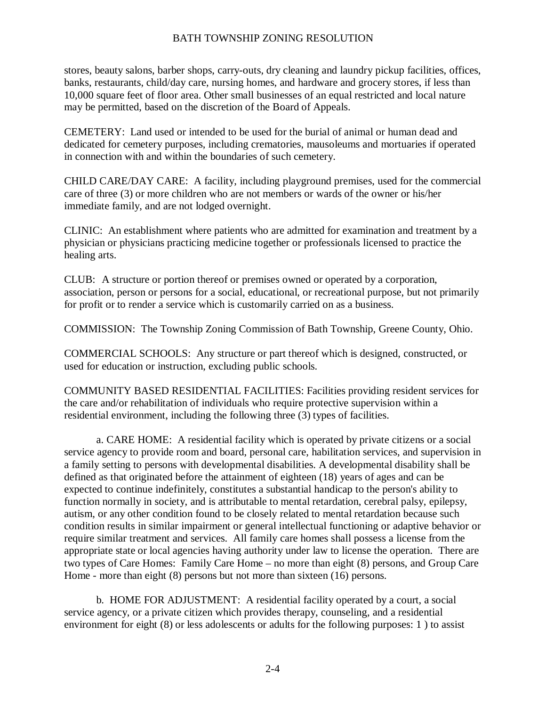stores, beauty salons, barber shops, carry-outs, dry cleaning and laundry pickup facilities, offices, banks, restaurants, child/day care, nursing homes, and hardware and grocery stores, if less than 10,000 square feet of floor area. Other small businesses of an equal restricted and local nature may be permitted, based on the discretion of the Board of Appeals.

CEMETERY: Land used or intended to be used for the burial of animal or human dead and dedicated for cemetery purposes, including crematories, mausoleums and mortuaries if operated in connection with and within the boundaries of such cemetery.

CHILD CARE/DAY CARE: A facility, including playground premises, used for the commercial care of three (3) or more children who are not members or wards of the owner or his/her immediate family, and are not lodged overnight.

CLINIC: An establishment where patients who are admitted for examination and treatment by a physician or physicians practicing medicine together or professionals licensed to practice the healing arts.

CLUB: A structure or portion thereof or premises owned or operated by a corporation, association, person or persons for a social, educational, or recreational purpose, but not primarily for profit or to render a service which is customarily carried on as a business.

COMMISSION: The Township Zoning Commission of Bath Township, Greene County, Ohio.

COMMERCIAL SCHOOLS: Any structure or part thereof which is designed, constructed, or used for education or instruction, excluding public schools.

COMMUNITY BASED RESIDENTIAL FACILITIES: Facilities providing resident services for the care and/or rehabilitation of individuals who require protective supervision within a residential environment, including the following three (3) types of facilities.

a. CARE HOME: A residential facility which is operated by private citizens or a social service agency to provide room and board, personal care, habilitation services, and supervision in a family setting to persons with developmental disabilities. A developmental disability shall be defined as that originated before the attainment of eighteen (18) years of ages and can be expected to continue indefinitely, constitutes a substantial handicap to the person's ability to function normally in society, and is attributable to mental retardation, cerebral palsy, epilepsy, autism, or any other condition found to be closely related to mental retardation because such condition results in similar impairment or general intellectual functioning or adaptive behavior or require similar treatment and services. All family care homes shall possess a license from the appropriate state or local agencies having authority under law to license the operation. There are two types of Care Homes: Family Care Home – no more than eight (8) persons, and Group Care Home - more than eight (8) persons but not more than sixteen (16) persons.

b. HOME FOR ADJUSTMENT: A residential facility operated by a court, a social service agency, or a private citizen which provides therapy, counseling, and a residential environment for eight (8) or less adolescents or adults for the following purposes: 1 ) to assist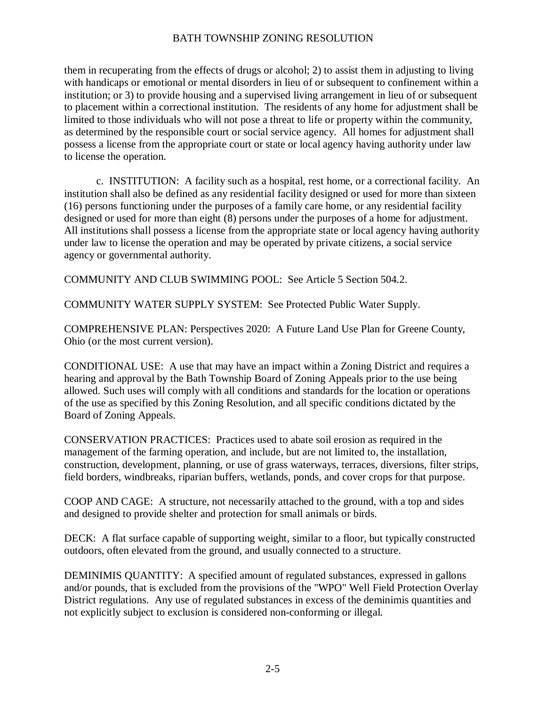them in recuperating from the effects of drugs or alcohol; 2) to assist them in adjusting to living with handicaps or emotional or mental disorders in lieu of or subsequent to confinement within a institution; or 3) to provide housing and a supervised living arrangement in lieu of or subsequent to placement within a correctional institution. The residents of any home for adjustment shall be limited to those individuals who will not pose a threat to life or property within the community, as determined by the responsible court or social service agency. All homes for adjustment shall possess a license from the appropriate court or state or local agency having authority under law to license the operation.

c. INSTITUTION: A facility such as a hospital, rest home, or a correctional facility. An institution shall also be defined as any residential facility designed or used for more than sixteen (16) persons functioning under the purposes of a family care home, or any residential facility designed or used for more than eight (8) persons under the purposes of a home for adjustment. All institutions shall possess a license from the appropriate state or local agency having authority under law to license the operation and may be operated by private citizens, a social service agency or governmental authority.

COMMUNITY AND CLUB SWIMMING POOL: See Article 5 Section 504.2.

COMMUNITY WATER SUPPLY SYSTEM: See Protected Public Water Supply.

COMPREHENSIVE PLAN: Perspectives 2020: A Future Land Use Plan for Greene County, Ohio (or the most current version).

CONDITIONAL USE: A use that may have an impact within a Zoning District and requires a hearing and approval by the Bath Township Board of Zoning Appeals prior to the use being allowed. Such uses will comply with all conditions and standards for the location or operations of the use as specified by this Zoning Resolution, and all specific conditions dictated by the Board of Zoning Appeals.

CONSERVATION PRACTICES: Practices used to abate soil erosion as required in the management of the farming operation, and include, but are not limited to, the installation, construction, development, planning, or use of grass waterways, terraces, diversions, filter strips, field borders, windbreaks, riparian buffers, wetlands, ponds, and cover crops for that purpose.

COOP AND CAGE: A structure, not necessarily attached to the ground, with a top and sides and designed to provide shelter and protection for small animals or birds.

DECK: A flat surface capable of supporting weight, similar to a floor, but typically constructed outdoors, often elevated from the ground, and usually connected to a structure.

DEMINIMIS QUANTITY: A specified amount of regulated substances, expressed in gallons and/or pounds, that is excluded from the provisions of the "WPO" Well Field Protection Overlay District regulations. Any use of regulated substances in excess of the deminimis quantities and not explicitly subject to exclusion is considered non-conforming or illegal.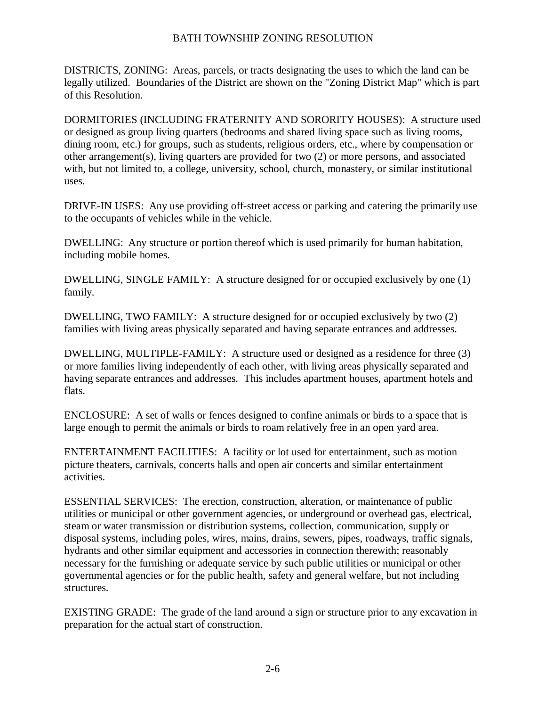DISTRICTS, ZONING: Areas, parcels, or tracts designating the uses to which the land can be legally utilized. Boundaries of the District are shown on the "Zoning District Map" which is part of this Resolution.

DORMITORIES (INCLUDING FRATERNITY AND SORORITY HOUSES): A structure used or designed as group living quarters (bedrooms and shared living space such as living rooms, dining room, etc.) for groups, such as students, religious orders, etc., where by compensation or other arrangement(s), living quarters are provided for two (2) or more persons, and associated with, but not limited to, a college, university, school, church, monastery, or similar institutional uses.

DRIVE-IN USES: Any use providing off-street access or parking and catering the primarily use to the occupants of vehicles while in the vehicle.

DWELLING: Any structure or portion thereof which is used primarily for human habitation, including mobile homes.

DWELLING, SINGLE FAMILY: A structure designed for or occupied exclusively by one (1) family.

DWELLING, TWO FAMILY: A structure designed for or occupied exclusively by two (2) families with living areas physically separated and having separate entrances and addresses.

DWELLING, MULTIPLE-FAMILY: A structure used or designed as a residence for three (3) or more families living independently of each other, with living areas physically separated and having separate entrances and addresses. This includes apartment houses, apartment hotels and flats.

ENCLOSURE: A set of walls or fences designed to confine animals or birds to a space that is large enough to permit the animals or birds to roam relatively free in an open yard area.

ENTERTAINMENT FACILITIES: A facility or lot used for entertainment, such as motion picture theaters, carnivals, concerts halls and open air concerts and similar entertainment activities.

ESSENTIAL SERVICES: The erection, construction, alteration, or maintenance of public utilities or municipal or other government agencies, or underground or overhead gas, electrical, steam or water transmission or distribution systems, collection, communication, supply or disposal systems, including poles, wires, mains, drains, sewers, pipes, roadways, traffic signals, hydrants and other similar equipment and accessories in connection therewith; reasonably necessary for the furnishing or adequate service by such public utilities or municipal or other governmental agencies or for the public health, safety and general welfare, but not including structures.

EXISTING GRADE: The grade of the land around a sign or structure prior to any excavation in preparation for the actual start of construction.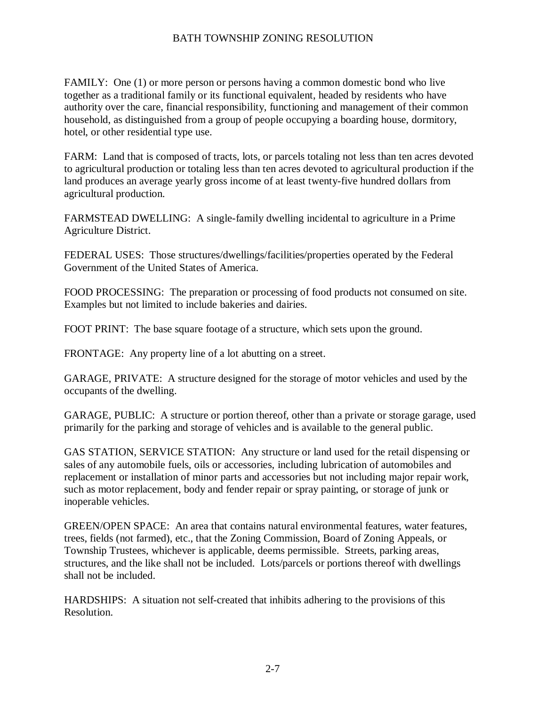FAMILY: One (1) or more person or persons having a common domestic bond who live together as a traditional family or its functional equivalent, headed by residents who have authority over the care, financial responsibility, functioning and management of their common household, as distinguished from a group of people occupying a boarding house, dormitory, hotel, or other residential type use.

FARM: Land that is composed of tracts, lots, or parcels totaling not less than ten acres devoted to agricultural production or totaling less than ten acres devoted to agricultural production if the land produces an average yearly gross income of at least twenty-five hundred dollars from agricultural production.

FARMSTEAD DWELLING: A single-family dwelling incidental to agriculture in a Prime Agriculture District.

FEDERAL USES: Those structures/dwellings/facilities/properties operated by the Federal Government of the United States of America.

FOOD PROCESSING: The preparation or processing of food products not consumed on site. Examples but not limited to include bakeries and dairies.

FOOT PRINT: The base square footage of a structure, which sets upon the ground.

FRONTAGE: Any property line of a lot abutting on a street.

GARAGE, PRIVATE: A structure designed for the storage of motor vehicles and used by the occupants of the dwelling.

GARAGE, PUBLIC: A structure or portion thereof, other than a private or storage garage, used primarily for the parking and storage of vehicles and is available to the general public.

GAS STATION, SERVICE STATION: Any structure or land used for the retail dispensing or sales of any automobile fuels, oils or accessories, including lubrication of automobiles and replacement or installation of minor parts and accessories but not including major repair work, such as motor replacement, body and fender repair or spray painting, or storage of junk or inoperable vehicles.

GREEN/OPEN SPACE: An area that contains natural environmental features, water features, trees, fields (not farmed), etc., that the Zoning Commission, Board of Zoning Appeals, or Township Trustees, whichever is applicable, deems permissible. Streets, parking areas, structures, and the like shall not be included. Lots/parcels or portions thereof with dwellings shall not be included.

HARDSHIPS: A situation not self-created that inhibits adhering to the provisions of this Resolution.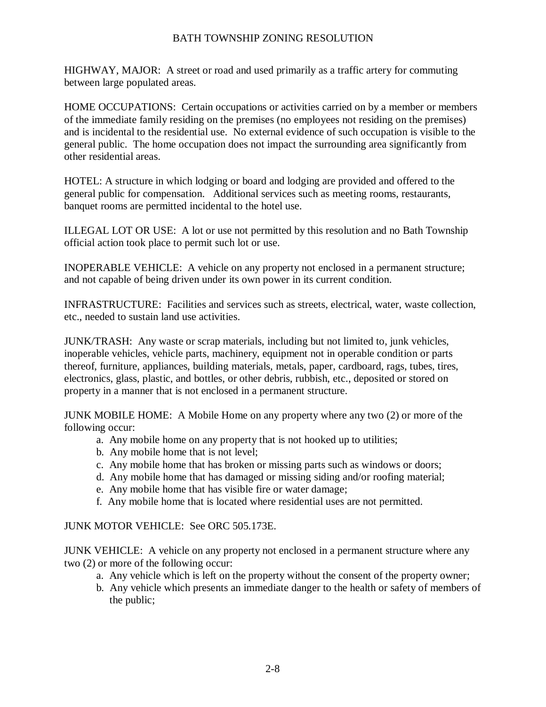HIGHWAY, MAJOR: A street or road and used primarily as a traffic artery for commuting between large populated areas.

HOME OCCUPATIONS: Certain occupations or activities carried on by a member or members of the immediate family residing on the premises (no employees not residing on the premises) and is incidental to the residential use. No external evidence of such occupation is visible to the general public. The home occupation does not impact the surrounding area significantly from other residential areas.

HOTEL: A structure in which lodging or board and lodging are provided and offered to the general public for compensation. Additional services such as meeting rooms, restaurants, banquet rooms are permitted incidental to the hotel use.

ILLEGAL LOT OR USE: A lot or use not permitted by this resolution and no Bath Township official action took place to permit such lot or use.

INOPERABLE VEHICLE: A vehicle on any property not enclosed in a permanent structure; and not capable of being driven under its own power in its current condition.

INFRASTRUCTURE: Facilities and services such as streets, electrical, water, waste collection, etc., needed to sustain land use activities.

JUNK/TRASH: Any waste or scrap materials, including but not limited to, junk vehicles, inoperable vehicles, vehicle parts, machinery, equipment not in operable condition or parts thereof, furniture, appliances, building materials, metals, paper, cardboard, rags, tubes, tires, electronics, glass, plastic, and bottles, or other debris, rubbish, etc., deposited or stored on property in a manner that is not enclosed in a permanent structure.

JUNK MOBILE HOME: A Mobile Home on any property where any two (2) or more of the following occur:

- a. Any mobile home on any property that is not hooked up to utilities;
- b. Any mobile home that is not level;
- c. Any mobile home that has broken or missing parts such as windows or doors;
- d. Any mobile home that has damaged or missing siding and/or roofing material;
- e. Any mobile home that has visible fire or water damage;
- f. Any mobile home that is located where residential uses are not permitted.

#### JUNK MOTOR VEHICLE: See ORC 505.173E.

JUNK VEHICLE: A vehicle on any property not enclosed in a permanent structure where any two (2) or more of the following occur:

- a. Any vehicle which is left on the property without the consent of the property owner;
- b. Any vehicle which presents an immediate danger to the health or safety of members of the public;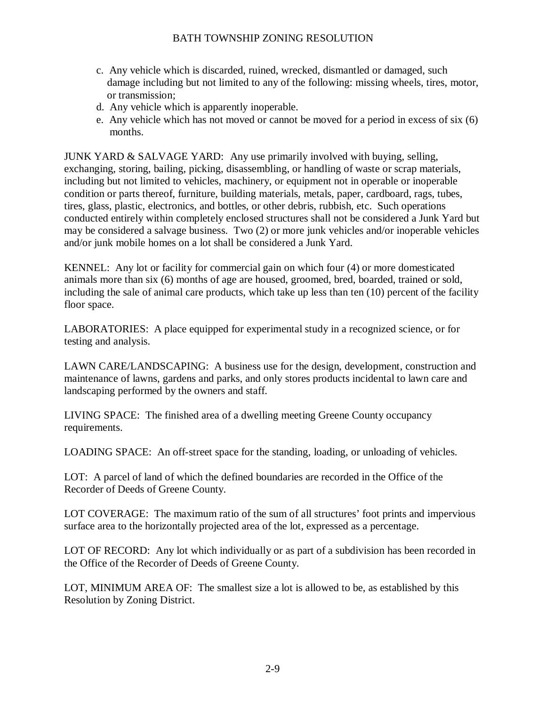- c. Any vehicle which is discarded, ruined, wrecked, dismantled or damaged, such damage including but not limited to any of the following: missing wheels, tires, motor, or transmission;
- d. Any vehicle which is apparently inoperable.
- e. Any vehicle which has not moved or cannot be moved for a period in excess of six (6) months.

JUNK YARD & SALVAGE YARD: Any use primarily involved with buying, selling, exchanging, storing, bailing, picking, disassembling, or handling of waste or scrap materials, including but not limited to vehicles, machinery, or equipment not in operable or inoperable condition or parts thereof, furniture, building materials, metals, paper, cardboard, rags, tubes, tires, glass, plastic, electronics, and bottles, or other debris, rubbish, etc. Such operations conducted entirely within completely enclosed structures shall not be considered a Junk Yard but may be considered a salvage business. Two (2) or more junk vehicles and/or inoperable vehicles and/or junk mobile homes on a lot shall be considered a Junk Yard.

KENNEL: Any lot or facility for commercial gain on which four (4) or more domesticated animals more than six (6) months of age are housed, groomed, bred, boarded, trained or sold, including the sale of animal care products, which take up less than ten (10) percent of the facility floor space.

LABORATORIES: A place equipped for experimental study in a recognized science, or for testing and analysis.

LAWN CARE/LANDSCAPING: A business use for the design, development, construction and maintenance of lawns, gardens and parks, and only stores products incidental to lawn care and landscaping performed by the owners and staff.

LIVING SPACE: The finished area of a dwelling meeting Greene County occupancy requirements.

LOADING SPACE: An off-street space for the standing, loading, or unloading of vehicles.

LOT: A parcel of land of which the defined boundaries are recorded in the Office of the Recorder of Deeds of Greene County.

LOT COVERAGE: The maximum ratio of the sum of all structures' foot prints and impervious surface area to the horizontally projected area of the lot, expressed as a percentage.

LOT OF RECORD: Any lot which individually or as part of a subdivision has been recorded in the Office of the Recorder of Deeds of Greene County.

LOT, MINIMUM AREA OF: The smallest size a lot is allowed to be, as established by this Resolution by Zoning District.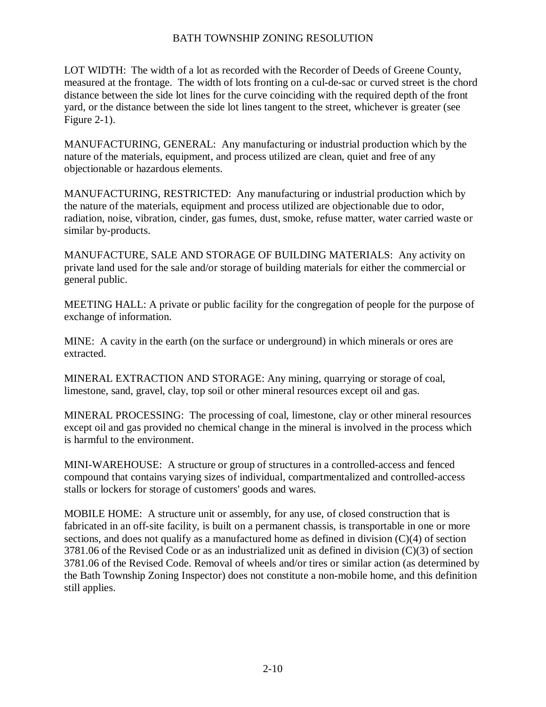LOT WIDTH: The width of a lot as recorded with the Recorder of Deeds of Greene County, measured at the frontage. The width of lots fronting on a cul-de-sac or curved street is the chord distance between the side lot lines for the curve coinciding with the required depth of the front yard, or the distance between the side lot lines tangent to the street, whichever is greater (see Figure 2-1).

MANUFACTURING, GENERAL: Any manufacturing or industrial production which by the nature of the materials, equipment, and process utilized are clean, quiet and free of any objectionable or hazardous elements.

MANUFACTURING, RESTRICTED: Any manufacturing or industrial production which by the nature of the materials, equipment and process utilized are objectionable due to odor, radiation, noise, vibration, cinder, gas fumes, dust, smoke, refuse matter, water carried waste or similar by-products.

MANUFACTURE, SALE AND STORAGE OF BUILDING MATERIALS: Any activity on private land used for the sale and/or storage of building materials for either the commercial or general public.

MEETING HALL: A private or public facility for the congregation of people for the purpose of exchange of information.

MINE: A cavity in the earth (on the surface or underground) in which minerals or ores are extracted.

MINERAL EXTRACTION AND STORAGE: Any mining, quarrying or storage of coal, limestone, sand, gravel, clay, top soil or other mineral resources except oil and gas.

MINERAL PROCESSING: The processing of coal, limestone, clay or other mineral resources except oil and gas provided no chemical change in the mineral is involved in the process which is harmful to the environment.

MINI-WAREHOUSE: A structure or group of structures in a controlled-access and fenced compound that contains varying sizes of individual, compartmentalized and controlled-access stalls or lockers for storage of customers' goods and wares.

MOBILE HOME: A structure unit or assembly, for any use, of closed construction that is fabricated in an off-site facility, is built on a permanent chassis, is transportable in one or more sections, and does not qualify as a manufactured home as defined in division (C)(4) of section 3781.06 of the Revised Code or as an industrialized unit as defined in division (C)(3) of section 3781.06 of the Revised Code. Removal of wheels and/or tires or similar action (as determined by the Bath Township Zoning Inspector) does not constitute a non-mobile home, and this definition still applies.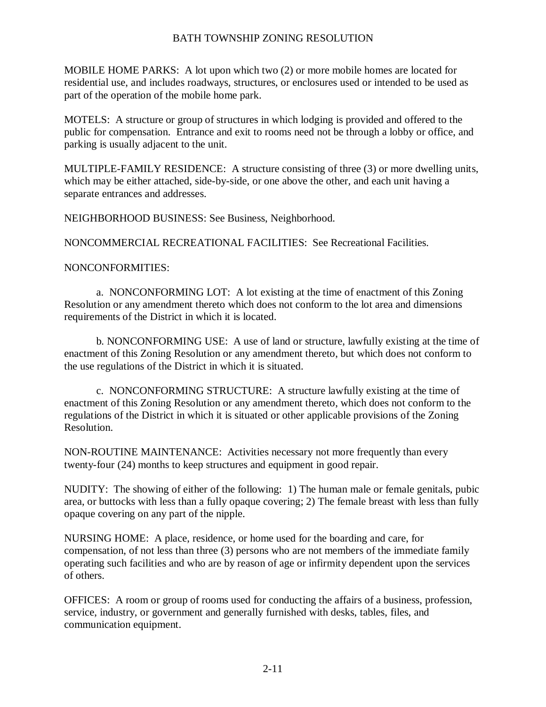MOBILE HOME PARKS: A lot upon which two (2) or more mobile homes are located for residential use, and includes roadways, structures, or enclosures used or intended to be used as part of the operation of the mobile home park.

MOTELS: A structure or group of structures in which lodging is provided and offered to the public for compensation. Entrance and exit to rooms need not be through a lobby or office, and parking is usually adjacent to the unit.

MULTIPLE-FAMILY RESIDENCE: A structure consisting of three (3) or more dwelling units, which may be either attached, side-by-side, or one above the other, and each unit having a separate entrances and addresses.

NEIGHBORHOOD BUSINESS: See Business, Neighborhood.

NONCOMMERCIAL RECREATIONAL FACILITIES: See Recreational Facilities.

## NONCONFORMITIES:

a. NONCONFORMING LOT: A lot existing at the time of enactment of this Zoning Resolution or any amendment thereto which does not conform to the lot area and dimensions requirements of the District in which it is located.

b. NONCONFORMING USE: A use of land or structure, lawfully existing at the time of enactment of this Zoning Resolution or any amendment thereto, but which does not conform to the use regulations of the District in which it is situated.

c. NONCONFORMING STRUCTURE: A structure lawfully existing at the time of enactment of this Zoning Resolution or any amendment thereto, which does not conform to the regulations of the District in which it is situated or other applicable provisions of the Zoning Resolution.

NON-ROUTINE MAINTENANCE: Activities necessary not more frequently than every twenty-four (24) months to keep structures and equipment in good repair.

NUDITY: The showing of either of the following: 1) The human male or female genitals, pubic area, or buttocks with less than a fully opaque covering; 2) The female breast with less than fully opaque covering on any part of the nipple.

NURSING HOME: A place, residence, or home used for the boarding and care, for compensation, of not less than three (3) persons who are not members of the immediate family operating such facilities and who are by reason of age or infirmity dependent upon the services of others.

OFFICES: A room or group of rooms used for conducting the affairs of a business, profession, service, industry, or government and generally furnished with desks, tables, files, and communication equipment.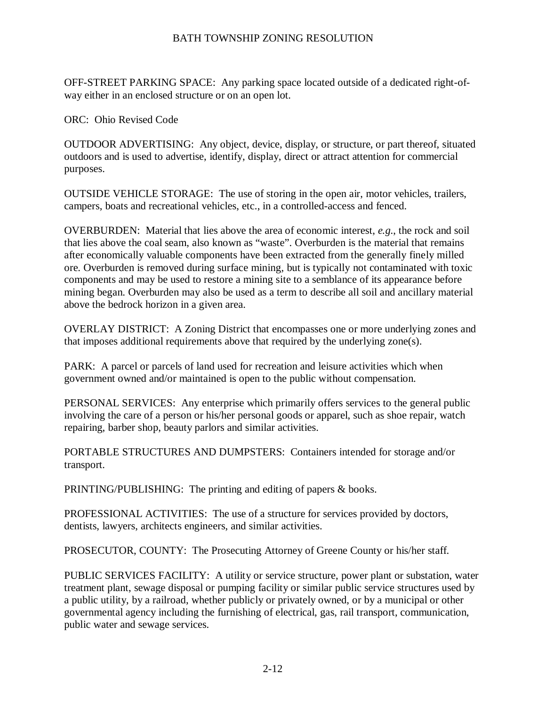OFF-STREET PARKING SPACE: Any parking space located outside of a dedicated right-ofway either in an enclosed structure or on an open lot.

ORC: Ohio Revised Code

OUTDOOR ADVERTISING: Any object, device, display, or structure, or part thereof, situated outdoors and is used to advertise, identify, display, direct or attract attention for commercial purposes.

OUTSIDE VEHICLE STORAGE: The use of storing in the open air, motor vehicles, trailers, campers, boats and recreational vehicles, etc., in a controlled-access and fenced.

OVERBURDEN: Material that lies above the area of economic interest, *e.g.*, the rock and soil that lies above the coal seam, also known as "waste". Overburden is the material that remains after economically valuable components have been extracted from the generally finely milled ore. Overburden is removed during surface mining, but is typically not contaminated with toxic components and may be used to restore a mining site to a semblance of its appearance before mining began. Overburden may also be used as a term to describe all soil and ancillary material above the bedrock horizon in a given area.

OVERLAY DISTRICT: A Zoning District that encompasses one or more underlying zones and that imposes additional requirements above that required by the underlying zone(s).

PARK: A parcel or parcels of land used for recreation and leisure activities which when government owned and/or maintained is open to the public without compensation.

PERSONAL SERVICES: Any enterprise which primarily offers services to the general public involving the care of a person or his/her personal goods or apparel, such as shoe repair, watch repairing, barber shop, beauty parlors and similar activities.

PORTABLE STRUCTURES AND DUMPSTERS: Containers intended for storage and/or transport.

PRINTING/PUBLISHING: The printing and editing of papers & books.

PROFESSIONAL ACTIVITIES: The use of a structure for services provided by doctors, dentists, lawyers, architects engineers, and similar activities.

PROSECUTOR, COUNTY: The Prosecuting Attorney of Greene County or his/her staff.

PUBLIC SERVICES FACILITY: A utility or service structure, power plant or substation, water treatment plant, sewage disposal or pumping facility or similar public service structures used by a public utility, by a railroad, whether publicly or privately owned, or by a municipal or other governmental agency including the furnishing of electrical, gas, rail transport, communication, public water and sewage services.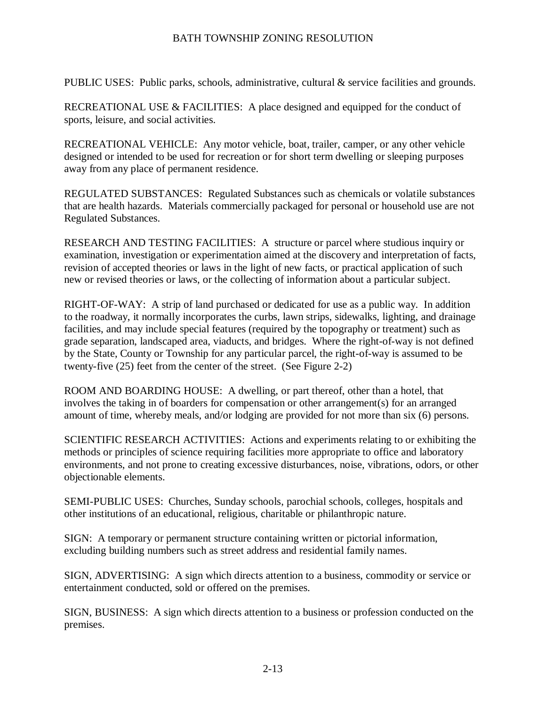PUBLIC USES: Public parks, schools, administrative, cultural & service facilities and grounds.

RECREATIONAL USE & FACILITIES: A place designed and equipped for the conduct of sports, leisure, and social activities.

RECREATIONAL VEHICLE: Any motor vehicle, boat, trailer, camper, or any other vehicle designed or intended to be used for recreation or for short term dwelling or sleeping purposes away from any place of permanent residence.

REGULATED SUBSTANCES: Regulated Substances such as chemicals or volatile substances that are health hazards. Materials commercially packaged for personal or household use are not Regulated Substances.

RESEARCH AND TESTING FACILITIES: A structure or parcel where studious inquiry or examination, investigation or experimentation aimed at the discovery and interpretation of facts, revision of accepted theories or laws in the light of new facts, or practical application of such new or revised theories or laws, or the collecting of information about a particular subject.

RIGHT-OF-WAY: A strip of land purchased or dedicated for use as a public way. In addition to the roadway, it normally incorporates the curbs, lawn strips, sidewalks, lighting, and drainage facilities, and may include special features (required by the topography or treatment) such as grade separation, landscaped area, viaducts, and bridges. Where the right-of-way is not defined by the State, County or Township for any particular parcel, the right-of-way is assumed to be twenty-five (25) feet from the center of the street. (See Figure 2-2)

ROOM AND BOARDING HOUSE: A dwelling, or part thereof, other than a hotel, that involves the taking in of boarders for compensation or other arrangement(s) for an arranged amount of time, whereby meals, and/or lodging are provided for not more than six (6) persons.

SCIENTIFIC RESEARCH ACTIVITIES: Actions and experiments relating to or exhibiting the methods or principles of science requiring facilities more appropriate to office and laboratory environments, and not prone to creating excessive disturbances, noise, vibrations, odors, or other objectionable elements.

SEMI-PUBLIC USES: Churches, Sunday schools, parochial schools, colleges, hospitals and other institutions of an educational, religious, charitable or philanthropic nature.

SIGN: A temporary or permanent structure containing written or pictorial information, excluding building numbers such as street address and residential family names.

SIGN, ADVERTISING: A sign which directs attention to a business, commodity or service or entertainment conducted, sold or offered on the premises.

SIGN, BUSINESS: A sign which directs attention to a business or profession conducted on the premises.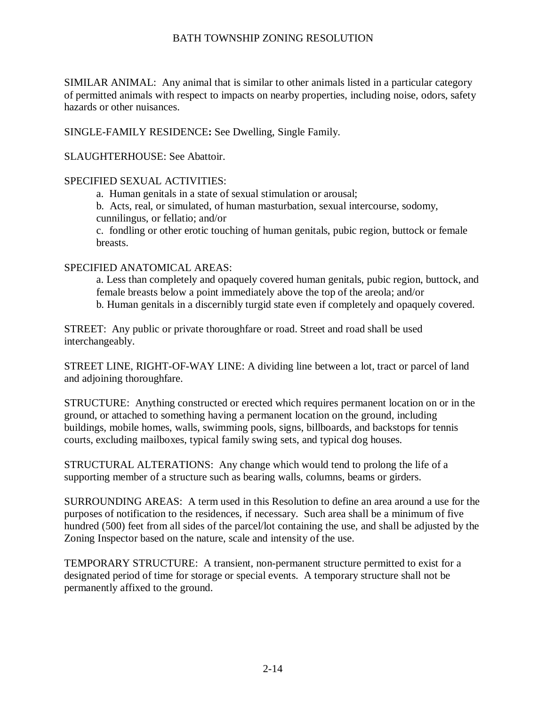SIMILAR ANIMAL: Any animal that is similar to other animals listed in a particular category of permitted animals with respect to impacts on nearby properties, including noise, odors, safety hazards or other nuisances.

SINGLE-FAMILY RESIDENCE**:** See Dwelling, Single Family.

SLAUGHTERHOUSE: See Abattoir.

#### SPECIFIED SEXUAL ACTIVITIES:

a. Human genitals in a state of sexual stimulation or arousal;

b. Acts, real, or simulated, of human masturbation, sexual intercourse, sodomy,

cunnilingus, or fellatio; and/or

c. fondling or other erotic touching of human genitals, pubic region, buttock or female breasts.

#### SPECIFIED ANATOMICAL AREAS:

a. Less than completely and opaquely covered human genitals, pubic region, buttock, and female breasts below a point immediately above the top of the areola; and/or b. Human genitals in a discernibly turgid state even if completely and opaquely covered.

STREET: Any public or private thoroughfare or road. Street and road shall be used interchangeably.

STREET LINE, RIGHT-OF-WAY LINE: A dividing line between a lot, tract or parcel of land and adjoining thoroughfare.

STRUCTURE: Anything constructed or erected which requires permanent location on or in the ground, or attached to something having a permanent location on the ground, including buildings, mobile homes, walls, swimming pools, signs, billboards, and backstops for tennis courts, excluding mailboxes, typical family swing sets, and typical dog houses.

STRUCTURAL ALTERATIONS: Any change which would tend to prolong the life of a supporting member of a structure such as bearing walls, columns, beams or girders.

SURROUNDING AREAS: A term used in this Resolution to define an area around a use for the purposes of notification to the residences, if necessary. Such area shall be a minimum of five hundred (500) feet from all sides of the parcel/lot containing the use, and shall be adjusted by the Zoning Inspector based on the nature, scale and intensity of the use.

TEMPORARY STRUCTURE: A transient, non-permanent structure permitted to exist for a designated period of time for storage or special events. A temporary structure shall not be permanently affixed to the ground.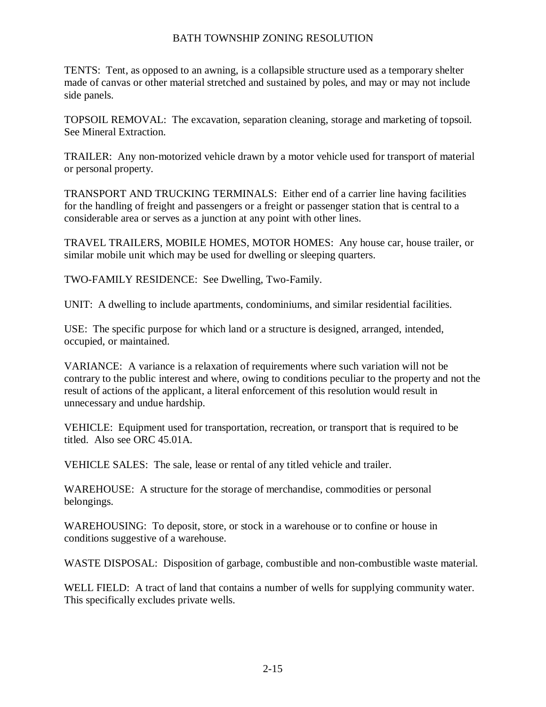TENTS: Tent, as opposed to an awning, is a collapsible structure used as a temporary shelter made of canvas or other material stretched and sustained by poles, and may or may not include side panels.

TOPSOIL REMOVAL:The excavation, separation cleaning, storage and marketing of topsoil. See Mineral Extraction.

TRAILER: Any non-motorized vehicle drawn by a motor vehicle used for transport of material or personal property.

TRANSPORT AND TRUCKING TERMINALS:Either end of a carrier line having facilities for the handling of freight and passengers or a freight or passenger station that is central to a considerable area or serves as a junction at any point with other lines.

TRAVEL TRAILERS, MOBILE HOMES, MOTOR HOMES: Any house car, house trailer, or similar mobile unit which may be used for dwelling or sleeping quarters.

TWO-FAMILY RESIDENCE:See Dwelling, Two-Family.

UNIT: A dwelling to include apartments, condominiums, and similar residential facilities.

USE: The specific purpose for which land or a structure is designed, arranged, intended, occupied, or maintained.

VARIANCE: A variance is a relaxation of requirements where such variation will not be contrary to the public interest and where, owing to conditions peculiar to the property and not the result of actions of the applicant, a literal enforcement of this resolution would result in unnecessary and undue hardship.

VEHICLE: Equipment used for transportation, recreation, or transport that is required to be titled. Also see ORC 45.01A.

VEHICLE SALES: The sale, lease or rental of any titled vehicle and trailer.

WAREHOUSE: A structure for the storage of merchandise, commodities or personal belongings.

WAREHOUSING: To deposit, store, or stock in a warehouse or to confine or house in conditions suggestive of a warehouse.

WASTE DISPOSAL: Disposition of garbage, combustible and non-combustible waste material.

WELL FIELD: A tract of land that contains a number of wells for supplying community water. This specifically excludes private wells.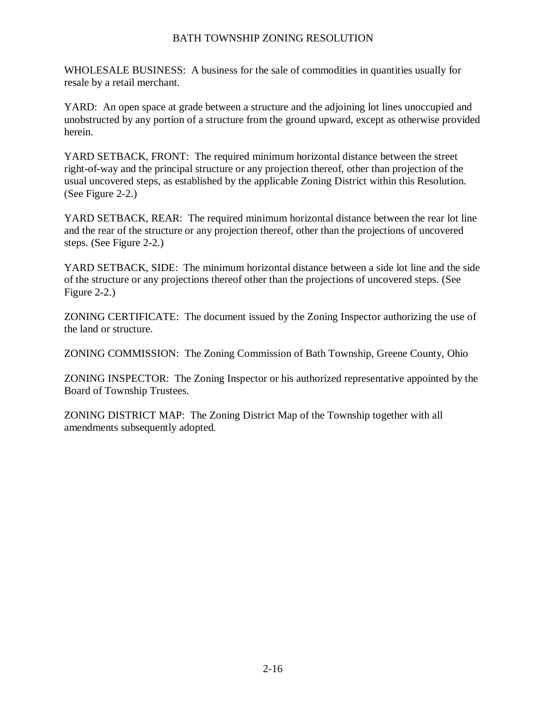WHOLESALE BUSINESS: A business for the sale of commodities in quantities usually for resale by a retail merchant.

YARD: An open space at grade between a structure and the adjoining lot lines unoccupied and unobstructed by any portion of a structure from the ground upward, except as otherwise provided herein.

YARD SETBACK, FRONT: The required minimum horizontal distance between the street right-of-way and the principal structure or any projection thereof, other than projection of the usual uncovered steps, as established by the applicable Zoning District within this Resolution. (See Figure 2-2.)

YARD SETBACK, REAR: The required minimum horizontal distance between the rear lot line and the rear of the structure or any projection thereof, other than the projections of uncovered steps. (See Figure 2-2.)

YARD SETBACK, SIDE: The minimum horizontal distance between a side lot line and the side of the structure or any projections thereof other than the projections of uncovered steps. (See Figure 2-2.)

ZONING CERTIFICATE: The document issued by the Zoning Inspector authorizing the use of the land or structure.

ZONING COMMISSION: The Zoning Commission of Bath Township, Greene County, Ohio

ZONING INSPECTOR: The Zoning Inspector or his authorized representative appointed by the Board of Township Trustees.

ZONING DISTRICT MAP: The Zoning District Map of the Township together with all amendments subsequently adopted.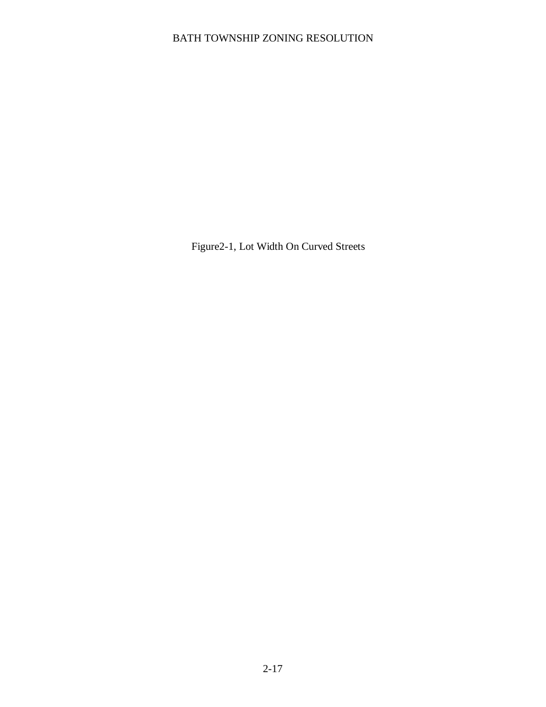Figure2-1, Lot Width On Curved Streets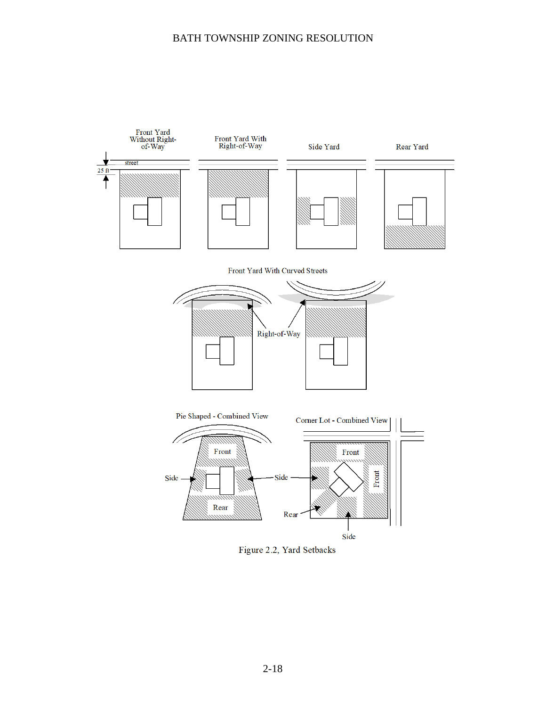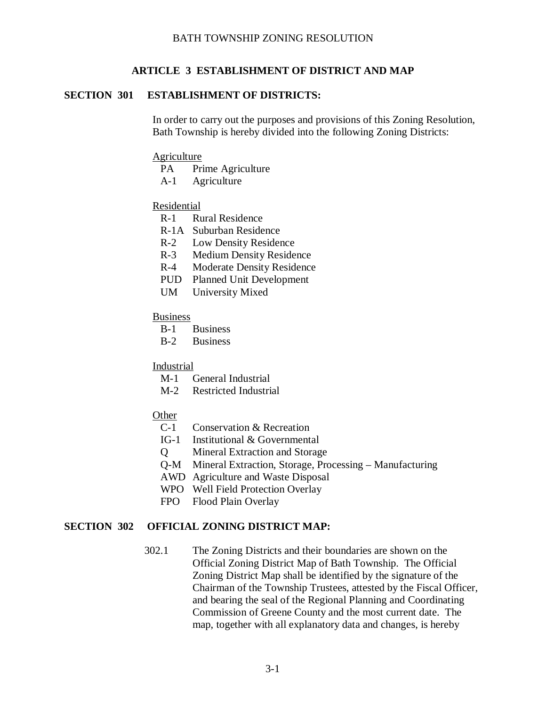## **ARTICLE 3 ESTABLISHMENT OF DISTRICT AND MAP**

#### <span id="page-27-1"></span><span id="page-27-0"></span>**SECTION 301 ESTABLISHMENT OF DISTRICTS:**

In order to carry out the purposes and provisions of this Zoning Resolution, Bath Township is hereby divided into the following Zoning Districts:

#### **Agriculture**

- PA Prime Agriculture
- A-1 Agriculture

#### Residential

- R-1 Rural Residence
- R-1A Suburban Residence
- R-2 Low Density Residence
- R-3 Medium Density Residence
- R-4 Moderate Density Residence
- PUD Planned Unit Development
- UM University Mixed

#### **Business**

- B-1 Business
- B-2 Business

#### Industrial

- M-1 General Industrial
- M-2 Restricted Industrial
- **Other** 
	- C-1 Conservation & Recreation
	- IG-1 Institutional & Governmental
	- Q Mineral Extraction and Storage
	- Q-M Mineral Extraction, Storage, Processing Manufacturing
	- AWD Agriculture and Waste Disposal
	- WPO Well Field Protection Overlay
	- FPO Flood Plain Overlay

#### <span id="page-27-2"></span>**SECTION 302 OFFICIAL ZONING DISTRICT MAP:**

302.1 The Zoning Districts and their boundaries are shown on the Official Zoning District Map of Bath Township. The Official Zoning District Map shall be identified by the signature of the Chairman of the Township Trustees, attested by the Fiscal Officer, and bearing the seal of the Regional Planning and Coordinating Commission of Greene County and the most current date. The map, together with all explanatory data and changes, is hereby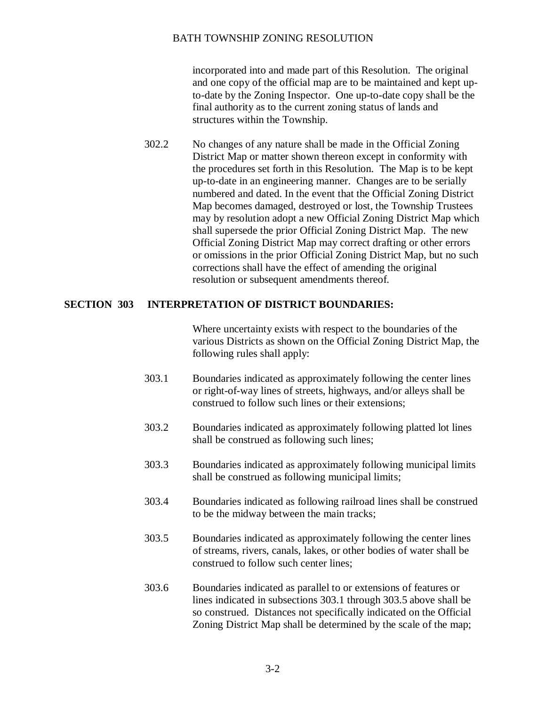incorporated into and made part of this Resolution. The original and one copy of the official map are to be maintained and kept upto-date by the Zoning Inspector. One up-to-date copy shall be the final authority as to the current zoning status of lands and structures within the Township.

302.2 No changes of any nature shall be made in the Official Zoning District Map or matter shown thereon except in conformity with the procedures set forth in this Resolution. The Map is to be kept up-to-date in an engineering manner. Changes are to be serially numbered and dated. In the event that the Official Zoning District Map becomes damaged, destroyed or lost, the Township Trustees may by resolution adopt a new Official Zoning District Map which shall supersede the prior Official Zoning District Map. The new Official Zoning District Map may correct drafting or other errors or omissions in the prior Official Zoning District Map, but no such corrections shall have the effect of amending the original resolution or subsequent amendments thereof.

#### <span id="page-28-0"></span>**SECTION 303 INTERPRETATION OF DISTRICT BOUNDARIES:**

Where uncertainty exists with respect to the boundaries of the various Districts as shown on the Official Zoning District Map, the following rules shall apply:

- 303.1 Boundaries indicated as approximately following the center lines or right-of-way lines of streets, highways, and/or alleys shall be construed to follow such lines or their extensions;
- 303.2 Boundaries indicated as approximately following platted lot lines shall be construed as following such lines;
- 303.3 Boundaries indicated as approximately following municipal limits shall be construed as following municipal limits;
- 303.4 Boundaries indicated as following railroad lines shall be construed to be the midway between the main tracks;
- 303.5 Boundaries indicated as approximately following the center lines of streams, rivers, canals, lakes, or other bodies of water shall be construed to follow such center lines;
- 303.6 Boundaries indicated as parallel to or extensions of features or lines indicated in subsections 303.1 through 303.5 above shall be so construed. Distances not specifically indicated on the Official Zoning District Map shall be determined by the scale of the map;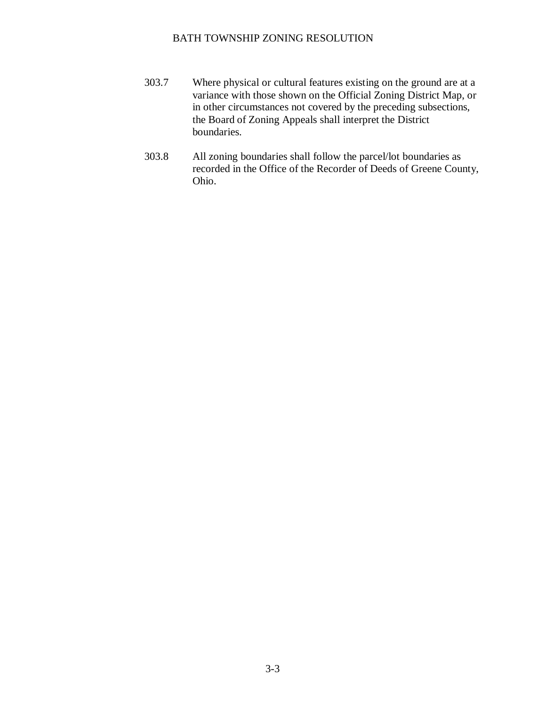- 303.7 Where physical or cultural features existing on the ground are at a variance with those shown on the Official Zoning District Map, or in other circumstances not covered by the preceding subsections, the Board of Zoning Appeals shall interpret the District boundaries.
- 303.8 All zoning boundaries shall follow the parcel/lot boundaries as recorded in the Office of the Recorder of Deeds of Greene County, Ohio.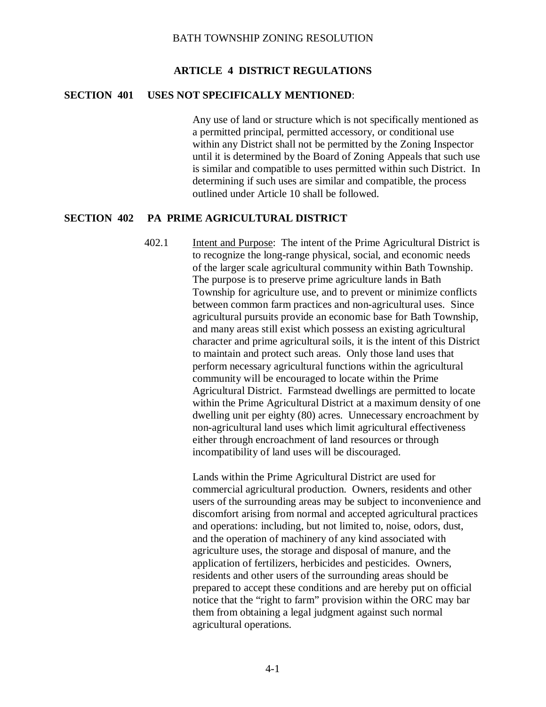## **ARTICLE 4 DISTRICT REGULATIONS**

#### <span id="page-30-1"></span><span id="page-30-0"></span>**SECTION 401 USES NOT SPECIFICALLY MENTIONED**:

Any use of land or structure which is not specifically mentioned as a permitted principal, permitted accessory, or conditional use within any District shall not be permitted by the Zoning Inspector until it is determined by the Board of Zoning Appeals that such use is similar and compatible to uses permitted within such District. In determining if such uses are similar and compatible, the process outlined under Article 10 shall be followed.

#### <span id="page-30-2"></span>**SECTION 402 PA PRIME AGRICULTURAL DISTRICT**

402.1 Intent and Purpose: The intent of the Prime Agricultural District is to recognize the long-range physical, social, and economic needs of the larger scale agricultural community within Bath Township. The purpose is to preserve prime agriculture lands in Bath Township for agriculture use, and to prevent or minimize conflicts between common farm practices and non-agricultural uses. Since agricultural pursuits provide an economic base for Bath Township, and many areas still exist which possess an existing agricultural character and prime agricultural soils, it is the intent of this District to maintain and protect such areas. Only those land uses that perform necessary agricultural functions within the agricultural community will be encouraged to locate within the Prime Agricultural District. Farmstead dwellings are permitted to locate within the Prime Agricultural District at a maximum density of one dwelling unit per eighty (80) acres. Unnecessary encroachment by non-agricultural land uses which limit agricultural effectiveness either through encroachment of land resources or through incompatibility of land uses will be discouraged.

> Lands within the Prime Agricultural District are used for commercial agricultural production. Owners, residents and other users of the surrounding areas may be subject to inconvenience and discomfort arising from normal and accepted agricultural practices and operations: including, but not limited to, noise, odors, dust, and the operation of machinery of any kind associated with agriculture uses, the storage and disposal of manure, and the application of fertilizers, herbicides and pesticides. Owners, residents and other users of the surrounding areas should be prepared to accept these conditions and are hereby put on official notice that the "right to farm" provision within the ORC may bar them from obtaining a legal judgment against such normal agricultural operations.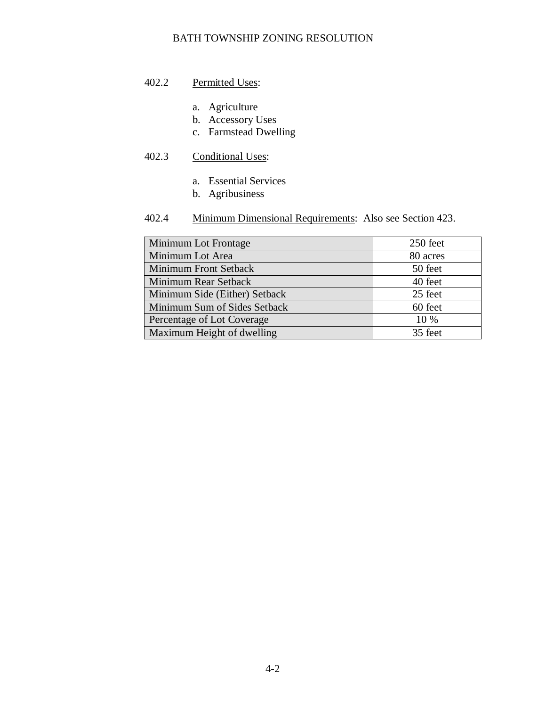## 402.2 Permitted Uses:

- a. Agriculture
- b. Accessory Uses
- c. Farmstead Dwelling

# 402.3 Conditional Uses:

- a. Essential Services
- b. Agribusiness

# 402.4 Minimum Dimensional Requirements: Also see Section 423.

| Minimum Lot Frontage          | 250 feet |
|-------------------------------|----------|
| Minimum Lot Area              | 80 acres |
| <b>Minimum Front Setback</b>  | 50 feet  |
| Minimum Rear Setback          | 40 feet  |
| Minimum Side (Either) Setback | 25 feet  |
| Minimum Sum of Sides Setback  | 60 feet  |
| Percentage of Lot Coverage    | 10 %     |
| Maximum Height of dwelling    | 35 feet  |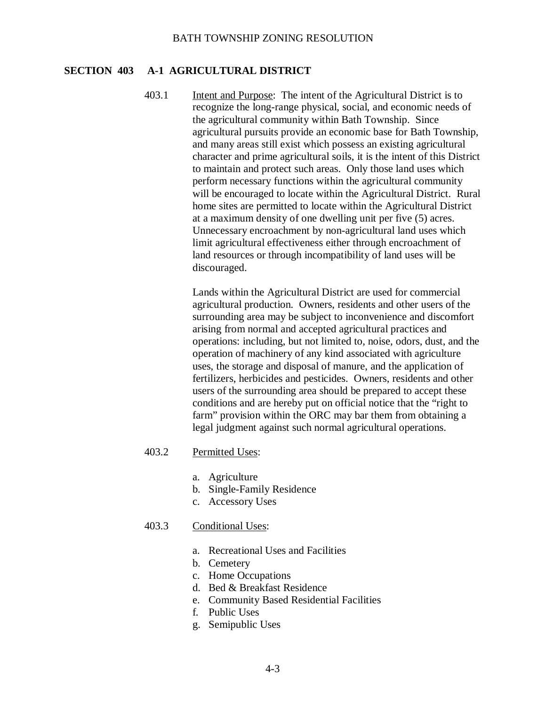#### <span id="page-32-0"></span>**SECTION 403 A-1 AGRICULTURAL DISTRICT**

403.1 Intent and Purpose: The intent of the Agricultural District is to recognize the long-range physical, social, and economic needs of the agricultural community within Bath Township. Since agricultural pursuits provide an economic base for Bath Township, and many areas still exist which possess an existing agricultural character and prime agricultural soils, it is the intent of this District to maintain and protect such areas. Only those land uses which perform necessary functions within the agricultural community will be encouraged to locate within the Agricultural District. Rural home sites are permitted to locate within the Agricultural District at a maximum density of one dwelling unit per five (5) acres. Unnecessary encroachment by non-agricultural land uses which limit agricultural effectiveness either through encroachment of land resources or through incompatibility of land uses will be discouraged.

> Lands within the Agricultural District are used for commercial agricultural production. Owners, residents and other users of the surrounding area may be subject to inconvenience and discomfort arising from normal and accepted agricultural practices and operations: including, but not limited to, noise, odors, dust, and the operation of machinery of any kind associated with agriculture uses, the storage and disposal of manure, and the application of fertilizers, herbicides and pesticides. Owners, residents and other users of the surrounding area should be prepared to accept these conditions and are hereby put on official notice that the "right to farm" provision within the ORC may bar them from obtaining a legal judgment against such normal agricultural operations.

#### 403.2 Permitted Uses:

- a. Agriculture
- b. Single-Family Residence
- c. Accessory Uses

#### 403.3 Conditional Uses:

- a. Recreational Uses and Facilities
- b. Cemetery
- c. Home Occupations
- d. Bed & Breakfast Residence
- e. Community Based Residential Facilities
- f. Public Uses
- g. Semipublic Uses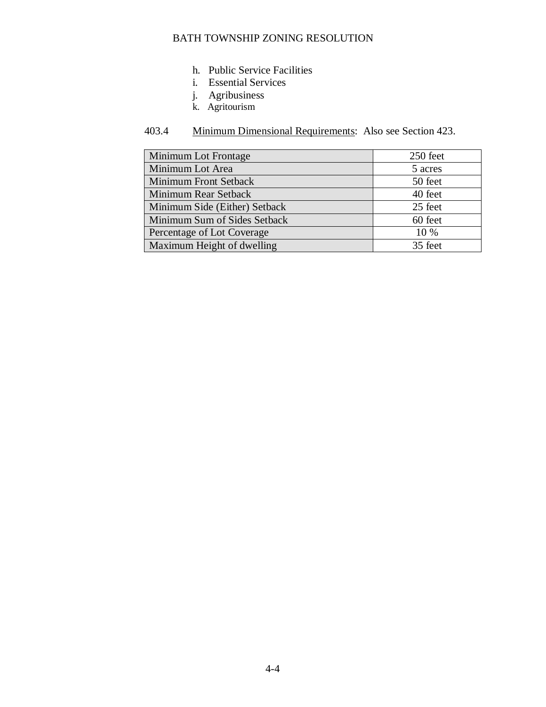- h. Public Service Facilities
- i. Essential Services
- j. Agribusiness
- k. Agritourism

# 403.4 Minimum Dimensional Requirements: Also see Section 423.

| Minimum Lot Frontage          | 250 feet |
|-------------------------------|----------|
| Minimum Lot Area              | 5 acres  |
| <b>Minimum Front Setback</b>  | 50 feet  |
| Minimum Rear Setback          | 40 feet  |
| Minimum Side (Either) Setback | 25 feet  |
| Minimum Sum of Sides Setback  | 60 feet  |
| Percentage of Lot Coverage    | 10 %     |
| Maximum Height of dwelling    | 35 feet  |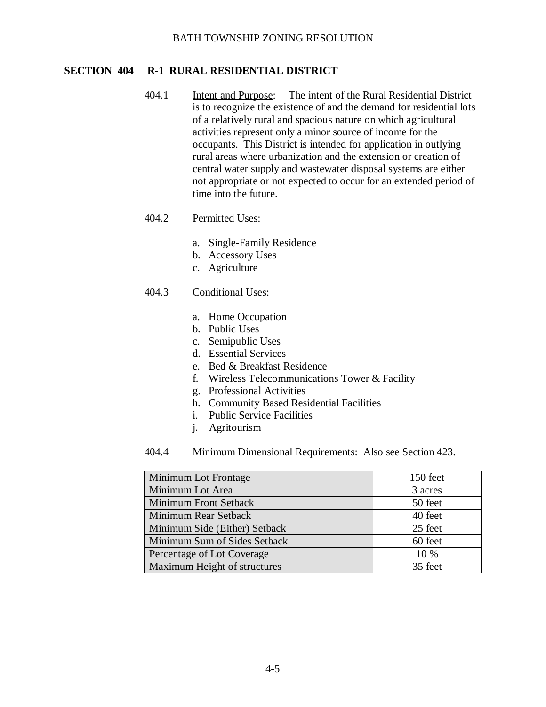#### <span id="page-34-0"></span>**SECTION 404 R-1 RURAL RESIDENTIAL DISTRICT**

404.1 Intent and Purpose: The intent of the Rural Residential District is to recognize the existence of and the demand for residential lots of a relatively rural and spacious nature on which agricultural activities represent only a minor source of income for the occupants. This District is intended for application in outlying rural areas where urbanization and the extension or creation of central water supply and wastewater disposal systems are either not appropriate or not expected to occur for an extended period of time into the future.

## 404.2 Permitted Uses:

- a. Single-Family Residence
- b. Accessory Uses
- c. Agriculture

#### 404.3 Conditional Uses:

- a. Home Occupation
- b. Public Uses
- c. Semipublic Uses
- d. Essential Services
- e. Bed & Breakfast Residence
- f. Wireless Telecommunications Tower & Facility
- g. Professional Activities
- h. Community Based Residential Facilities
- i. Public Service Facilities
- j. Agritourism
- 404.4 Minimum Dimensional Requirements: Also see Section 423.

| Minimum Lot Frontage          | 150 feet |
|-------------------------------|----------|
| Minimum Lot Area              | 3 acres  |
| Minimum Front Setback         | 50 feet  |
| Minimum Rear Setback          | 40 feet  |
| Minimum Side (Either) Setback | 25 feet  |
| Minimum Sum of Sides Setback  | 60 feet  |
| Percentage of Lot Coverage    | $10\%$   |
| Maximum Height of structures  | 35 feet  |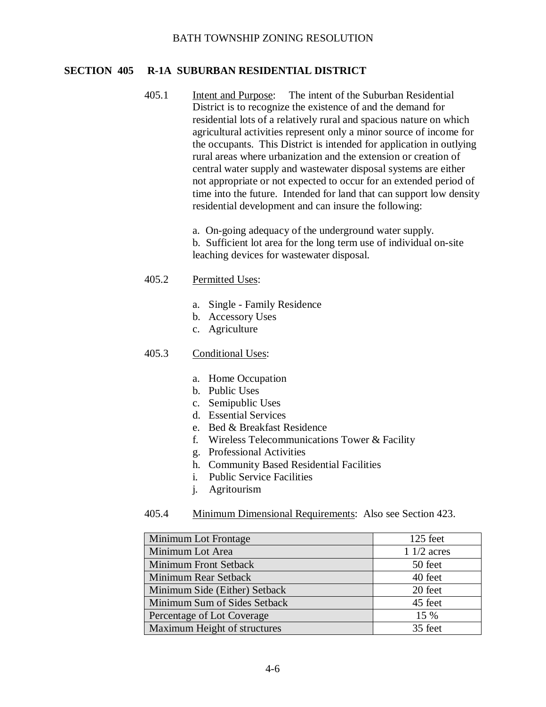#### <span id="page-35-0"></span>**SECTION 405 R-1A SUBURBAN RESIDENTIAL DISTRICT**

405.1 Intent and Purpose: The intent of the Suburban Residential District is to recognize the existence of and the demand for residential lots of a relatively rural and spacious nature on which agricultural activities represent only a minor source of income for the occupants. This District is intended for application in outlying rural areas where urbanization and the extension or creation of central water supply and wastewater disposal systems are either not appropriate or not expected to occur for an extended period of time into the future. Intended for land that can support low density residential development and can insure the following:

> a. On-going adequacy of the underground water supply. b. Sufficient lot area for the long term use of individual on-site leaching devices for wastewater disposal.

#### 405.2 Permitted Uses:

- a. Single Family Residence
- b. Accessory Uses
- c. Agriculture

## 405.3 Conditional Uses:

- a. Home Occupation
- b. Public Uses
- c. Semipublic Uses
- d. Essential Services
- e. Bed & Breakfast Residence
- f. Wireless Telecommunications Tower & Facility
- g. Professional Activities
- h. Community Based Residential Facilities
- i. Public Service Facilities
- j. Agritourism

#### 405.4 Minimum Dimensional Requirements: Also see Section 423.

| Minimum Lot Frontage          | 125 feet     |
|-------------------------------|--------------|
| Minimum Lot Area              | $11/2$ acres |
| <b>Minimum Front Setback</b>  | 50 feet      |
| Minimum Rear Setback          | 40 feet      |
| Minimum Side (Either) Setback | 20 feet      |
| Minimum Sum of Sides Setback  | 45 feet      |
| Percentage of Lot Coverage    | 15 %         |
| Maximum Height of structures  | 35 feet      |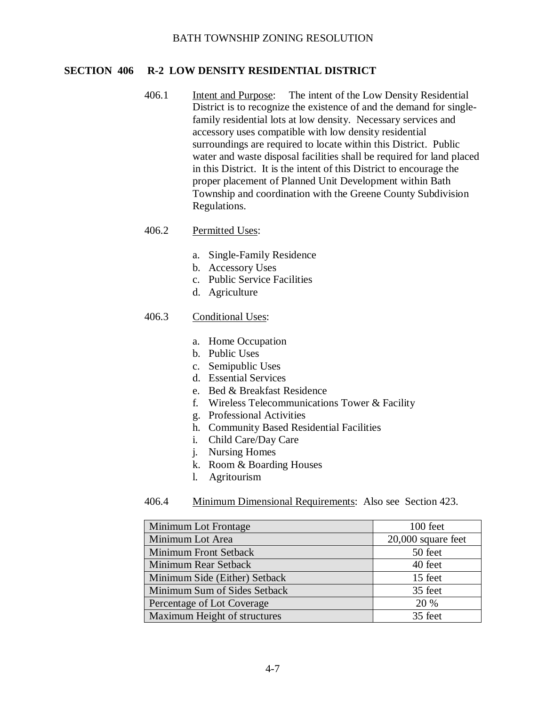### **SECTION 406 R-2 LOW DENSITY RESIDENTIAL DISTRICT**

406.1 Intent and Purpose: The intent of the Low Density Residential District is to recognize the existence of and the demand for singlefamily residential lots at low density. Necessary services and accessory uses compatible with low density residential surroundings are required to locate within this District. Public water and waste disposal facilities shall be required for land placed in this District. It is the intent of this District to encourage the proper placement of Planned Unit Development within Bath Township and coordination with the Greene County Subdivision Regulations.

### 406.2 Permitted Uses:

- a. Single-Family Residence
- b. Accessory Uses
- c. Public Service Facilities
- d. Agriculture

#### 406.3 Conditional Uses:

- a. Home Occupation
- b. Public Uses
- c. Semipublic Uses
- d. Essential Services
- e. Bed & Breakfast Residence
- f. Wireless Telecommunications Tower & Facility
- g. Professional Activities
- h. Community Based Residential Facilities
- i. Child Care/Day Care
- j. Nursing Homes
- k. Room & Boarding Houses
- l. Agritourism

| Minimum Lot Frontage          | 100 feet           |
|-------------------------------|--------------------|
| Minimum Lot Area              | 20,000 square feet |
| Minimum Front Setback         | 50 feet            |
| <b>Minimum Rear Setback</b>   | 40 feet            |
| Minimum Side (Either) Setback | 15 feet            |
| Minimum Sum of Sides Setback  | 35 feet            |
| Percentage of Lot Coverage    | 20 %               |
| Maximum Height of structures  | 35 feet            |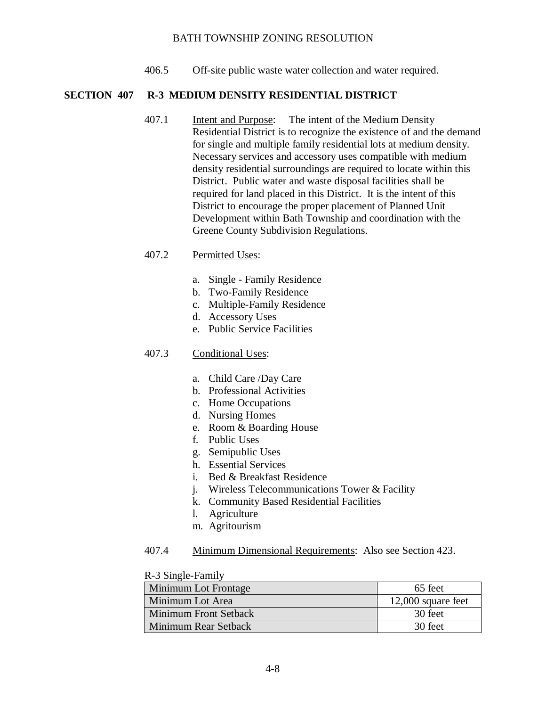406.5 Off-site public waste water collection and water required.

### **SECTION 407 R-3 MEDIUM DENSITY RESIDENTIAL DISTRICT**

407.1 Intent and Purpose: The intent of the Medium Density Residential District is to recognize the existence of and the demand for single and multiple family residential lots at medium density. Necessary services and accessory uses compatible with medium density residential surroundings are required to locate within this District. Public water and waste disposal facilities shall be required for land placed in this District. It is the intent of this District to encourage the proper placement of Planned Unit Development within Bath Township and coordination with the Greene County Subdivision Regulations.

### 407.2 Permitted Uses:

- a. Single Family Residence
- b. Two-Family Residence
- c. Multiple-Family Residence
- d. Accessory Uses
- e. Public Service Facilities

### 407.3 Conditional Uses:

- a. Child Care /Day Care
- b. Professional Activities
- c. Home Occupations
- d. Nursing Homes
- e. Room & Boarding House
- f. Public Uses
- g. Semipublic Uses
- h. Essential Services
- i. Bed & Breakfast Residence
- j. Wireless Telecommunications Tower & Facility
- k. Community Based Residential Facilities
- l. Agriculture
- m. Agritourism
- 407.4 Minimum Dimensional Requirements: Also see Section 423.

#### R-3 Single-Family

| Minimum Lot Frontage  | 65 feet              |
|-----------------------|----------------------|
| Minimum Lot Area      | $12,000$ square feet |
| Minimum Front Setback | 30 feet              |
| Minimum Rear Setback  | 30 feet              |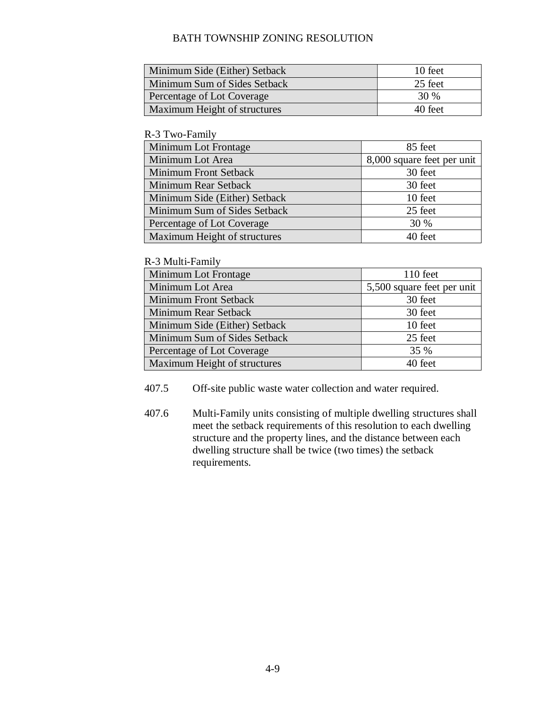| Minimum Side (Either) Setback | 10 feet |
|-------------------------------|---------|
| Minimum Sum of Sides Setback  | 25 feet |
| Percentage of Lot Coverage    | 30 %    |
| Maximum Height of structures  | 40 feet |

#### R-3 Two-Family

| Minimum Lot Frontage          | 85 feet                    |
|-------------------------------|----------------------------|
| Minimum Lot Area              | 8,000 square feet per unit |
| Minimum Front Setback         | 30 feet                    |
| Minimum Rear Setback          | 30 feet                    |
| Minimum Side (Either) Setback | 10 feet                    |
| Minimum Sum of Sides Setback  | 25 feet                    |
| Percentage of Lot Coverage    | 30 %                       |
| Maximum Height of structures  | 40 feet                    |

### R-3 Multi-Family

| Minimum Lot Frontage          | $110$ feet                 |
|-------------------------------|----------------------------|
| Minimum Lot Area              | 5,500 square feet per unit |
| <b>Minimum Front Setback</b>  | 30 feet                    |
| Minimum Rear Setback          | 30 feet                    |
| Minimum Side (Either) Setback | 10 feet                    |
| Minimum Sum of Sides Setback  | 25 feet                    |
| Percentage of Lot Coverage    | 35 %                       |
| Maximum Height of structures  | 40 feet                    |

407.5 Off-site public waste water collection and water required.

407.6 Multi-Family units consisting of multiple dwelling structures shall meet the setback requirements of this resolution to each dwelling structure and the property lines, and the distance between each dwelling structure shall be twice (two times) the setback requirements.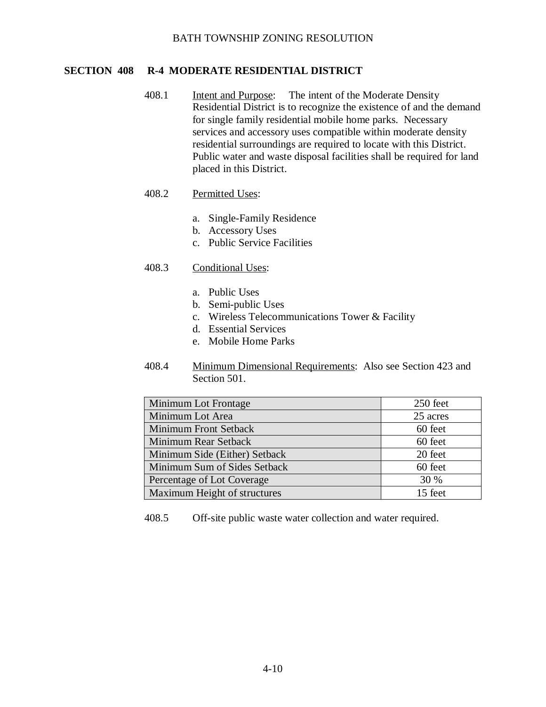# **SECTION 408 R-4 MODERATE RESIDENTIAL DISTRICT**

408.1 Intent and Purpose: The intent of the Moderate Density Residential District is to recognize the existence of and the demand for single family residential mobile home parks. Necessary services and accessory uses compatible within moderate density residential surroundings are required to locate with this District. Public water and waste disposal facilities shall be required for land placed in this District.

### 408.2 Permitted Uses:

- a. Single-Family Residence
- b. Accessory Uses
- c. Public Service Facilities

### 408.3 Conditional Uses:

- a. Public Uses
- b. Semi-public Uses
- c. Wireless Telecommunications Tower & Facility
- d. Essential Services
- e. Mobile Home Parks
- 408.4 Minimum Dimensional Requirements: Also see Section 423 and Section 501.

| <b>Minimum Lot Frontage</b>   | 250 feet |
|-------------------------------|----------|
| Minimum Lot Area              | 25 acres |
| <b>Minimum Front Setback</b>  | 60 feet  |
| Minimum Rear Setback          | 60 feet  |
| Minimum Side (Either) Setback | 20 feet  |
| Minimum Sum of Sides Setback  | 60 feet  |
| Percentage of Lot Coverage    | 30 %     |
| Maximum Height of structures  | 15 feet  |

408.5 Off-site public waste water collection and water required.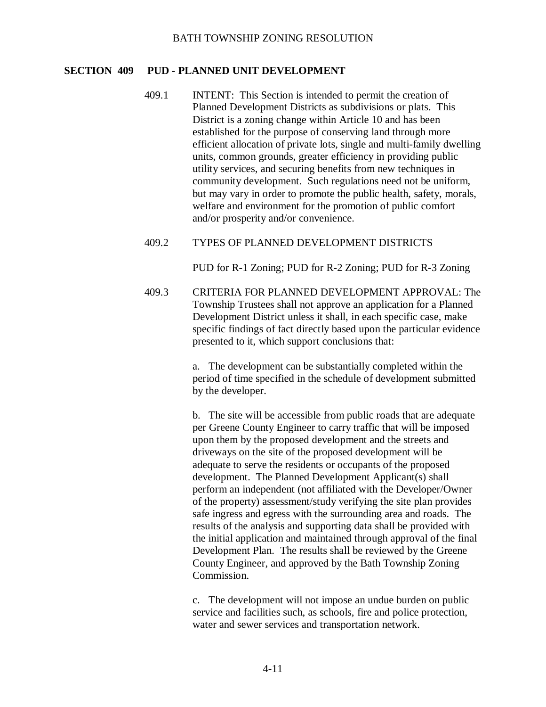### **SECTION 409 PUD - PLANNED UNIT DEVELOPMENT**

409.1 INTENT: This Section is intended to permit the creation of Planned Development Districts as subdivisions or plats. This District is a zoning change within Article 10 and has been established for the purpose of conserving land through more efficient allocation of private lots, single and multi-family dwelling units, common grounds, greater efficiency in providing public utility services, and securing benefits from new techniques in community development. Such regulations need not be uniform, but may vary in order to promote the public health, safety, morals, welfare and environment for the promotion of public comfort and/or prosperity and/or convenience.

### 409.2 TYPES OF PLANNED DEVELOPMENT DISTRICTS

PUD for R-1 Zoning; PUD for R-2 Zoning; PUD for R-3 Zoning

409.3 CRITERIA FOR PLANNED DEVELOPMENT APPROVAL: The Township Trustees shall not approve an application for a Planned Development District unless it shall, in each specific case, make specific findings of fact directly based upon the particular evidence presented to it, which support conclusions that:

> a. The development can be substantially completed within the period of time specified in the schedule of development submitted by the developer.

> b. The site will be accessible from public roads that are adequate per Greene County Engineer to carry traffic that will be imposed upon them by the proposed development and the streets and driveways on the site of the proposed development will be adequate to serve the residents or occupants of the proposed development. The Planned Development Applicant(s) shall perform an independent (not affiliated with the Developer/Owner of the property) assessment/study verifying the site plan provides safe ingress and egress with the surrounding area and roads. The results of the analysis and supporting data shall be provided with the initial application and maintained through approval of the final Development Plan. The results shall be reviewed by the Greene County Engineer, and approved by the Bath Township Zoning Commission.

c. The development will not impose an undue burden on public service and facilities such, as schools, fire and police protection, water and sewer services and transportation network.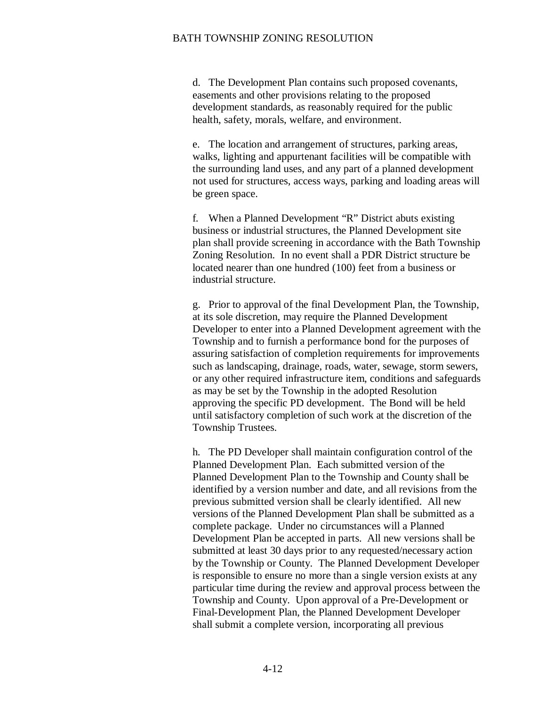d. The Development Plan contains such proposed covenants, easements and other provisions relating to the proposed development standards, as reasonably required for the public health, safety, morals, welfare, and environment.

e. The location and arrangement of structures, parking areas, walks, lighting and appurtenant facilities will be compatible with the surrounding land uses, and any part of a planned development not used for structures, access ways, parking and loading areas will be green space.

f. When a Planned Development "R" District abuts existing business or industrial structures, the Planned Development site plan shall provide screening in accordance with the Bath Township Zoning Resolution. In no event shall a PDR District structure be located nearer than one hundred (100) feet from a business or industrial structure.

g. Prior to approval of the final Development Plan, the Township, at its sole discretion, may require the Planned Development Developer to enter into a Planned Development agreement with the Township and to furnish a performance bond for the purposes of assuring satisfaction of completion requirements for improvements such as landscaping, drainage, roads, water, sewage, storm sewers, or any other required infrastructure item, conditions and safeguards as may be set by the Township in the adopted Resolution approving the specific PD development. The Bond will be held until satisfactory completion of such work at the discretion of the Township Trustees.

h. The PD Developer shall maintain configuration control of the Planned Development Plan. Each submitted version of the Planned Development Plan to the Township and County shall be identified by a version number and date, and all revisions from the previous submitted version shall be clearly identified. All new versions of the Planned Development Plan shall be submitted as a complete package. Under no circumstances will a Planned Development Plan be accepted in parts. All new versions shall be submitted at least 30 days prior to any requested/necessary action by the Township or County. The Planned Development Developer is responsible to ensure no more than a single version exists at any particular time during the review and approval process between the Township and County. Upon approval of a Pre-Development or Final-Development Plan, the Planned Development Developer shall submit a complete version, incorporating all previous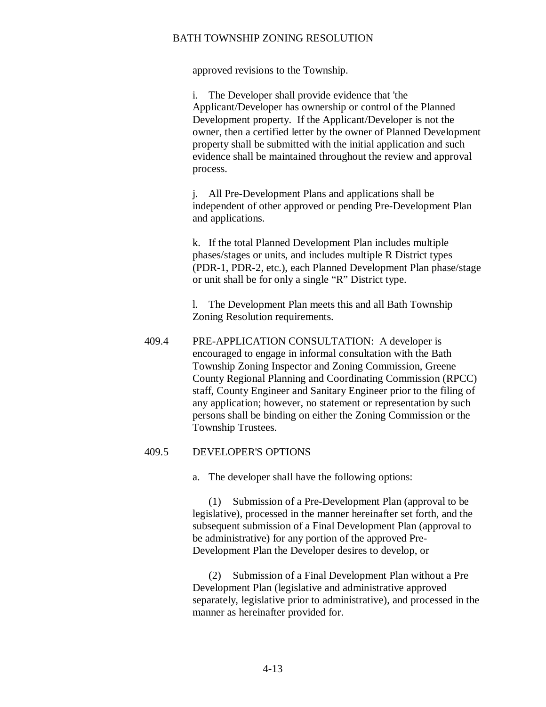approved revisions to the Township.

i. The Developer shall provide evidence that 'the Applicant/Developer has ownership or control of the Planned Development property. If the Applicant/Developer is not the owner, then a certified letter by the owner of Planned Development property shall be submitted with the initial application and such evidence shall be maintained throughout the review and approval process.

j. All Pre-Development Plans and applications shall be independent of other approved or pending Pre-Development Plan and applications.

k. If the total Planned Development Plan includes multiple phases/stages or units, and includes multiple R District types (PDR-1, PDR-2, etc.), each Planned Development Plan phase/stage or unit shall be for only a single "R" District type.

l. The Development Plan meets this and all Bath Township Zoning Resolution requirements.

409.4 PRE-APPLICATION CONSULTATION: A developer is encouraged to engage in informal consultation with the Bath Township Zoning Inspector and Zoning Commission, Greene County Regional Planning and Coordinating Commission (RPCC) staff, County Engineer and Sanitary Engineer prior to the filing of any application; however, no statement or representation by such persons shall be binding on either the Zoning Commission or the Township Trustees.

### 409.5 DEVELOPER'S OPTIONS

a. The developer shall have the following options:

(1) Submission of a Pre-Development Plan (approval to be legislative), processed in the manner hereinafter set forth, and the subsequent submission of a Final Development Plan (approval to be administrative) for any portion of the approved Pre-Development Plan the Developer desires to develop, or

(2) Submission of a Final Development Plan without a Pre Development Plan (legislative and administrative approved separately, legislative prior to administrative), and processed in the manner as hereinafter provided for.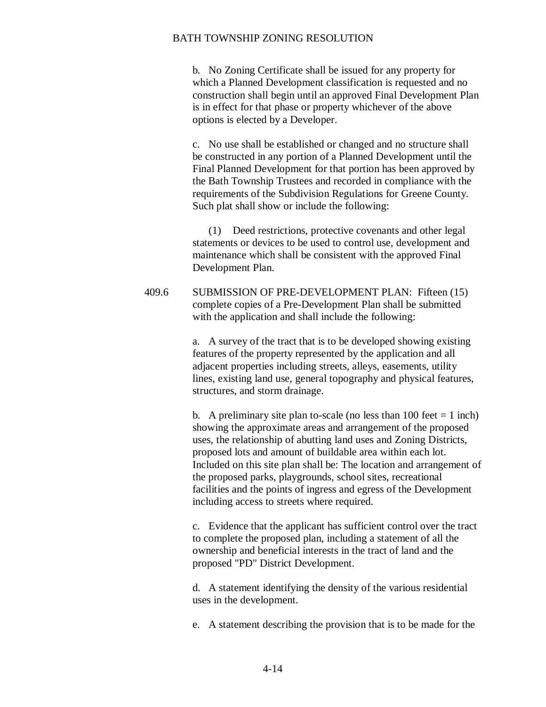b. No Zoning Certificate shall be issued for any property for which a Planned Development classification is requested and no construction shall begin until an approved Final Development Plan is in effect for that phase or property whichever of the above options is elected by a Developer.

c. No use shall be established or changed and no structure shall be constructed in any portion of a Planned Development until the Final Planned Development for that portion has been approved by the Bath Township Trustees and recorded in compliance with the requirements of the Subdivision Regulations for Greene County. Such plat shall show or include the following:

(1) Deed restrictions, protective covenants and other legal statements or devices to be used to control use, development and maintenance which shall be consistent with the approved Final Development Plan.

409.6 SUBMISSION OF PRE-DEVELOPMENT PLAN: Fifteen (15) complete copies of a Pre-Development Plan shall be submitted with the application and shall include the following:

> a. A survey of the tract that is to be developed showing existing features of the property represented by the application and all adjacent properties including streets, alleys, easements, utility lines, existing land use, general topography and physical features, structures, and storm drainage.

b. A preliminary site plan to-scale (no less than 100 feet  $= 1$  inch) showing the approximate areas and arrangement of the proposed uses, the relationship of abutting land uses and Zoning Districts, proposed lots and amount of buildable area within each lot. Included on this site plan shall be: The location and arrangement of the proposed parks, playgrounds, school sites, recreational facilities and the points of ingress and egress of the Development including access to streets where required.

c. Evidence that the applicant has sufficient control over the tract to complete the proposed plan, including a statement of all the ownership and beneficial interests in the tract of land and the proposed "PD" District Development.

d. A statement identifying the density of the various residential uses in the development.

e. A statement describing the provision that is to be made for the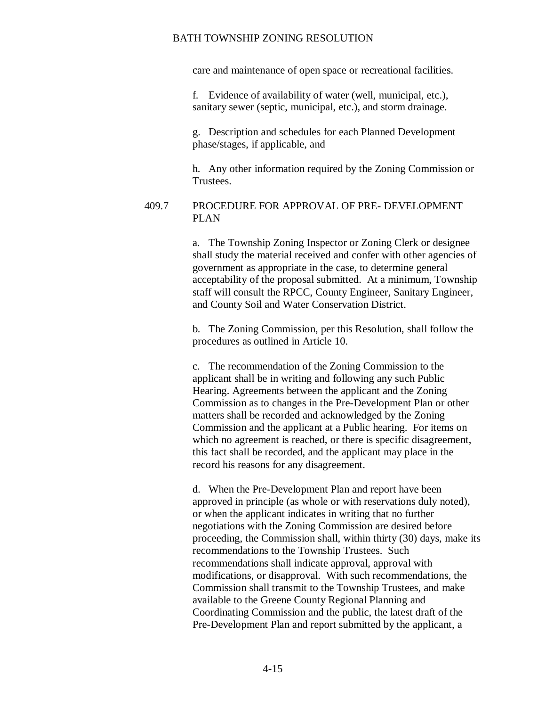care and maintenance of open space or recreational facilities.

f. Evidence of availability of water (well, municipal, etc.), sanitary sewer (septic, municipal, etc.), and storm drainage.

g. Description and schedules for each Planned Development phase/stages, if applicable, and

h. Any other information required by the Zoning Commission or Trustees.

### 409.7 PROCEDURE FOR APPROVAL OF PRE- DEVELOPMENT PLAN

a. The Township Zoning Inspector or Zoning Clerk or designee shall study the material received and confer with other agencies of government as appropriate in the case, to determine general acceptability of the proposal submitted. At a minimum, Township staff will consult the RPCC, County Engineer, Sanitary Engineer, and County Soil and Water Conservation District.

b. The Zoning Commission, per this Resolution, shall follow the procedures as outlined in Article 10.

c. The recommendation of the Zoning Commission to the applicant shall be in writing and following any such Public Hearing. Agreements between the applicant and the Zoning Commission as to changes in the Pre-Development Plan or other matters shall be recorded and acknowledged by the Zoning Commission and the applicant at a Public hearing. For items on which no agreement is reached, or there is specific disagreement, this fact shall be recorded, and the applicant may place in the record his reasons for any disagreement.

d. When the Pre-Development Plan and report have been approved in principle (as whole or with reservations duly noted), or when the applicant indicates in writing that no further negotiations with the Zoning Commission are desired before proceeding, the Commission shall, within thirty (30) days, make its recommendations to the Township Trustees. Such recommendations shall indicate approval, approval with modifications, or disapproval. With such recommendations, the Commission shall transmit to the Township Trustees, and make available to the Greene County Regional Planning and Coordinating Commission and the public, the latest draft of the Pre-Development Plan and report submitted by the applicant, a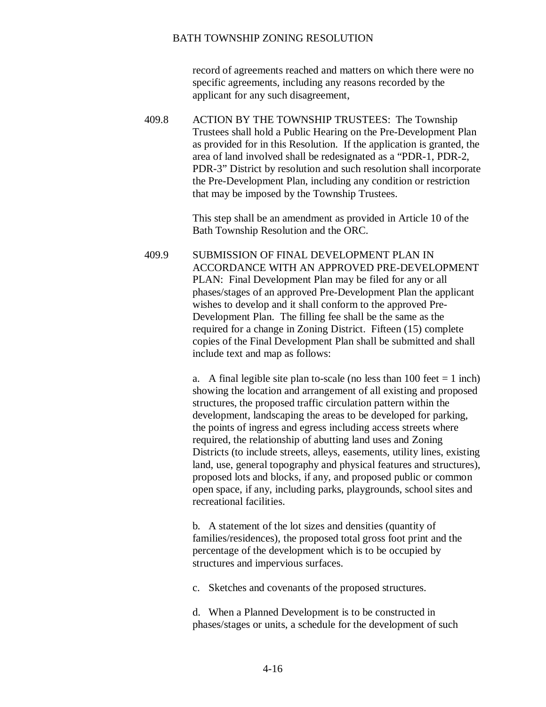record of agreements reached and matters on which there were no specific agreements, including any reasons recorded by the applicant for any such disagreement,

409.8 ACTION BY THE TOWNSHIP TRUSTEES: The Township Trustees shall hold a Public Hearing on the Pre-Development Plan as provided for in this Resolution. If the application is granted, the area of land involved shall be redesignated as a "PDR-1, PDR-2, PDR-3" District by resolution and such resolution shall incorporate the Pre-Development Plan, including any condition or restriction that may be imposed by the Township Trustees.

> This step shall be an amendment as provided in Article 10 of the Bath Township Resolution and the ORC.

409.9 SUBMISSION OF FINAL DEVELOPMENT PLAN IN ACCORDANCE WITH AN APPROVED PRE-DEVELOPMENT PLAN: Final Development Plan may be filed for any or all phases/stages of an approved Pre-Development Plan the applicant wishes to develop and it shall conform to the approved Pre-Development Plan. The filling fee shall be the same as the required for a change in Zoning District. Fifteen (15) complete copies of the Final Development Plan shall be submitted and shall include text and map as follows:

> a. A final legible site plan to-scale (no less than  $100$  feet  $= 1$  inch) showing the location and arrangement of all existing and proposed structures, the proposed traffic circulation pattern within the development, landscaping the areas to be developed for parking, the points of ingress and egress including access streets where required, the relationship of abutting land uses and Zoning Districts (to include streets, alleys, easements, utility lines, existing land, use, general topography and physical features and structures), proposed lots and blocks, if any, and proposed public or common open space, if any, including parks, playgrounds, school sites and recreational facilities.

b. A statement of the lot sizes and densities (quantity of families/residences), the proposed total gross foot print and the percentage of the development which is to be occupied by structures and impervious surfaces.

c. Sketches and covenants of the proposed structures.

d. When a Planned Development is to be constructed in phases/stages or units, a schedule for the development of such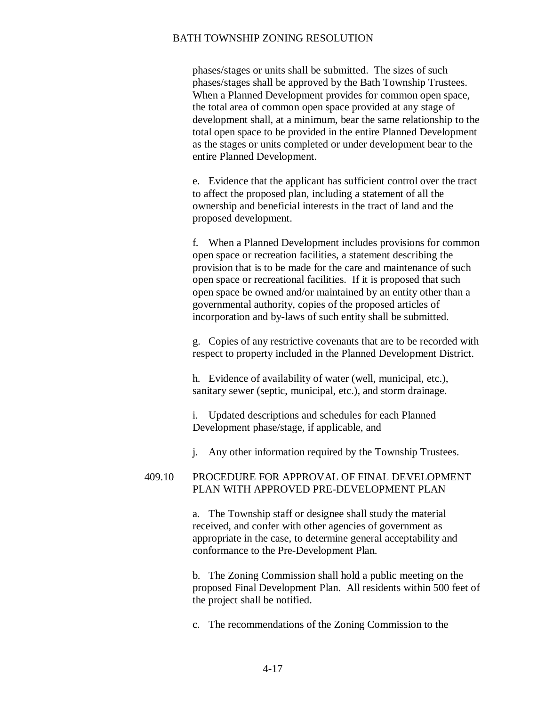phases/stages or units shall be submitted. The sizes of such phases/stages shall be approved by the Bath Township Trustees. When a Planned Development provides for common open space, the total area of common open space provided at any stage of development shall, at a minimum, bear the same relationship to the total open space to be provided in the entire Planned Development as the stages or units completed or under development bear to the entire Planned Development.

e. Evidence that the applicant has sufficient control over the tract to affect the proposed plan, including a statement of all the ownership and beneficial interests in the tract of land and the proposed development.

f. When a Planned Development includes provisions for common open space or recreation facilities, a statement describing the provision that is to be made for the care and maintenance of such open space or recreational facilities. If it is proposed that such open space be owned and/or maintained by an entity other than a governmental authority, copies of the proposed articles of incorporation and by-laws of such entity shall be submitted.

g. Copies of any restrictive covenants that are to be recorded with respect to property included in the Planned Development District.

h. Evidence of availability of water (well, municipal, etc.), sanitary sewer (septic, municipal, etc.), and storm drainage.

i. Updated descriptions and schedules for each Planned Development phase/stage, if applicable, and

j. Any other information required by the Township Trustees.

### 409.10 PROCEDURE FOR APPROVAL OF FINAL DEVELOPMENT PLAN WITH APPROVED PRE-DEVELOPMENT PLAN

a. The Township staff or designee shall study the material received, and confer with other agencies of government as appropriate in the case, to determine general acceptability and conformance to the Pre-Development Plan.

b. The Zoning Commission shall hold a public meeting on the proposed Final Development Plan. All residents within 500 feet of the project shall be notified.

c. The recommendations of the Zoning Commission to the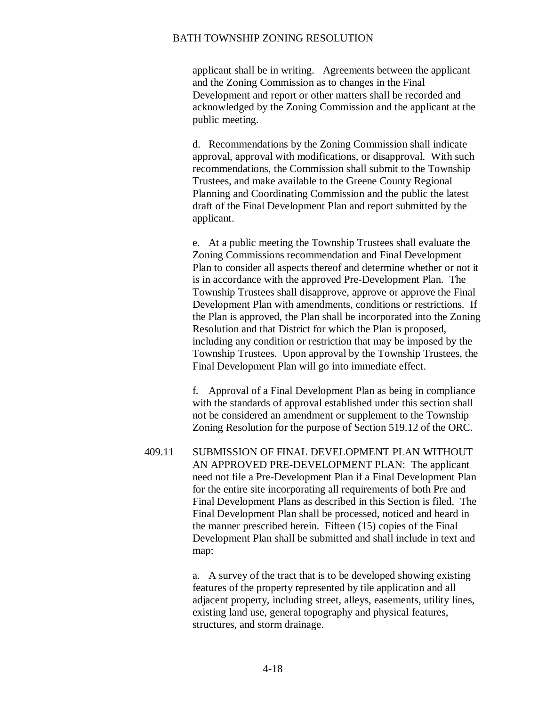applicant shall be in writing. Agreements between the applicant and the Zoning Commission as to changes in the Final Development and report or other matters shall be recorded and acknowledged by the Zoning Commission and the applicant at the public meeting.

d. Recommendations by the Zoning Commission shall indicate approval, approval with modifications, or disapproval. With such recommendations, the Commission shall submit to the Township Trustees, and make available to the Greene County Regional Planning and Coordinating Commission and the public the latest draft of the Final Development Plan and report submitted by the applicant.

e. At a public meeting the Township Trustees shall evaluate the Zoning Commissions recommendation and Final Development Plan to consider all aspects thereof and determine whether or not it is in accordance with the approved Pre-Development Plan. The Township Trustees shall disapprove, approve or approve the Final Development Plan with amendments, conditions or restrictions. If the Plan is approved, the Plan shall be incorporated into the Zoning Resolution and that District for which the Plan is proposed, including any condition or restriction that may be imposed by the Township Trustees. Upon approval by the Township Trustees, the Final Development Plan will go into immediate effect.

f. Approval of a Final Development Plan as being in compliance with the standards of approval established under this section shall not be considered an amendment or supplement to the Township Zoning Resolution for the purpose of Section 519.12 of the ORC.

409.11 SUBMISSION OF FINAL DEVELOPMENT PLAN WITHOUT AN APPROVED PRE-DEVELOPMENT PLAN: The applicant need not file a Pre-Development Plan if a Final Development Plan for the entire site incorporating all requirements of both Pre and Final Development Plans as described in this Section is filed. The Final Development Plan shall be processed, noticed and heard in the manner prescribed herein. Fifteen (15) copies of the Final Development Plan shall be submitted and shall include in text and map:

> a. A survey of the tract that is to be developed showing existing features of the property represented by tile application and all adjacent property, including street, alleys, easements, utility lines, existing land use, general topography and physical features, structures, and storm drainage.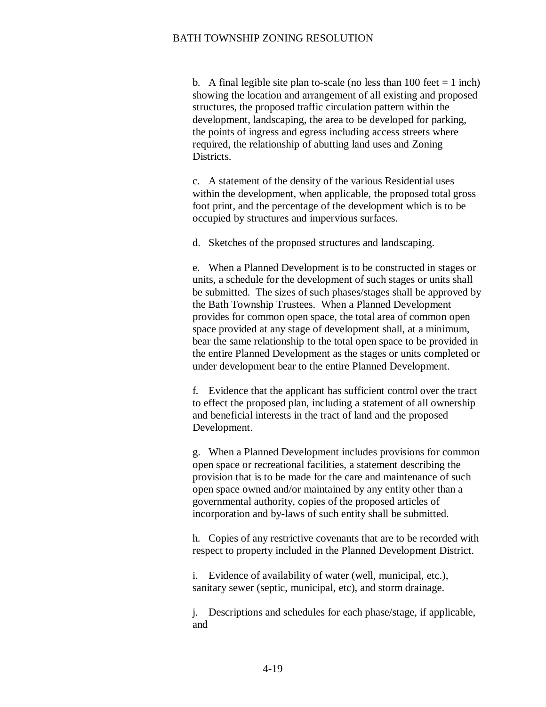b. A final legible site plan to-scale (no less than  $100$  feet  $= 1$  inch) showing the location and arrangement of all existing and proposed structures, the proposed traffic circulation pattern within the development, landscaping, the area to be developed for parking, the points of ingress and egress including access streets where required, the relationship of abutting land uses and Zoning Districts.

c. A statement of the density of the various Residential uses within the development, when applicable, the proposed total gross foot print, and the percentage of the development which is to be occupied by structures and impervious surfaces.

d. Sketches of the proposed structures and landscaping.

e. When a Planned Development is to be constructed in stages or units, a schedule for the development of such stages or units shall be submitted. The sizes of such phases/stages shall be approved by the Bath Township Trustees. When a Planned Development provides for common open space, the total area of common open space provided at any stage of development shall, at a minimum, bear the same relationship to the total open space to be provided in the entire Planned Development as the stages or units completed or under development bear to the entire Planned Development.

f. Evidence that the applicant has sufficient control over the tract to effect the proposed plan, including a statement of all ownership and beneficial interests in the tract of land and the proposed Development.

g. When a Planned Development includes provisions for common open space or recreational facilities, a statement describing the provision that is to be made for the care and maintenance of such open space owned and/or maintained by any entity other than a governmental authority, copies of the proposed articles of incorporation and by-laws of such entity shall be submitted.

h. Copies of any restrictive covenants that are to be recorded with respect to property included in the Planned Development District.

i. Evidence of availability of water (well, municipal, etc.), sanitary sewer (septic, municipal, etc), and storm drainage.

j. Descriptions and schedules for each phase/stage, if applicable, and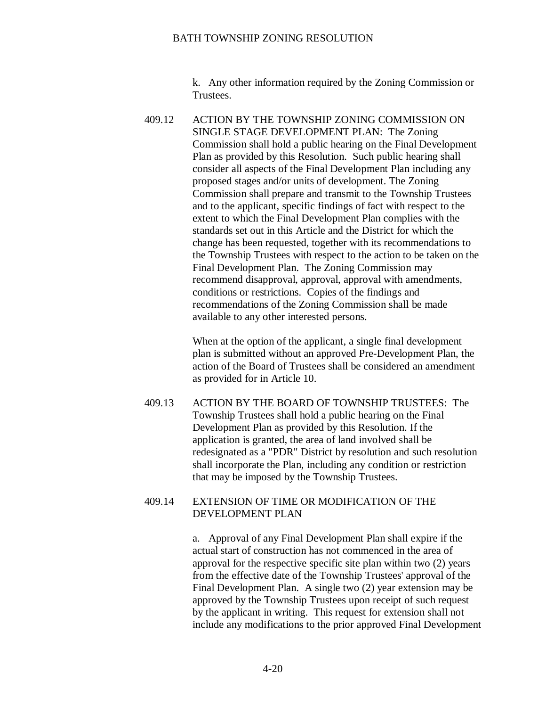k. Any other information required by the Zoning Commission or Trustees.

409.12 ACTION BY THE TOWNSHIP ZONING COMMISSION ON SINGLE STAGE DEVELOPMENT PLAN: The Zoning Commission shall hold a public hearing on the Final Development Plan as provided by this Resolution. Such public hearing shall consider all aspects of the Final Development Plan including any proposed stages and/or units of development. The Zoning Commission shall prepare and transmit to the Township Trustees and to the applicant, specific findings of fact with respect to the extent to which the Final Development Plan complies with the standards set out in this Article and the District for which the change has been requested, together with its recommendations to the Township Trustees with respect to the action to be taken on the Final Development Plan. The Zoning Commission may recommend disapproval, approval, approval with amendments, conditions or restrictions. Copies of the findings and recommendations of the Zoning Commission shall be made available to any other interested persons.

> When at the option of the applicant, a single final development plan is submitted without an approved Pre-Development Plan, the action of the Board of Trustees shall be considered an amendment as provided for in Article 10.

409.13 ACTION BY THE BOARD OF TOWNSHIP TRUSTEES: The Township Trustees shall hold a public hearing on the Final Development Plan as provided by this Resolution. If the application is granted, the area of land involved shall be redesignated as a "PDR" District by resolution and such resolution shall incorporate the Plan, including any condition or restriction that may be imposed by the Township Trustees.

#### 409.14 EXTENSION OF TIME OR MODIFICATION OF THE DEVELOPMENT PLAN

a. Approval of any Final Development Plan shall expire if the actual start of construction has not commenced in the area of approval for the respective specific site plan within two (2) years from the effective date of the Township Trustees' approval of the Final Development Plan. A single two (2) year extension may be approved by the Township Trustees upon receipt of such request by the applicant in writing. This request for extension shall not include any modifications to the prior approved Final Development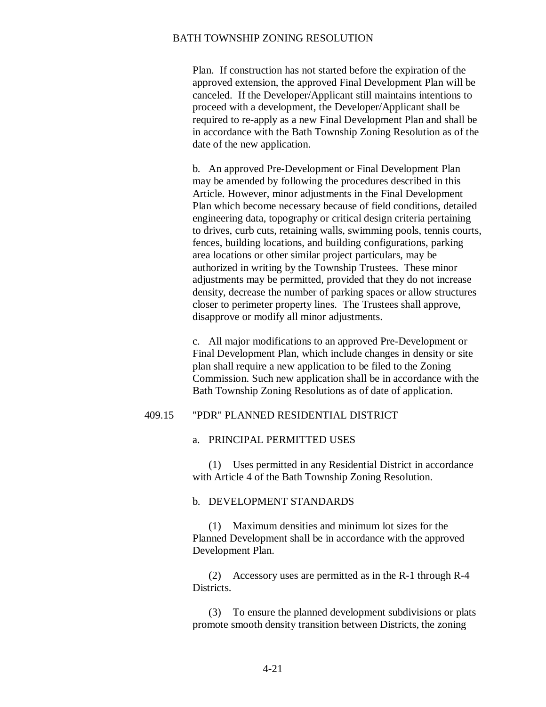Plan. If construction has not started before the expiration of the approved extension, the approved Final Development Plan will be canceled. If the Developer/Applicant still maintains intentions to proceed with a development, the Developer/Applicant shall be required to re-apply as a new Final Development Plan and shall be in accordance with the Bath Township Zoning Resolution as of the date of the new application.

b. An approved Pre-Development or Final Development Plan may be amended by following the procedures described in this Article. However, minor adjustments in the Final Development Plan which become necessary because of field conditions, detailed engineering data, topography or critical design criteria pertaining to drives, curb cuts, retaining walls, swimming pools, tennis courts, fences, building locations, and building configurations, parking area locations or other similar project particulars, may be authorized in writing by the Township Trustees. These minor adjustments may be permitted, provided that they do not increase density, decrease the number of parking spaces or allow structures closer to perimeter property lines. The Trustees shall approve, disapprove or modify all minor adjustments.

c. All major modifications to an approved Pre-Development or Final Development Plan, which include changes in density or site plan shall require a new application to be filed to the Zoning Commission. Such new application shall be in accordance with the Bath Township Zoning Resolutions as of date of application.

#### 409.15 "PDR" PLANNED RESIDENTIAL DISTRICT

#### a. PRINCIPAL PERMITTED USES

(1) Uses permitted in any Residential District in accordance with Article 4 of the Bath Township Zoning Resolution.

#### b. DEVELOPMENT STANDARDS

(1) Maximum densities and minimum lot sizes for the Planned Development shall be in accordance with the approved Development Plan.

(2) Accessory uses are permitted as in the R-1 through R-4 Districts.

(3) To ensure the planned development subdivisions or plats promote smooth density transition between Districts, the zoning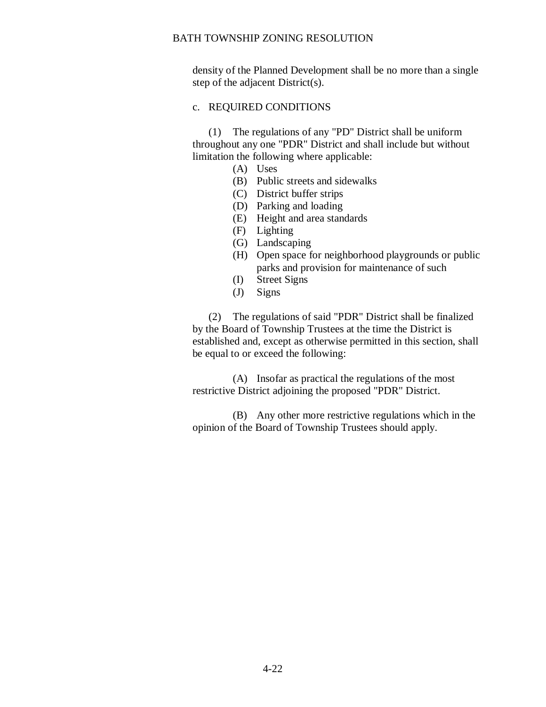density of the Planned Development shall be no more than a single step of the adjacent District(s).

#### c. REQUIRED CONDITIONS

(1) The regulations of any "PD" District shall be uniform throughout any one "PDR" District and shall include but without limitation the following where applicable:

- (A) Uses
- (B) Public streets and sidewalks
- (C) District buffer strips
- (D) Parking and loading
- (E) Height and area standards
- (F) Lighting
- (G) Landscaping
- (H) Open space for neighborhood playgrounds or public parks and provision for maintenance of such
- (I) Street Signs
- (J) Signs

(2) The regulations of said "PDR" District shall be finalized by the Board of Township Trustees at the time the District is established and, except as otherwise permitted in this section, shall be equal to or exceed the following:

(A) Insofar as practical the regulations of the most restrictive District adjoining the proposed "PDR" District.

(B) Any other more restrictive regulations which in the opinion of the Board of Township Trustees should apply.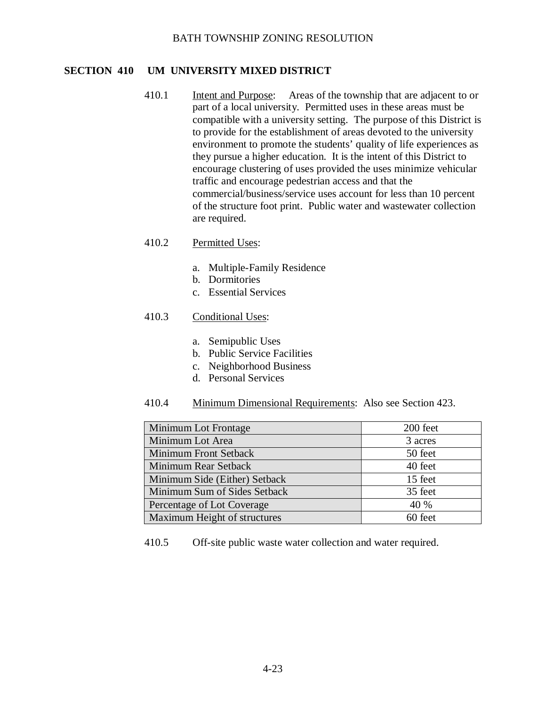# **SECTION 410 UM UNIVERSITY MIXED DISTRICT**

- 410.1 Intent and Purpose: Areas of the township that are adjacent to or part of a local university. Permitted uses in these areas must be compatible with a university setting. The purpose of this District is to provide for the establishment of areas devoted to the university environment to promote the students' quality of life experiences as they pursue a higher education. It is the intent of this District to encourage clustering of uses provided the uses minimize vehicular traffic and encourage pedestrian access and that the commercial/business/service uses account for less than 10 percent of the structure foot print. Public water and wastewater collection are required.
- 410.2 Permitted Uses:
	- a. Multiple-Family Residence
	- b. Dormitories
	- c. Essential Services

# 410.3 Conditional Uses:

- a. Semipublic Uses
- b. Public Service Facilities
- c. Neighborhood Business
- d. Personal Services
- 410.4 Minimum Dimensional Requirements: Also see Section 423.

| Minimum Lot Frontage          | 200 feet |
|-------------------------------|----------|
| Minimum Lot Area              | 3 acres  |
| <b>Minimum Front Setback</b>  | 50 feet  |
| Minimum Rear Setback          | 40 feet  |
| Minimum Side (Either) Setback | 15 feet  |
| Minimum Sum of Sides Setback  | 35 feet  |
| Percentage of Lot Coverage    | 40 %     |
| Maximum Height of structures  | 60 feet  |

410.5 Off-site public waste water collection and water required.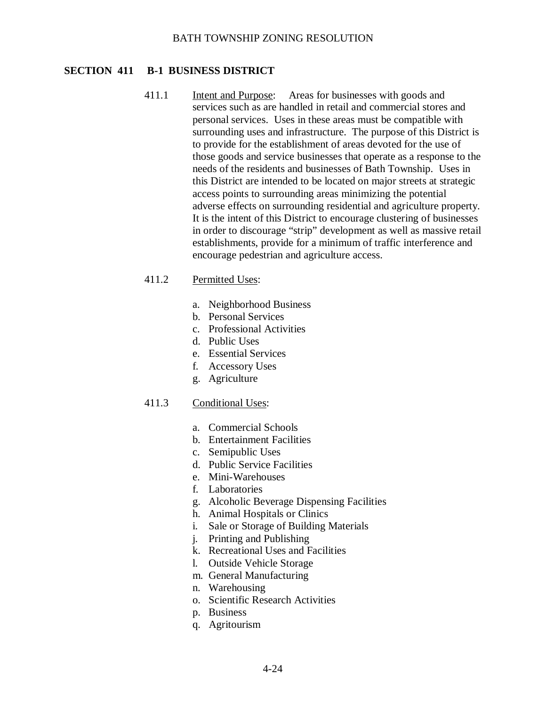### **SECTION 411 B-1 BUSINESS DISTRICT**

411.1 Intent and Purpose: Areas for businesses with goods and services such as are handled in retail and commercial stores and personal services. Uses in these areas must be compatible with surrounding uses and infrastructure. The purpose of this District is to provide for the establishment of areas devoted for the use of those goods and service businesses that operate as a response to the needs of the residents and businesses of Bath Township. Uses in this District are intended to be located on major streets at strategic access points to surrounding areas minimizing the potential adverse effects on surrounding residential and agriculture property. It is the intent of this District to encourage clustering of businesses in order to discourage "strip" development as well as massive retail establishments, provide for a minimum of traffic interference and encourage pedestrian and agriculture access.

### 411.2 Permitted Uses:

- a. Neighborhood Business
- b. Personal Services
- c. Professional Activities
- d. Public Uses
- e. Essential Services
- f. Accessory Uses
- g. Agriculture

### 411.3 Conditional Uses:

- a. Commercial Schools
- b. Entertainment Facilities
- c. Semipublic Uses
- d. Public Service Facilities
- e. Mini-Warehouses
- f. Laboratories
- g. Alcoholic Beverage Dispensing Facilities
- h. Animal Hospitals or Clinics
- i. Sale or Storage of Building Materials
- j. Printing and Publishing
- k. Recreational Uses and Facilities
- l. Outside Vehicle Storage
- m. General Manufacturing
- n. Warehousing
- o. Scientific Research Activities
- p. Business
- q. Agritourism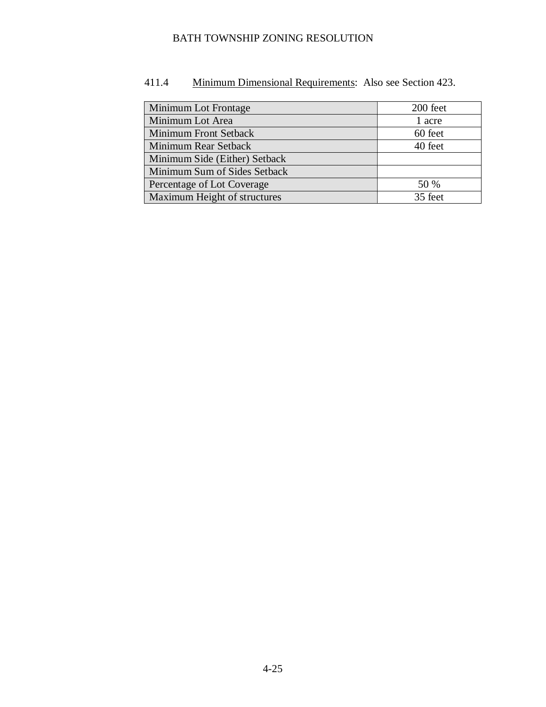| Minimum Lot Frontage          | 200 feet |
|-------------------------------|----------|
| Minimum Lot Area              | 1 acre   |
| Minimum Front Setback         | 60 feet  |
| Minimum Rear Setback          | 40 feet  |
| Minimum Side (Either) Setback |          |
| Minimum Sum of Sides Setback  |          |
| Percentage of Lot Coverage    | 50 %     |
| Maximum Height of structures  | 35 feet  |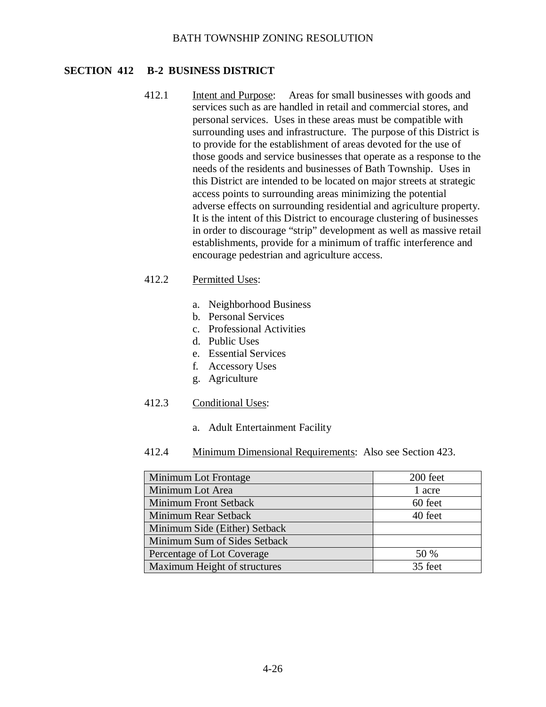# **SECTION 412 B-2 BUSINESS DISTRICT**

412.1 Intent and Purpose: Areas for small businesses with goods and services such as are handled in retail and commercial stores, and personal services. Uses in these areas must be compatible with surrounding uses and infrastructure. The purpose of this District is to provide for the establishment of areas devoted for the use of those goods and service businesses that operate as a response to the needs of the residents and businesses of Bath Township. Uses in this District are intended to be located on major streets at strategic access points to surrounding areas minimizing the potential adverse effects on surrounding residential and agriculture property. It is the intent of this District to encourage clustering of businesses in order to discourage "strip" development as well as massive retail establishments, provide for a minimum of traffic interference and encourage pedestrian and agriculture access.

### 412.2 Permitted Uses:

- a. Neighborhood Business
- b. Personal Services
- c. Professional Activities
- d. Public Uses
- e. Essential Services
- f. Accessory Uses
- g. Agriculture

### 412.3 Conditional Uses:

a. Adult Entertainment Facility

| Minimum Lot Frontage          | 200 feet |
|-------------------------------|----------|
| Minimum Lot Area              | 1 acre   |
| Minimum Front Setback         | 60 feet  |
| Minimum Rear Setback          | 40 feet  |
| Minimum Side (Either) Setback |          |
| Minimum Sum of Sides Setback  |          |
| Percentage of Lot Coverage    | 50 %     |
| Maximum Height of structures  | 35 feet  |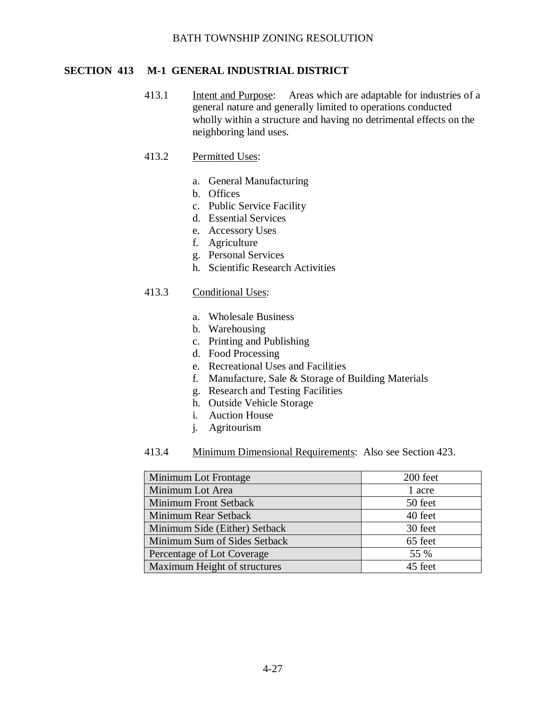# **SECTION 413 M-1 GENERAL INDUSTRIAL DISTRICT**

413.1 Intent and Purpose: Areas which are adaptable for industries of a general nature and generally limited to operations conducted wholly within a structure and having no detrimental effects on the neighboring land uses.

# 413.2 Permitted Uses:

- a. General Manufacturing
- b. Offices
- c. Public Service Facility
- d. Essential Services
- e. Accessory Uses
- f. Agriculture
- g. Personal Services
- h. Scientific Research Activities

### 413.3 Conditional Uses:

- a. Wholesale Business
- b. Warehousing
- c. Printing and Publishing
- d. Food Processing
- e. Recreational Uses and Facilities
- f. Manufacture, Sale & Storage of Building Materials
- g. Research and Testing Facilities
- h. Outside Vehicle Storage
- i. Auction House
- j. Agritourism

| <b>Minimum Lot Frontage</b>   | 200 feet |
|-------------------------------|----------|
| Minimum Lot Area              | 1 acre   |
| <b>Minimum Front Setback</b>  | 50 feet  |
| Minimum Rear Setback          | 40 feet  |
| Minimum Side (Either) Setback | 30 feet  |
| Minimum Sum of Sides Setback  | 65 feet  |
| Percentage of Lot Coverage    | 55 %     |
| Maximum Height of structures  | 45 feet  |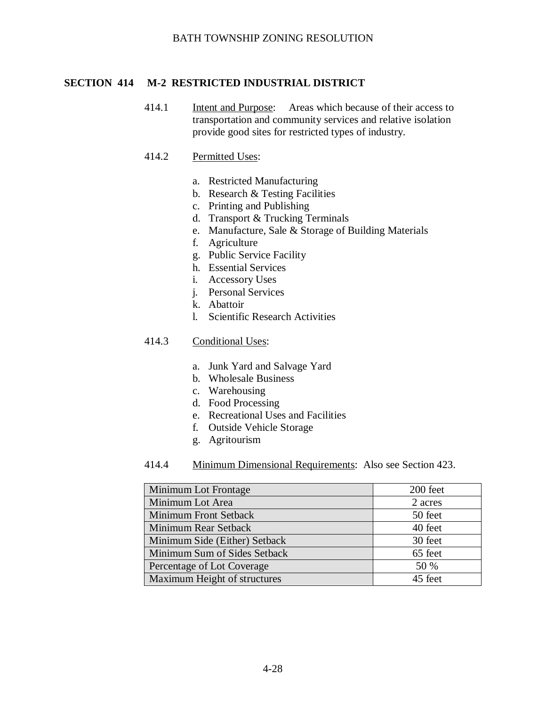# **SECTION 414 M-2 RESTRICTED INDUSTRIAL DISTRICT**

414.1 Intent and Purpose: Areas which because of their access to transportation and community services and relative isolation provide good sites for restricted types of industry.

### 414.2 Permitted Uses:

- a. Restricted Manufacturing
- b. Research & Testing Facilities
- c. Printing and Publishing
- d. Transport & Trucking Terminals
- e. Manufacture, Sale & Storage of Building Materials
- f. Agriculture
- g. Public Service Facility
- h. Essential Services
- i. Accessory Uses
- j. Personal Services
- k. Abattoir
- l. Scientific Research Activities

# 414.3 Conditional Uses:

- a. Junk Yard and Salvage Yard
- b. Wholesale Business
- c. Warehousing
- d. Food Processing
- e. Recreational Uses and Facilities
- f. Outside Vehicle Storage
- g. Agritourism
- 414.4 Minimum Dimensional Requirements: Also see Section 423.

| Minimum Lot Frontage          | 200 feet |
|-------------------------------|----------|
| Minimum Lot Area              | 2 acres  |
| Minimum Front Setback         | 50 feet  |
| Minimum Rear Setback          | 40 feet  |
| Minimum Side (Either) Setback | 30 feet  |
| Minimum Sum of Sides Setback  | 65 feet  |
| Percentage of Lot Coverage    | 50 %     |
| Maximum Height of structures  | 45 feet  |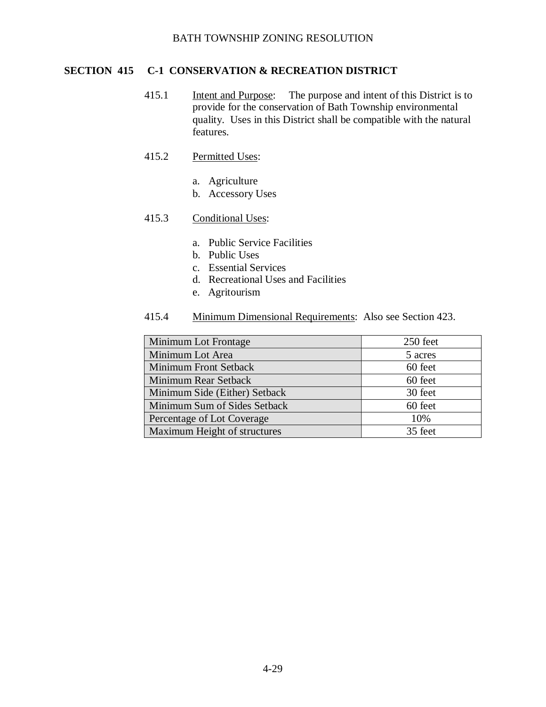# **SECTION 415 C-1 CONSERVATION & RECREATION DISTRICT**

415.1 Intent and Purpose: The purpose and intent of this District is to provide for the conservation of Bath Township environmental quality. Uses in this District shall be compatible with the natural features.

### 415.2 Permitted Uses:

- a. Agriculture
- b. Accessory Uses

#### 415.3 Conditional Uses:

- a. Public Service Facilities
- b. Public Uses
- c. Essential Services
- d. Recreational Uses and Facilities
- e. Agritourism

| Minimum Lot Frontage          | 250 feet |
|-------------------------------|----------|
| Minimum Lot Area              | 5 acres  |
| <b>Minimum Front Setback</b>  | 60 feet  |
| Minimum Rear Setback          | 60 feet  |
| Minimum Side (Either) Setback | 30 feet  |
| Minimum Sum of Sides Setback  | 60 feet  |
| Percentage of Lot Coverage    | 10%      |
| Maximum Height of structures  | 35 feet  |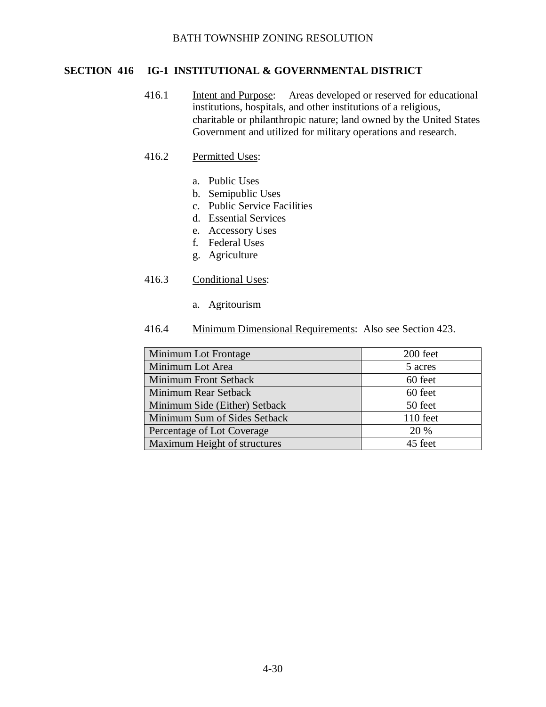# **SECTION 416 IG-1 INSTITUTIONAL & GOVERNMENTAL DISTRICT**

416.1 Intent and Purpose: Areas developed or reserved for educational institutions, hospitals, and other institutions of a religious, charitable or philanthropic nature; land owned by the United States Government and utilized for military operations and research.

# 416.2 Permitted Uses:

- a. Public Uses
- b. Semipublic Uses
- c. Public Service Facilities
- d. Essential Services
- e. Accessory Uses
- f. Federal Uses
- g. Agriculture

# 416.3 Conditional Uses:

a. Agritourism

| Minimum Lot Frontage          | 200 feet |
|-------------------------------|----------|
| Minimum Lot Area              | 5 acres  |
| Minimum Front Setback         | 60 feet  |
| Minimum Rear Setback          | 60 feet  |
| Minimum Side (Either) Setback | 50 feet  |
| Minimum Sum of Sides Setback  | 110 feet |
| Percentage of Lot Coverage    | 20 %     |
| Maximum Height of structures  | 45 feet  |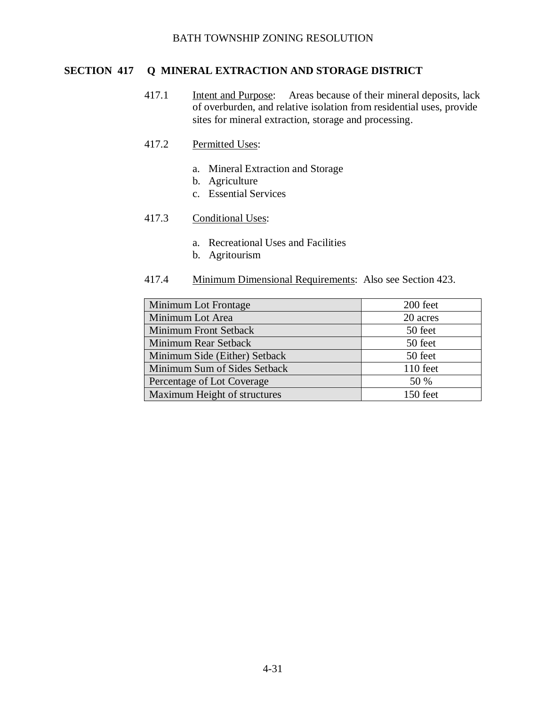# **SECTION 417 Q MINERAL EXTRACTION AND STORAGE DISTRICT**

417.1 Intent and Purpose: Areas because of their mineral deposits, lack of overburden, and relative isolation from residential uses, provide sites for mineral extraction, storage and processing.

### 417.2 Permitted Uses:

- a. Mineral Extraction and Storage
- b. Agriculture
- c. Essential Services

### 417.3 Conditional Uses:

- a. Recreational Uses and Facilities
- b. Agritourism

| Minimum Lot Frontage          | 200 feet |
|-------------------------------|----------|
| Minimum Lot Area              | 20 acres |
| <b>Minimum Front Setback</b>  | 50 feet  |
| Minimum Rear Setback          | 50 feet  |
| Minimum Side (Either) Setback | 50 feet  |
| Minimum Sum of Sides Setback  | 110 feet |
| Percentage of Lot Coverage    | 50 %     |
| Maximum Height of structures  | 150 feet |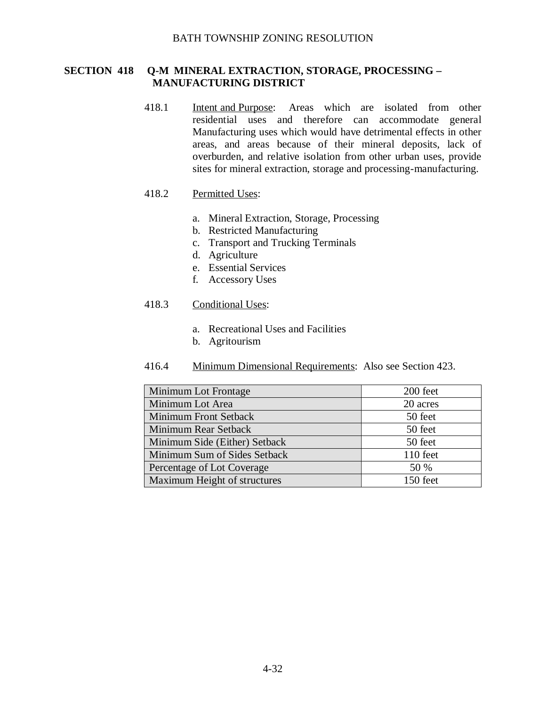### **SECTION 418 Q-M MINERAL EXTRACTION, STORAGE, PROCESSING – MANUFACTURING DISTRICT**

418.1 Intent and Purpose: Areas which are isolated from other residential uses and therefore can accommodate general Manufacturing uses which would have detrimental effects in other areas, and areas because of their mineral deposits, lack of overburden, and relative isolation from other urban uses, provide sites for mineral extraction, storage and processing-manufacturing.

### 418.2 Permitted Uses:

- a. Mineral Extraction, Storage, Processing
- b. Restricted Manufacturing
- c. Transport and Trucking Terminals
- d. Agriculture
- e. Essential Services
- f. Accessory Uses

#### 418.3 Conditional Uses:

- a. Recreational Uses and Facilities
- b. Agritourism

| Minimum Lot Frontage          | 200 feet |
|-------------------------------|----------|
| Minimum Lot Area              | 20 acres |
| Minimum Front Setback         | 50 feet  |
| Minimum Rear Setback          | 50 feet  |
| Minimum Side (Either) Setback | 50 feet  |
| Minimum Sum of Sides Setback  | 110 feet |
| Percentage of Lot Coverage    | 50 %     |
| Maximum Height of structures  | 150 feet |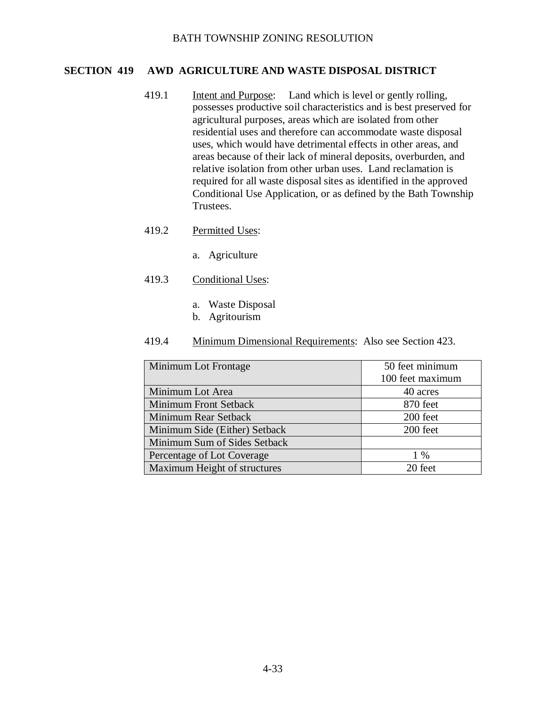### **SECTION 419 AWD AGRICULTURE AND WASTE DISPOSAL DISTRICT**

- 419.1 Intent and Purpose: Land which is level or gently rolling, possesses productive soil characteristics and is best preserved for agricultural purposes, areas which are isolated from other residential uses and therefore can accommodate waste disposal uses, which would have detrimental effects in other areas, and areas because of their lack of mineral deposits, overburden, and relative isolation from other urban uses. Land reclamation is required for all waste disposal sites as identified in the approved Conditional Use Application, or as defined by the Bath Township Trustees.
- 419.2 Permitted Uses:
	- a. Agriculture
- 419.3 Conditional Uses:
	- a. Waste Disposal
	- b. Agritourism

| Minimum Lot Frontage          | 50 feet minimum  |
|-------------------------------|------------------|
|                               | 100 feet maximum |
| Minimum Lot Area              | 40 acres         |
| Minimum Front Setback         | 870 feet         |
| Minimum Rear Setback          | 200 feet         |
| Minimum Side (Either) Setback | 200 feet         |
| Minimum Sum of Sides Setback  |                  |
| Percentage of Lot Coverage    | $1\%$            |
| Maximum Height of structures  | 20 feet          |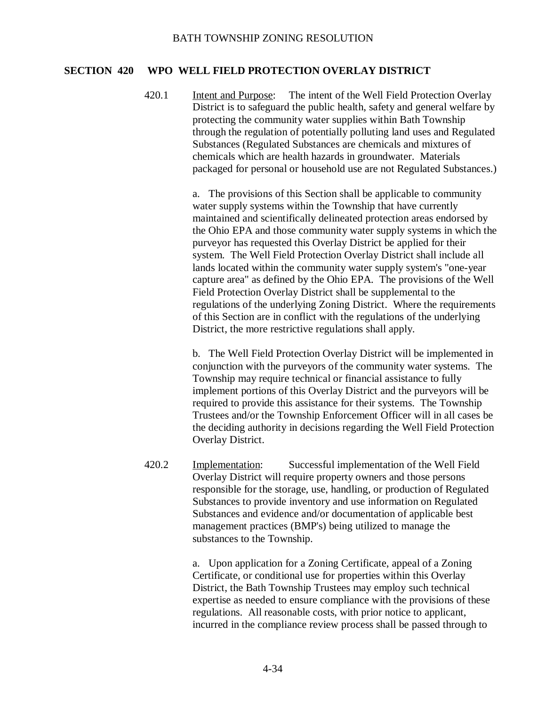### **SECTION 420 WPO WELL FIELD PROTECTION OVERLAY DISTRICT**

420.1 Intent and Purpose: The intent of the Well Field Protection Overlay District is to safeguard the public health, safety and general welfare by protecting the community water supplies within Bath Township through the regulation of potentially polluting land uses and Regulated Substances (Regulated Substances are chemicals and mixtures of chemicals which are health hazards in groundwater. Materials packaged for personal or household use are not Regulated Substances.)

> a. The provisions of this Section shall be applicable to community water supply systems within the Township that have currently maintained and scientifically delineated protection areas endorsed by the Ohio EPA and those community water supply systems in which the purveyor has requested this Overlay District be applied for their system. The Well Field Protection Overlay District shall include all lands located within the community water supply system's "one-year capture area" as defined by the Ohio EPA. The provisions of the Well Field Protection Overlay District shall be supplemental to the regulations of the underlying Zoning District. Where the requirements of this Section are in conflict with the regulations of the underlying District, the more restrictive regulations shall apply.

> b. The Well Field Protection Overlay District will be implemented in conjunction with the purveyors of the community water systems. The Township may require technical or financial assistance to fully implement portions of this Overlay District and the purveyors will be required to provide this assistance for their systems. The Township Trustees and/or the Township Enforcement Officer will in all cases be the deciding authority in decisions regarding the Well Field Protection Overlay District.

420.2 Implementation: Successful implementation of the Well Field Overlay District will require property owners and those persons responsible for the storage, use, handling, or production of Regulated Substances to provide inventory and use information on Regulated Substances and evidence and/or documentation of applicable best management practices (BMP's) being utilized to manage the substances to the Township.

> a. Upon application for a Zoning Certificate, appeal of a Zoning Certificate, or conditional use for properties within this Overlay District, the Bath Township Trustees may employ such technical expertise as needed to ensure compliance with the provisions of these regulations. All reasonable costs, with prior notice to applicant, incurred in the compliance review process shall be passed through to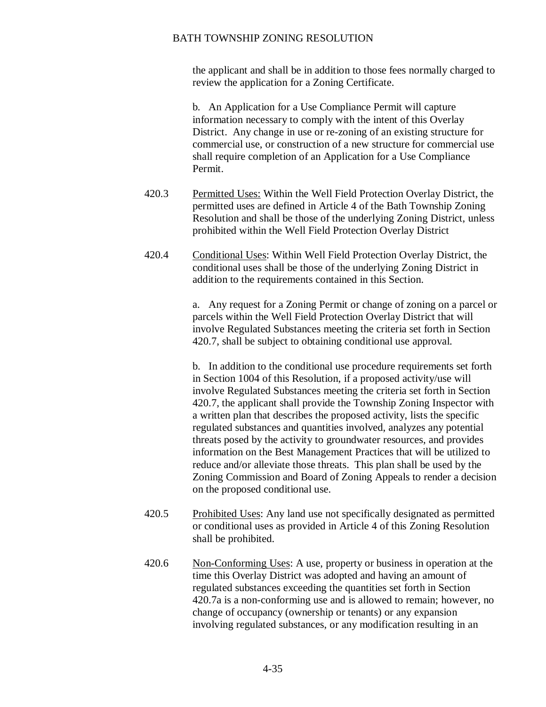the applicant and shall be in addition to those fees normally charged to review the application for a Zoning Certificate.

b. An Application for a Use Compliance Permit will capture information necessary to comply with the intent of this Overlay District. Any change in use or re-zoning of an existing structure for commercial use, or construction of a new structure for commercial use shall require completion of an Application for a Use Compliance Permit.

- 420.3 Permitted Uses: Within the Well Field Protection Overlay District, the permitted uses are defined in Article 4 of the Bath Township Zoning Resolution and shall be those of the underlying Zoning District, unless prohibited within the Well Field Protection Overlay District
- 420.4 Conditional Uses: Within Well Field Protection Overlay District, the conditional uses shall be those of the underlying Zoning District in addition to the requirements contained in this Section.

a. Any request for a Zoning Permit or change of zoning on a parcel or parcels within the Well Field Protection Overlay District that will involve Regulated Substances meeting the criteria set forth in Section 420.7, shall be subject to obtaining conditional use approval.

b. In addition to the conditional use procedure requirements set forth in Section 1004 of this Resolution, if a proposed activity/use will involve Regulated Substances meeting the criteria set forth in Section 420.7, the applicant shall provide the Township Zoning Inspector with a written plan that describes the proposed activity, lists the specific regulated substances and quantities involved, analyzes any potential threats posed by the activity to groundwater resources, and provides information on the Best Management Practices that will be utilized to reduce and/or alleviate those threats. This plan shall be used by the Zoning Commission and Board of Zoning Appeals to render a decision on the proposed conditional use.

- 420.5 Prohibited Uses: Any land use not specifically designated as permitted or conditional uses as provided in Article 4 of this Zoning Resolution shall be prohibited.
- 420.6 Non-Conforming Uses: A use, property or business in operation at the time this Overlay District was adopted and having an amount of regulated substances exceeding the quantities set forth in Section 420.7a is a non-conforming use and is allowed to remain; however, no change of occupancy (ownership or tenants) or any expansion involving regulated substances, or any modification resulting in an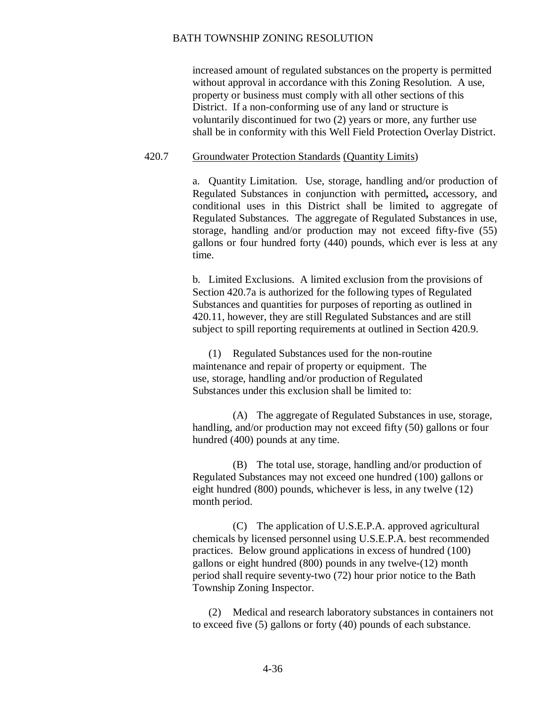increased amount of regulated substances on the property is permitted without approval in accordance with this Zoning Resolution. A use, property or business must comply with all other sections of this District. If a non-conforming use of any land or structure is voluntarily discontinued for two (2) years or more, any further use shall be in conformity with this Well Field Protection Overlay District.

#### 420.7 Groundwater Protection Standards (Quantity Limits)

a. Quantity Limitation. Use, storage, handling and/or production of Regulated Substances in conjunction with permitted**,** accessory, and conditional uses in this District shall be limited to aggregate of Regulated Substances. The aggregate of Regulated Substances in use, storage, handling and/or production may not exceed fifty-five (55) gallons or four hundred forty (440) pounds, which ever is less at any time.

b. Limited Exclusions. A limited exclusion from the provisions of Section 420.7a is authorized for the following types of Regulated Substances and quantities for purposes of reporting as outlined in 420.11, however, they are still Regulated Substances and are still subject to spill reporting requirements at outlined in Section 420.9.

(1) Regulated Substances used for the non-routine maintenance and repair of property or equipment. The use, storage, handling and/or production of Regulated Substances under this exclusion shall be limited to:

(A) The aggregate of Regulated Substances in use, storage, handling, and/or production may not exceed fifty (50) gallons or four hundred (400) pounds at any time.

(B) The total use, storage, handling and/or production of Regulated Substances may not exceed one hundred (100) gallons or eight hundred (800) pounds, whichever is less, in any twelve (12) month period.

(C) The application of U.S.E.P.A. approved agricultural chemicals by licensed personnel using U.S.E.P.A. best recommended practices. Below ground applications in excess of hundred (100) gallons or eight hundred (800) pounds in any twelve-(12) month period shall require seventy-two (72) hour prior notice to the Bath Township Zoning Inspector.

(2) Medical and research laboratory substances in containers not to exceed five (5) gallons or forty (40) pounds of each substance.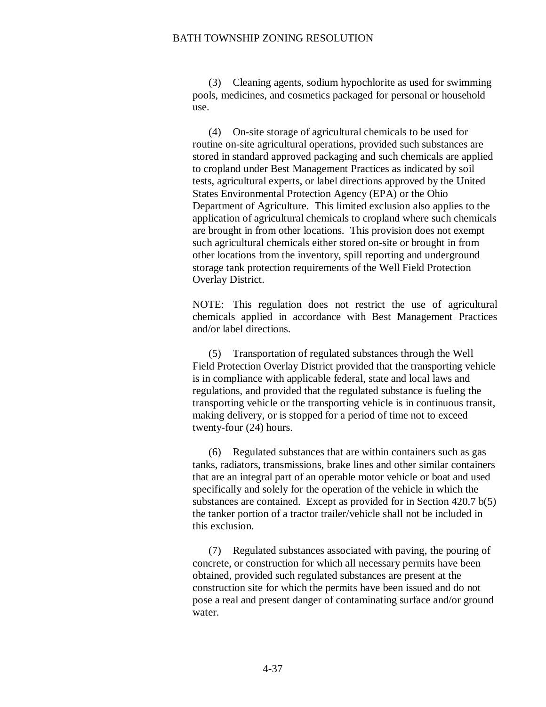(3) Cleaning agents, sodium hypochlorite as used for swimming pools, medicines, and cosmetics packaged for personal or household use.

(4) On-site storage of agricultural chemicals to be used for routine on-site agricultural operations, provided such substances are stored in standard approved packaging and such chemicals are applied to cropland under Best Management Practices as indicated by soil tests, agricultural experts, or label directions approved by the United States Environmental Protection Agency (EPA) or the Ohio Department of Agriculture. This limited exclusion also applies to the application of agricultural chemicals to cropland where such chemicals are brought in from other locations. This provision does not exempt such agricultural chemicals either stored on-site or brought in from other locations from the inventory, spill reporting and underground storage tank protection requirements of the Well Field Protection Overlay District.

NOTE: This regulation does not restrict the use of agricultural chemicals applied in accordance with Best Management Practices and/or label directions.

(5) Transportation of regulated substances through the Well Field Protection Overlay District provided that the transporting vehicle is in compliance with applicable federal, state and local laws and regulations, and provided that the regulated substance is fueling the transporting vehicle or the transporting vehicle is in continuous transit, making delivery, or is stopped for a period of time not to exceed twenty-four (24) hours.

(6) Regulated substances that are within containers such as gas tanks, radiators, transmissions, brake lines and other similar containers that are an integral part of an operable motor vehicle or boat and used specifically and solely for the operation of the vehicle in which the substances are contained. Except as provided for in Section 420.7 b(5) the tanker portion of a tractor trailer/vehicle shall not be included in this exclusion.

(7) Regulated substances associated with paving, the pouring of concrete, or construction for which all necessary permits have been obtained, provided such regulated substances are present at the construction site for which the permits have been issued and do not pose a real and present danger of contaminating surface and/or ground water.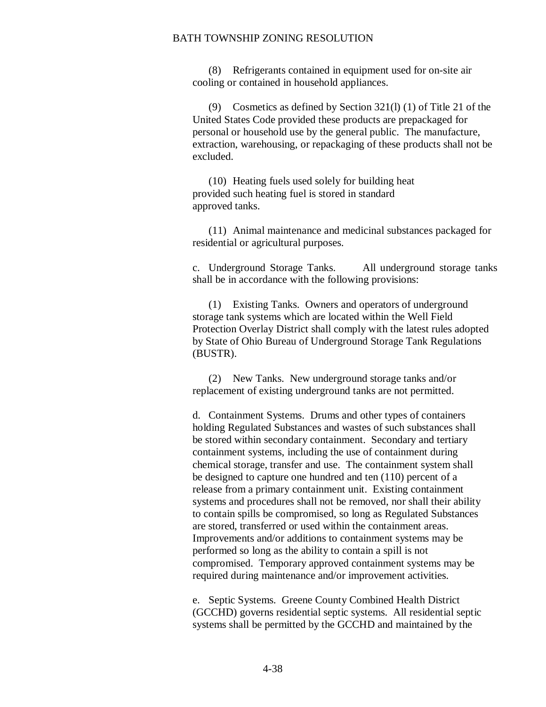(8) Refrigerants contained in equipment used for on-site air cooling or contained in household appliances.

(9) Cosmetics as defined by Section 321(l) (1) of Title 21 of the United States Code provided these products are prepackaged for personal or household use by the general public. The manufacture, extraction, warehousing, or repackaging of these products shall not be excluded.

(10) Heating fuels used solely for building heat provided such heating fuel is stored in standard approved tanks.

(11) Animal maintenance and medicinal substances packaged for residential or agricultural purposes.

c. Underground Storage Tanks. All underground storage tanks shall be in accordance with the following provisions:

(1) Existing Tanks. Owners and operators of underground storage tank systems which are located within the Well Field Protection Overlay District shall comply with the latest rules adopted by State of Ohio Bureau of Underground Storage Tank Regulations (BUSTR).

(2) New Tanks. New underground storage tanks and/or replacement of existing underground tanks are not permitted.

d. Containment Systems. Drums and other types of containers holding Regulated Substances and wastes of such substances shall be stored within secondary containment. Secondary and tertiary containment systems, including the use of containment during chemical storage, transfer and use. The containment system shall be designed to capture one hundred and ten (110) percent of a release from a primary containment unit. Existing containment systems and procedures shall not be removed, nor shall their ability to contain spills be compromised, so long as Regulated Substances are stored, transferred or used within the containment areas. Improvements and/or additions to containment systems may be performed so long as the ability to contain a spill is not compromised. Temporary approved containment systems may be required during maintenance and/or improvement activities.

e. Septic Systems. Greene County Combined Health District (GCCHD) governs residential septic systems. All residential septic systems shall be permitted by the GCCHD and maintained by the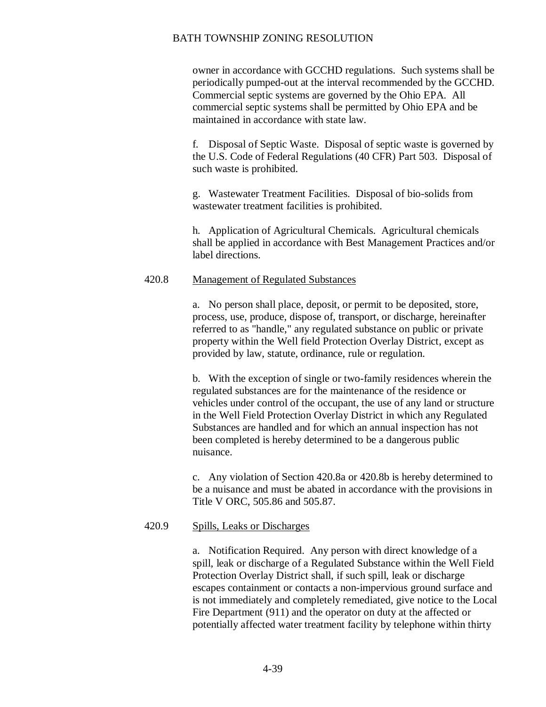owner in accordance with GCCHD regulations. Such systems shall be periodically pumped-out at the interval recommended by the GCCHD. Commercial septic systems are governed by the Ohio EPA. All commercial septic systems shall be permitted by Ohio EPA and be maintained in accordance with state law.

f. Disposal of Septic Waste. Disposal of septic waste is governed by the U.S. Code of Federal Regulations (40 CFR) Part 503. Disposal of such waste is prohibited.

g. Wastewater Treatment Facilities. Disposal of bio-solids from wastewater treatment facilities is prohibited.

h. Application of Agricultural Chemicals. Agricultural chemicals shall be applied in accordance with Best Management Practices and/or label directions.

### 420.8 Management of Regulated Substances

a. No person shall place, deposit, or permit to be deposited, store, process, use, produce, dispose of, transport, or discharge, hereinafter referred to as "handle," any regulated substance on public or private property within the Well field Protection Overlay District, except as provided by law, statute, ordinance, rule or regulation.

b. With the exception of single or two-family residences wherein the regulated substances are for the maintenance of the residence or vehicles under control of the occupant, the use of any land or structure in the Well Field Protection Overlay District in which any Regulated Substances are handled and for which an annual inspection has not been completed is hereby determined to be a dangerous public nuisance.

c. Any violation of Section 420.8a or 420.8b is hereby determined to be a nuisance and must be abated in accordance with the provisions in Title V ORC, 505.86 and 505.87.

### 420.9 Spills, Leaks or Discharges

a. Notification Required. Any person with direct knowledge of a spill, leak or discharge of a Regulated Substance within the Well Field Protection Overlay District shall, if such spill, leak or discharge escapes containment or contacts a non-impervious ground surface and is not immediately and completely remediated, give notice to the Local Fire Department (911) and the operator on duty at the affected or potentially affected water treatment facility by telephone within thirty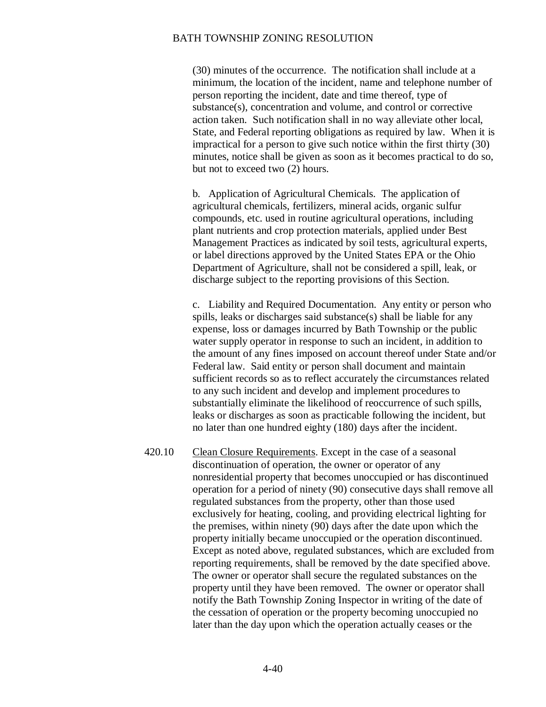(30) minutes of the occurrence. The notification shall include at a minimum, the location of the incident, name and telephone number of person reporting the incident, date and time thereof, type of substance(s), concentration and volume, and control or corrective action taken. Such notification shall in no way alleviate other local, State, and Federal reporting obligations as required by law. When it is impractical for a person to give such notice within the first thirty (30) minutes, notice shall be given as soon as it becomes practical to do so, but not to exceed two (2) hours.

b. Application of Agricultural Chemicals. The application of agricultural chemicals, fertilizers, mineral acids, organic sulfur compounds, etc. used in routine agricultural operations, including plant nutrients and crop protection materials, applied under Best Management Practices as indicated by soil tests, agricultural experts, or label directions approved by the United States EPA or the Ohio Department of Agriculture, shall not be considered a spill, leak, or discharge subject to the reporting provisions of this Section.

c. Liability and Required Documentation. Any entity or person who spills, leaks or discharges said substance(s) shall be liable for any expense, loss or damages incurred by Bath Township or the public water supply operator in response to such an incident, in addition to the amount of any fines imposed on account thereof under State and/or Federal law. Said entity or person shall document and maintain sufficient records so as to reflect accurately the circumstances related to any such incident and develop and implement procedures to substantially eliminate the likelihood of reoccurrence of such spills, leaks or discharges as soon as practicable following the incident, but no later than one hundred eighty (180) days after the incident.

420.10 Clean Closure Requirements. Except in the case of a seasonal discontinuation of operation, the owner or operator of any nonresidential property that becomes unoccupied or has discontinued operation for a period of ninety (90) consecutive days shall remove all regulated substances from the property, other than those used exclusively for heating, cooling, and providing electrical lighting for the premises, within ninety (90) days after the date upon which the property initially became unoccupied or the operation discontinued. Except as noted above, regulated substances, which are excluded from reporting requirements, shall be removed by the date specified above. The owner or operator shall secure the regulated substances on the property until they have been removed. The owner or operator shall notify the Bath Township Zoning Inspector in writing of the date of the cessation of operation or the property becoming unoccupied no later than the day upon which the operation actually ceases or the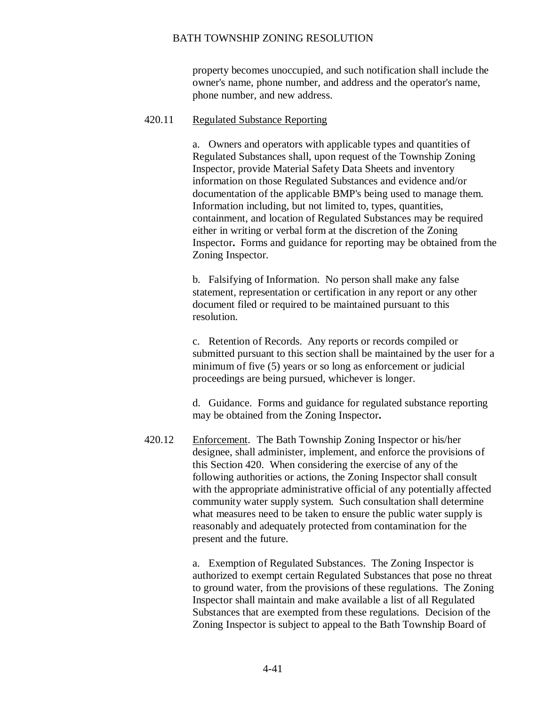property becomes unoccupied, and such notification shall include the owner's name, phone number, and address and the operator's name, phone number, and new address.

### 420.11 Regulated Substance Reporting

a. Owners and operators with applicable types and quantities of Regulated Substances shall, upon request of the Township Zoning Inspector, provide Material Safety Data Sheets and inventory information on those Regulated Substances and evidence and/or documentation of the applicable BMP's being used to manage them. Information including, but not limited to, types, quantities, containment, and location of Regulated Substances may be required either in writing or verbal form at the discretion of the Zoning Inspector**.** Forms and guidance for reporting may be obtained from the Zoning Inspector.

b. Falsifying of Information. No person shall make any false statement, representation or certification in any report or any other document filed or required to be maintained pursuant to this resolution.

c. Retention of Records. Any reports or records compiled or submitted pursuant to this section shall be maintained by the user for a minimum of five (5) years or so long as enforcement or judicial proceedings are being pursued, whichever is longer.

d. Guidance. Forms and guidance for regulated substance reporting may be obtained from the Zoning Inspector**.**

420.12 Enforcement. The Bath Township Zoning Inspector or his/her designee, shall administer, implement, and enforce the provisions of this Section 420. When considering the exercise of any of the following authorities or actions, the Zoning Inspector shall consult with the appropriate administrative official of any potentially affected community water supply system. Such consultation shall determine what measures need to be taken to ensure the public water supply is reasonably and adequately protected from contamination for the present and the future.

> a. Exemption of Regulated Substances. The Zoning Inspector is authorized to exempt certain Regulated Substances that pose no threat to ground water, from the provisions of these regulations. The Zoning Inspector shall maintain and make available a list of all Regulated Substances that are exempted from these regulations. Decision of the Zoning Inspector is subject to appeal to the Bath Township Board of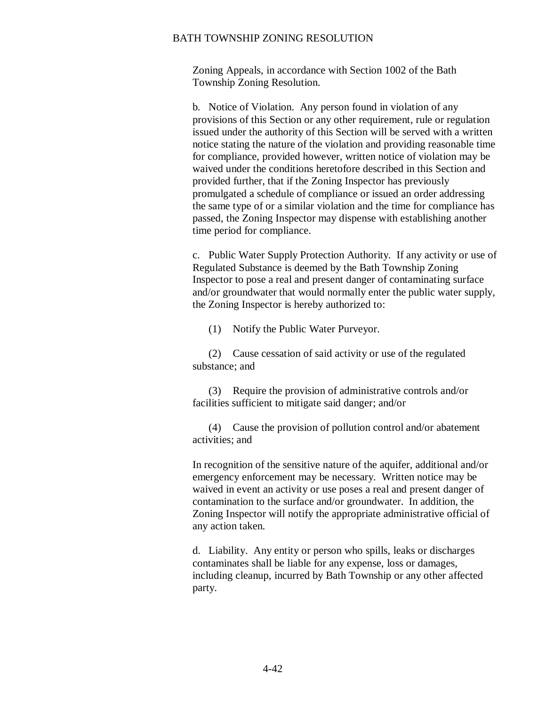Zoning Appeals, in accordance with Section 1002 of the Bath Township Zoning Resolution.

b. Notice of Violation. Any person found in violation of any provisions of this Section or any other requirement, rule or regulation issued under the authority of this Section will be served with a written notice stating the nature of the violation and providing reasonable time for compliance, provided however, written notice of violation may be waived under the conditions heretofore described in this Section and provided further, that if the Zoning Inspector has previously promulgated a schedule of compliance or issued an order addressing the same type of or a similar violation and the time for compliance has passed, the Zoning Inspector may dispense with establishing another time period for compliance.

c. Public Water Supply Protection Authority. If any activity or use of Regulated Substance is deemed by the Bath Township Zoning Inspector to pose a real and present danger of contaminating surface and/or groundwater that would normally enter the public water supply, the Zoning Inspector is hereby authorized to:

(1) Notify the Public Water Purveyor.

(2) Cause cessation of said activity or use of the regulated substance; and

(3) Require the provision of administrative controls and/or facilities sufficient to mitigate said danger; and/or

(4) Cause the provision of pollution control and/or abatement activities; and

In recognition of the sensitive nature of the aquifer, additional and/or emergency enforcement may be necessary. Written notice may be waived in event an activity or use poses a real and present danger of contamination to the surface and/or groundwater. In addition, the Zoning Inspector will notify the appropriate administrative official of any action taken.

d. Liability. Any entity or person who spills, leaks or discharges contaminates shall be liable for any expense, loss or damages, including cleanup, incurred by Bath Township or any other affected party.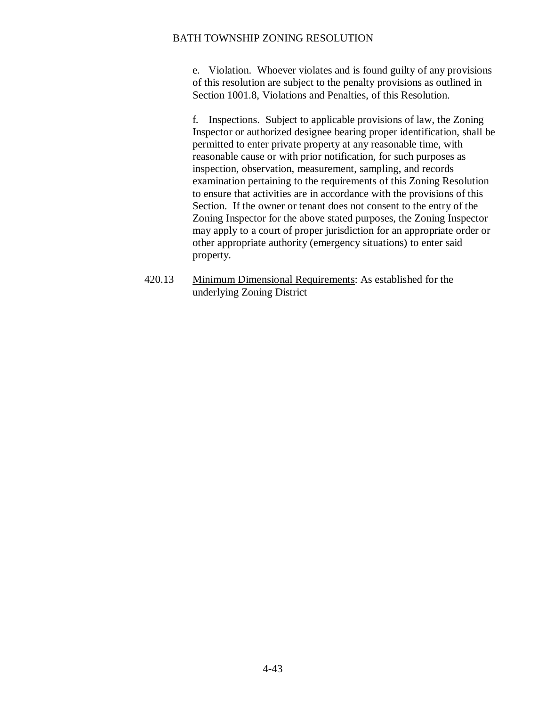e. Violation. Whoever violates and is found guilty of any provisions of this resolution are subject to the penalty provisions as outlined in Section 1001.8, Violations and Penalties, of this Resolution.

f. Inspections. Subject to applicable provisions of law, the Zoning Inspector or authorized designee bearing proper identification, shall be permitted to enter private property at any reasonable time, with reasonable cause or with prior notification, for such purposes as inspection, observation, measurement, sampling, and records examination pertaining to the requirements of this Zoning Resolution to ensure that activities are in accordance with the provisions of this Section. If the owner or tenant does not consent to the entry of the Zoning Inspector for the above stated purposes, the Zoning Inspector may apply to a court of proper jurisdiction for an appropriate order or other appropriate authority (emergency situations) to enter said property.

420.13 Minimum Dimensional Requirements: As established for the underlying Zoning District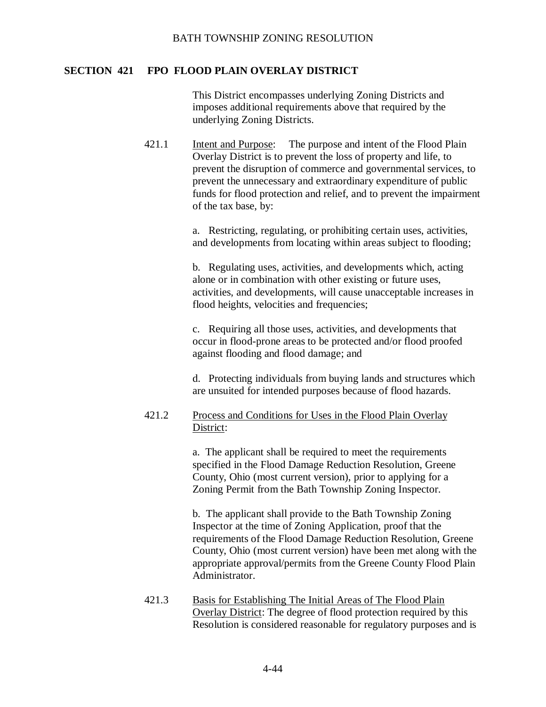## **SECTION 421 FPO FLOOD PLAIN OVERLAY DISTRICT**

This District encompasses underlying Zoning Districts and imposes additional requirements above that required by the underlying Zoning Districts.

421.1 Intent and Purpose: The purpose and intent of the Flood Plain Overlay District is to prevent the loss of property and life, to prevent the disruption of commerce and governmental services, to prevent the unnecessary and extraordinary expenditure of public funds for flood protection and relief, and to prevent the impairment of the tax base, by:

> a. Restricting, regulating, or prohibiting certain uses, activities, and developments from locating within areas subject to flooding;

b. Regulating uses, activities, and developments which, acting alone or in combination with other existing or future uses, activities, and developments, will cause unacceptable increases in flood heights, velocities and frequencies;

c. Requiring all those uses, activities, and developments that occur in flood-prone areas to be protected and/or flood proofed against flooding and flood damage; and

d. Protecting individuals from buying lands and structures which are unsuited for intended purposes because of flood hazards.

# 421.2 Process and Conditions for Uses in the Flood Plain Overlay District:

a. The applicant shall be required to meet the requirements specified in the Flood Damage Reduction Resolution, Greene County, Ohio (most current version), prior to applying for a Zoning Permit from the Bath Township Zoning Inspector.

b. The applicant shall provide to the Bath Township Zoning Inspector at the time of Zoning Application, proof that the requirements of the Flood Damage Reduction Resolution, Greene County, Ohio (most current version) have been met along with the appropriate approval/permits from the Greene County Flood Plain Administrator.

421.3 Basis for Establishing The Initial Areas of The Flood Plain Overlay District: The degree of flood protection required by this Resolution is considered reasonable for regulatory purposes and is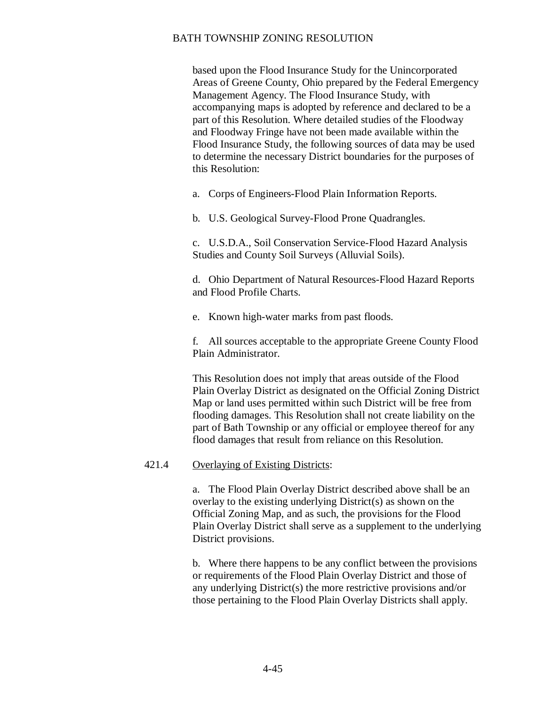based upon the Flood Insurance Study for the Unincorporated Areas of Greene County, Ohio prepared by the Federal Emergency Management Agency. The Flood Insurance Study, with accompanying maps is adopted by reference and declared to be a part of this Resolution. Where detailed studies of the Floodway and Floodway Fringe have not been made available within the Flood Insurance Study, the following sources of data may be used to determine the necessary District boundaries for the purposes of this Resolution:

a. Corps of Engineers-Flood Plain Information Reports.

b. U.S. Geological Survey-Flood Prone Quadrangles.

c. U.S.D.A., Soil Conservation Service-Flood Hazard Analysis Studies and County Soil Surveys (Alluvial Soils).

d. Ohio Department of Natural Resources-Flood Hazard Reports and Flood Profile Charts.

e. Known high-water marks from past floods.

f. All sources acceptable to the appropriate Greene County Flood Plain Administrator.

This Resolution does not imply that areas outside of the Flood Plain Overlay District as designated on the Official Zoning District Map or land uses permitted within such District will be free from flooding damages. This Resolution shall not create liability on the part of Bath Township or any official or employee thereof for any flood damages that result from reliance on this Resolution.

### 421.4 Overlaying of Existing Districts:

a. The Flood Plain Overlay District described above shall be an overlay to the existing underlying District(s) as shown on the Official Zoning Map, and as such, the provisions for the Flood Plain Overlay District shall serve as a supplement to the underlying District provisions.

b. Where there happens to be any conflict between the provisions or requirements of the Flood Plain Overlay District and those of any underlying District(s) the more restrictive provisions and/or those pertaining to the Flood Plain Overlay Districts shall apply.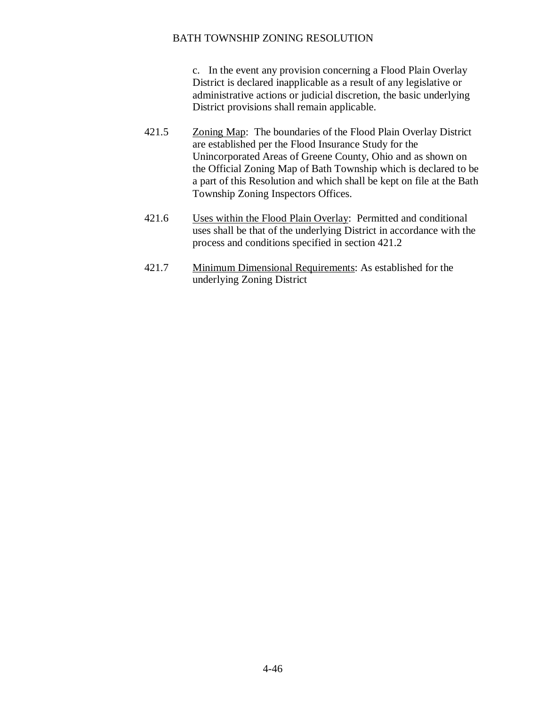c. In the event any provision concerning a Flood Plain Overlay District is declared inapplicable as a result of any legislative or administrative actions or judicial discretion, the basic underlying District provisions shall remain applicable.

- 421.5 Zoning Map: The boundaries of the Flood Plain Overlay District are established per the Flood Insurance Study for the Unincorporated Areas of Greene County, Ohio and as shown on the Official Zoning Map of Bath Township which is declared to be a part of this Resolution and which shall be kept on file at the Bath Township Zoning Inspectors Offices.
- 421.6 Uses within the Flood Plain Overlay: Permitted and conditional uses shall be that of the underlying District in accordance with the process and conditions specified in section 421.2
- 421.7 Minimum Dimensional Requirements: As established for the underlying Zoning District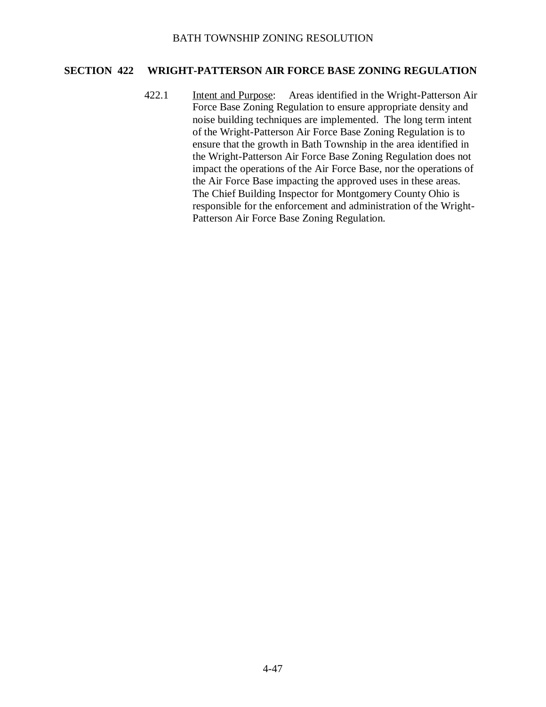# **SECTION 422 WRIGHT-PATTERSON AIR FORCE BASE ZONING REGULATION**

422.1 Intent and Purpose: Areas identified in the Wright-Patterson Air Force Base Zoning Regulation to ensure appropriate density and noise building techniques are implemented. The long term intent of the Wright-Patterson Air Force Base Zoning Regulation is to ensure that the growth in Bath Township in the area identified in the Wright-Patterson Air Force Base Zoning Regulation does not impact the operations of the Air Force Base, nor the operations of the Air Force Base impacting the approved uses in these areas. The Chief Building Inspector for Montgomery County Ohio is responsible for the enforcement and administration of the Wright-Patterson Air Force Base Zoning Regulation.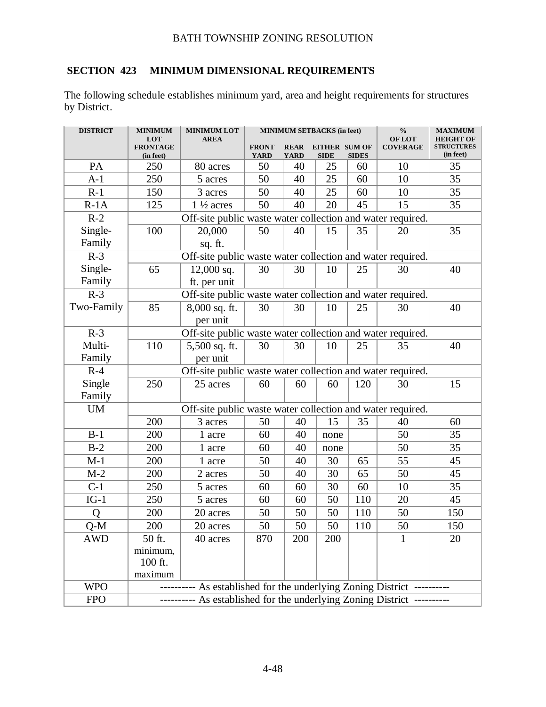# **SECTION 423 MINIMUM DIMENSIONAL REQUIREMENTS**

The following schedule establishes minimum yard, area and height requirements for structures by District.

| <b>DISTRICT</b> | <b>MINIMUM</b><br>LOT                                                   | <b>MINIMUM LOT</b><br><b>AREA</b>                          | $\mathbf{0}_{\mathbf{0}}^{\prime}$<br><b>MINIMUM SETBACKS (in feet)</b><br><b>OF LOT</b> |             |                      | <b>MAXIMUM</b><br><b>HEIGHT OF</b> |                 |                   |
|-----------------|-------------------------------------------------------------------------|------------------------------------------------------------|------------------------------------------------------------------------------------------|-------------|----------------------|------------------------------------|-----------------|-------------------|
|                 | <b>FRONTAGE</b>                                                         |                                                            | <b>FRONT</b>                                                                             | <b>REAR</b> | <b>EITHER SUM OF</b> |                                    | <b>COVERAGE</b> | <b>STRUCTURES</b> |
|                 | (in feet)                                                               |                                                            | <b>YARD</b>                                                                              | YARD        | <b>SIDE</b>          | <b>SIDES</b>                       |                 | (in feet)         |
| PA              | 250                                                                     | 80 acres                                                   | 50                                                                                       | 40          | 25                   | 60                                 | 10              | 35                |
| $A-1$           | 250                                                                     | 5 acres                                                    | 50                                                                                       | 40          | 25                   | 60                                 | 10              | 35                |
| $R-1$           | 150                                                                     | 3 acres                                                    | 50                                                                                       | 40          | 25                   | 60                                 | 10              | 35                |
| $R-1A$          | 125                                                                     | $1\frac{1}{2}$ acres                                       | 50                                                                                       | 40          | 20                   | 45                                 | 15              | 35                |
| $R-2$           | Off-site public waste water collection and water required.              |                                                            |                                                                                          |             |                      |                                    |                 |                   |
| Single-         | 100                                                                     | 20,000                                                     | 50                                                                                       | 40          | 15                   | 35                                 | 20              | 35                |
| Family          | sq. ft.                                                                 |                                                            |                                                                                          |             |                      |                                    |                 |                   |
| $R-3$           |                                                                         | Off-site public waste water collection and water required. |                                                                                          |             |                      |                                    |                 |                   |
| Single-         | 65                                                                      | $12,000$ sq.                                               | 30                                                                                       | 30          | 10                   | 25                                 | 30              | 40                |
| Family          |                                                                         | ft. per unit                                               |                                                                                          |             |                      |                                    |                 |                   |
| $R-3$           |                                                                         | Off-site public waste water collection and water required. |                                                                                          |             |                      |                                    |                 |                   |
| Two-Family      | 85                                                                      | $8,000$ sq. ft.                                            | 30                                                                                       | 30          | 10                   | 25                                 | 30              | 40                |
|                 |                                                                         | per unit                                                   |                                                                                          |             |                      |                                    |                 |                   |
| $R-3$           |                                                                         | Off-site public waste water collection and water required. |                                                                                          |             |                      |                                    |                 |                   |
| Multi-          | 110                                                                     | $5,500$ sq. ft.                                            | 30                                                                                       | 30          | 10                   | 25                                 | 35              | 40                |
| Family          |                                                                         | per unit                                                   |                                                                                          |             |                      |                                    |                 |                   |
| $R-4$           |                                                                         | Off-site public waste water collection and water required. |                                                                                          |             |                      |                                    |                 |                   |
| Single          | 250                                                                     | 25 acres                                                   | 60                                                                                       | 60          | 60                   | 120                                | 30              | 15                |
| Family          |                                                                         |                                                            |                                                                                          |             |                      |                                    |                 |                   |
| <b>UM</b>       |                                                                         | Off-site public waste water collection and water required. |                                                                                          |             |                      |                                    |                 |                   |
|                 | 200                                                                     | 3 acres                                                    | 50                                                                                       | 40          | 15                   | 35                                 | 40              | 60                |
| $B-1$           | 200                                                                     | 1 acre                                                     | 60                                                                                       | 40          | none                 |                                    | 50              | 35                |
| $B-2$           | 200                                                                     | 1 acre                                                     | 60                                                                                       | 40          | none                 |                                    | 50              | 35                |
| $M-1$           | 200                                                                     | 1 acre                                                     | 50                                                                                       | 40          | 30                   | 65                                 | 55              | 45                |
| $M-2$           | 200                                                                     | 2 acres                                                    | 50                                                                                       | 40          | 30                   | 65                                 | 50              | 45                |
| $C-1$           | 250                                                                     | 5 acres                                                    | 60                                                                                       | 60          | 30                   | 60                                 | 10              | 35                |
| $IG-1$          | 250                                                                     | 5 acres                                                    | 60                                                                                       | 60          | 50                   | 110                                | 20              | 45                |
| Q               | 200                                                                     | 20 acres                                                   | 50                                                                                       | 50          | 50                   | 110                                | 50              | 150               |
| $Q-M$           | 200                                                                     | $20\rm\; acres$                                            | 50                                                                                       | 50          | 50                   | 110                                | 50              | 150               |
| <b>AWD</b>      | 50 ft.                                                                  | 40 acres                                                   | 870                                                                                      | 200         | 200                  |                                    |                 | 20                |
|                 | minimum,                                                                |                                                            |                                                                                          |             |                      |                                    |                 |                   |
|                 | 100 ft.                                                                 |                                                            |                                                                                          |             |                      |                                    |                 |                   |
|                 | maximum                                                                 |                                                            |                                                                                          |             |                      |                                    |                 |                   |
| <b>WPO</b>      | ---------- As established for the underlying Zoning District ---------- |                                                            |                                                                                          |             |                      |                                    |                 |                   |
| <b>FPO</b>      | --------- As established for the underlying Zoning District ----------  |                                                            |                                                                                          |             |                      |                                    |                 |                   |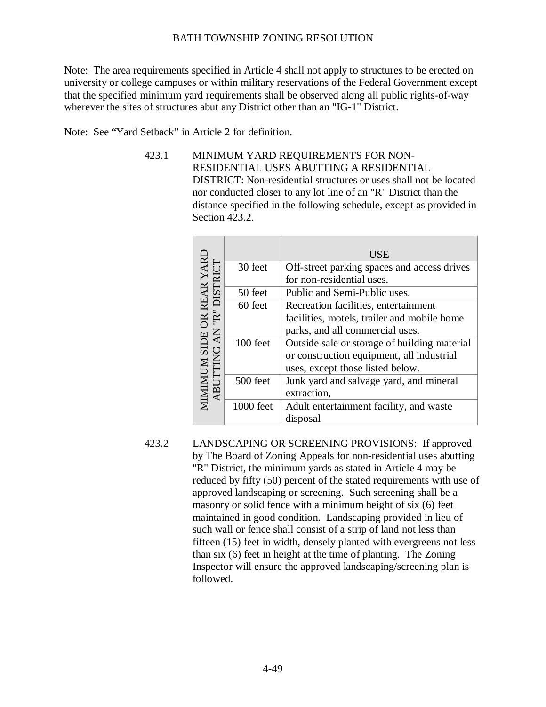Note: The area requirements specified in Article 4 shall not apply to structures to be erected on university or college campuses or within military reservations of the Federal Government except that the specified minimum yard requirements shall be observed along all public rights-of-way wherever the sites of structures abut any District other than an "IG-1" District.

Note: See "Yard Setback" in Article 2 for definition.

423.1 MINIMUM YARD REQUIREMENTS FOR NON-RESIDENTIAL USES ABUTTING A RESIDENTIAL DISTRICT: Non-residential structures or uses shall not be located nor conducted closer to any lot line of an "R" District than the distance specified in the following schedule, except as provided in Section 423.2.

|                                                       |           | <b>USE</b>                                   |  |  |  |
|-------------------------------------------------------|-----------|----------------------------------------------|--|--|--|
| MIMIMUM SIDE OR REAR YARD<br>ABUTTING AN "R" DISTRICT | 30 feet   | Off-street parking spaces and access drives  |  |  |  |
|                                                       |           | for non-residential uses.                    |  |  |  |
|                                                       | 50 feet   | Public and Semi-Public uses.                 |  |  |  |
|                                                       | 60 feet   | Recreation facilities, entertainment         |  |  |  |
|                                                       |           | facilities, motels, trailer and mobile home  |  |  |  |
| <b>AN</b>                                             |           | parks, and all commercial uses.              |  |  |  |
|                                                       | 100 feet  | Outside sale or storage of building material |  |  |  |
|                                                       |           | or construction equipment, all industrial    |  |  |  |
|                                                       |           | uses, except those listed below.             |  |  |  |
|                                                       | 500 feet  | Junk yard and salvage yard, and mineral      |  |  |  |
| ABI                                                   |           | extraction,                                  |  |  |  |
|                                                       | 1000 feet | Adult entertainment facility, and waste      |  |  |  |
|                                                       |           | disposal                                     |  |  |  |

423.2 LANDSCAPING OR SCREENING PROVISIONS: If approved by The Board of Zoning Appeals for non-residential uses abutting "R" District, the minimum yards as stated in Article 4 may be reduced by fifty (50) percent of the stated requirements with use of approved landscaping or screening. Such screening shall be a masonry or solid fence with a minimum height of six (6) feet maintained in good condition. Landscaping provided in lieu of such wall or fence shall consist of a strip of land not less than fifteen (15) feet in width, densely planted with evergreens not less than six (6) feet in height at the time of planting. The Zoning Inspector will ensure the approved landscaping/screening plan is followed.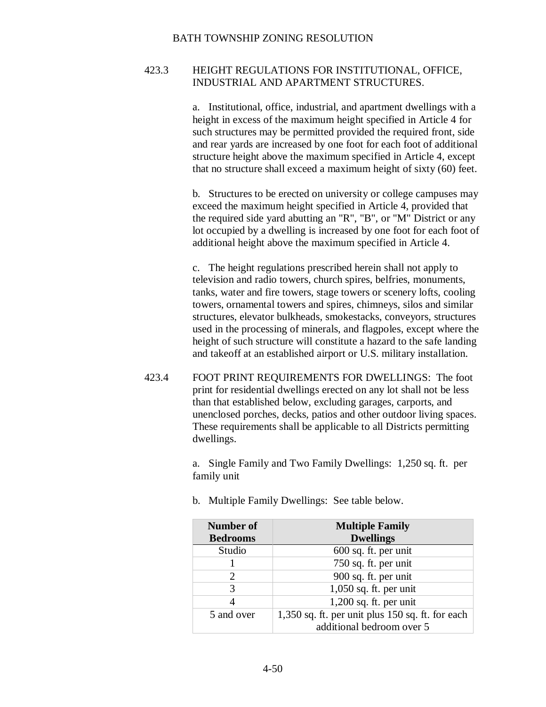# 423.3 HEIGHT REGULATIONS FOR INSTITUTIONAL, OFFICE, INDUSTRIAL AND APARTMENT STRUCTURES.

a. Institutional, office, industrial, and apartment dwellings with a height in excess of the maximum height specified in Article 4 for such structures may be permitted provided the required front, side and rear yards are increased by one foot for each foot of additional structure height above the maximum specified in Article 4, except that no structure shall exceed a maximum height of sixty (60) feet.

b. Structures to be erected on university or college campuses may exceed the maximum height specified in Article 4, provided that the required side yard abutting an "R", "B", or "M" District or any lot occupied by a dwelling is increased by one foot for each foot of additional height above the maximum specified in Article 4.

c. The height regulations prescribed herein shall not apply to television and radio towers, church spires, belfries, monuments, tanks, water and fire towers, stage towers or scenery lofts, cooling towers, ornamental towers and spires, chimneys, silos and similar structures, elevator bulkheads, smokestacks, conveyors, structures used in the processing of minerals, and flagpoles, except where the height of such structure will constitute a hazard to the safe landing and takeoff at an established airport or U.S. military installation.

423.4 FOOT PRINT REQUIREMENTS FOR DWELLINGS: The foot print for residential dwellings erected on any lot shall not be less than that established below, excluding garages, carports, and unenclosed porches, decks, patios and other outdoor living spaces. These requirements shall be applicable to all Districts permitting dwellings.

> a. Single Family and Two Family Dwellings: 1,250 sq. ft. per family unit

| <b>Number of</b><br><b>Bedrooms</b> | <b>Multiple Family</b><br><b>Dwellings</b>       |
|-------------------------------------|--------------------------------------------------|
| Studio                              | $600$ sq. ft. per unit                           |
|                                     | 750 sq. ft. per unit                             |
| 2                                   | 900 sq. ft. per unit                             |
| 3                                   | $1,050$ sq. ft. per unit                         |
|                                     | $1,200$ sq. ft. per unit                         |
| 5 and over                          | 1,350 sq. ft. per unit plus 150 sq. ft. for each |
|                                     | additional bedroom over 5                        |

b. Multiple Family Dwellings: See table below.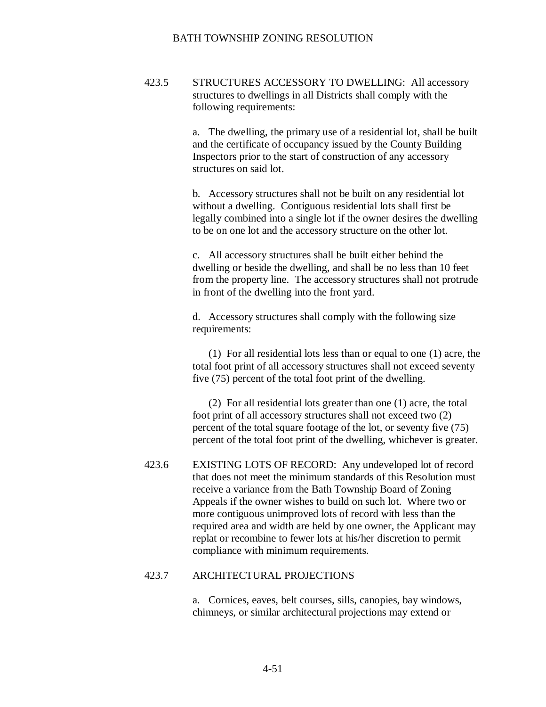423.5 STRUCTURES ACCESSORY TO DWELLING: All accessory structures to dwellings in all Districts shall comply with the following requirements:

> a. The dwelling, the primary use of a residential lot, shall be built and the certificate of occupancy issued by the County Building Inspectors prior to the start of construction of any accessory structures on said lot.

> b. Accessory structures shall not be built on any residential lot without a dwelling. Contiguous residential lots shall first be legally combined into a single lot if the owner desires the dwelling to be on one lot and the accessory structure on the other lot.

> c. All accessory structures shall be built either behind the dwelling or beside the dwelling, and shall be no less than 10 feet from the property line. The accessory structures shall not protrude in front of the dwelling into the front yard.

d. Accessory structures shall comply with the following size requirements:

(1) For all residential lots less than or equal to one (1) acre, the total foot print of all accessory structures shall not exceed seventy five (75) percent of the total foot print of the dwelling.

(2) For all residential lots greater than one (1) acre, the total foot print of all accessory structures shall not exceed two (2) percent of the total square footage of the lot, or seventy five (75) percent of the total foot print of the dwelling, whichever is greater.

423.6 EXISTING LOTS OF RECORD: Any undeveloped lot of record that does not meet the minimum standards of this Resolution must receive a variance from the Bath Township Board of Zoning Appeals if the owner wishes to build on such lot. Where two or more contiguous unimproved lots of record with less than the required area and width are held by one owner, the Applicant may replat or recombine to fewer lots at his/her discretion to permit compliance with minimum requirements.

### 423.7 ARCHITECTURAL PROJECTIONS

a. Cornices, eaves, belt courses, sills, canopies, bay windows, chimneys, or similar architectural projections may extend or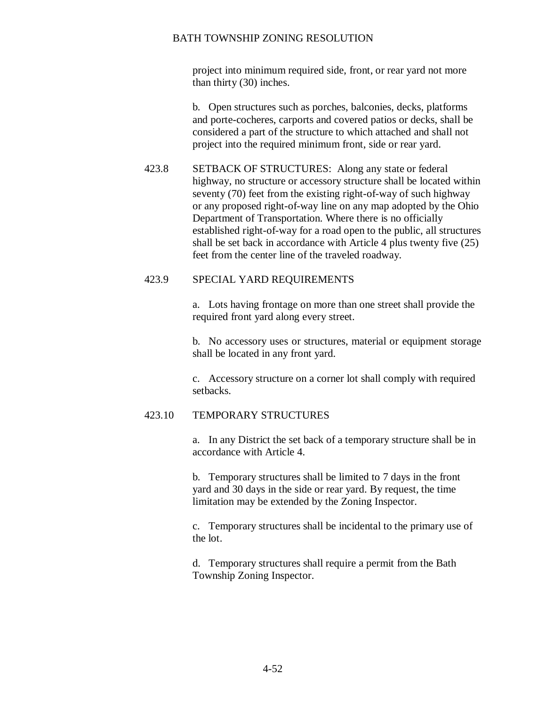project into minimum required side, front, or rear yard not more than thirty (30) inches.

b. Open structures such as porches, balconies, decks, platforms and porte-cocheres, carports and covered patios or decks, shall be considered a part of the structure to which attached and shall not project into the required minimum front, side or rear yard.

423.8 SETBACK OF STRUCTURES: Along any state or federal highway, no structure or accessory structure shall be located within seventy (70) feet from the existing right-of-way of such highway or any proposed right-of-way line on any map adopted by the Ohio Department of Transportation. Where there is no officially established right-of-way for a road open to the public, all structures shall be set back in accordance with Article 4 plus twenty five (25) feet from the center line of the traveled roadway.

# 423.9 SPECIAL YARD REQUIREMENTS

a. Lots having frontage on more than one street shall provide the required front yard along every street.

b. No accessory uses or structures, material or equipment storage shall be located in any front yard.

c. Accessory structure on a corner lot shall comply with required setbacks.

# 423.10 TEMPORARY STRUCTURES

a. In any District the set back of a temporary structure shall be in accordance with Article 4.

b. Temporary structures shall be limited to 7 days in the front yard and 30 days in the side or rear yard. By request, the time limitation may be extended by the Zoning Inspector.

c. Temporary structures shall be incidental to the primary use of the lot.

d. Temporary structures shall require a permit from the Bath Township Zoning Inspector.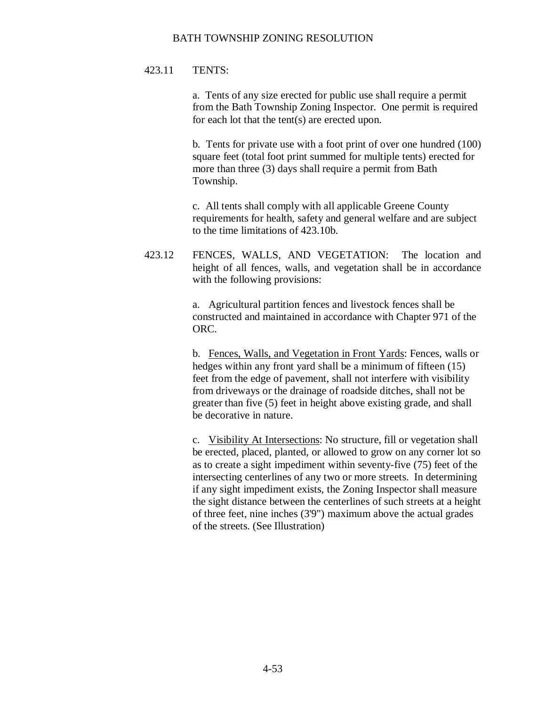# 423.11 TENTS:

a. Tents of any size erected for public use shall require a permit from the Bath Township Zoning Inspector. One permit is required for each lot that the tent(s) are erected upon.

b. Tents for private use with a foot print of over one hundred (100) square feet (total foot print summed for multiple tents) erected for more than three (3) days shall require a permit from Bath Township.

c. All tents shall comply with all applicable Greene County requirements for health, safety and general welfare and are subject to the time limitations of 423.10b.

423.12 FENCES, WALLS, AND VEGETATION: The location and height of all fences, walls, and vegetation shall be in accordance with the following provisions:

> a. Agricultural partition fences and livestock fences shall be constructed and maintained in accordance with Chapter 971 of the ORC.

> b. Fences, Walls, and Vegetation in Front Yards: Fences, walls or hedges within any front yard shall be a minimum of fifteen (15) feet from the edge of pavement, shall not interfere with visibility from driveways or the drainage of roadside ditches, shall not be greater than five (5) feet in height above existing grade, and shall be decorative in nature.

> c. Visibility At Intersections: No structure, fill or vegetation shall be erected, placed, planted, or allowed to grow on any corner lot so as to create a sight impediment within seventy-five (75) feet of the intersecting centerlines of any two or more streets. In determining if any sight impediment exists, the Zoning Inspector shall measure the sight distance between the centerlines of such streets at a height of three feet, nine inches (3'9") maximum above the actual grades of the streets. (See Illustration)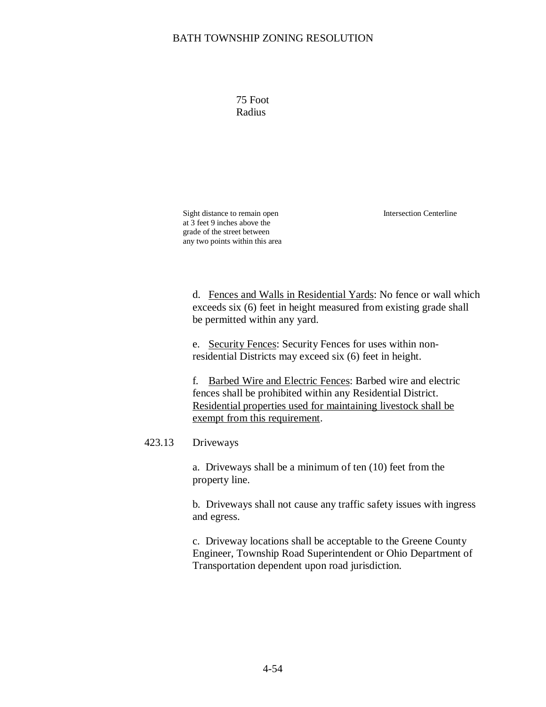75 Foot Radius

Intersection Centerline

Sight distance to remain open at 3 feet 9 inches above the grade of the street between any two points within this area

d. Fences and Walls in Residential Yards: No fence or wall which exceeds six (6) feet in height measured from existing grade shall be permitted within any yard.

e. Security Fences: Security Fences for uses within nonresidential Districts may exceed six (6) feet in height.

f. Barbed Wire and Electric Fences: Barbed wire and electric fences shall be prohibited within any Residential District. Residential properties used for maintaining livestock shall be exempt from this requirement.

## 423.13 Driveways

a. Driveways shall be a minimum of ten (10) feet from the property line.

b. Driveways shall not cause any traffic safety issues with ingress and egress.

c. Driveway locations shall be acceptable to the Greene County Engineer, Township Road Superintendent or Ohio Department of Transportation dependent upon road jurisdiction.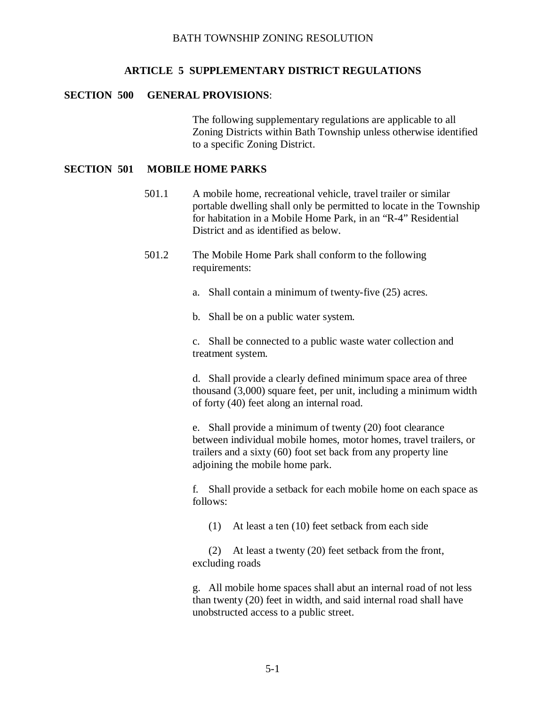#### **ARTICLE 5 SUPPLEMENTARY DISTRICT REGULATIONS**

#### **SECTION 500 GENERAL PROVISIONS**:

The following supplementary regulations are applicable to all Zoning Districts within Bath Township unless otherwise identified to a specific Zoning District.

#### **SECTION 501 MOBILE HOME PARKS**

- 501.1 A mobile home, recreational vehicle, travel trailer or similar portable dwelling shall only be permitted to locate in the Township for habitation in a Mobile Home Park, in an "R-4" Residential District and as identified as below.
- 501.2 The Mobile Home Park shall conform to the following requirements:
	- a. Shall contain a minimum of twenty-five (25) acres.

b. Shall be on a public water system.

c. Shall be connected to a public waste water collection and treatment system.

d. Shall provide a clearly defined minimum space area of three thousand (3,000) square feet, per unit, including a minimum width of forty (40) feet along an internal road.

e. Shall provide a minimum of twenty (20) foot clearance between individual mobile homes, motor homes, travel trailers, or trailers and a sixty (60) foot set back from any property line adjoining the mobile home park.

f. Shall provide a setback for each mobile home on each space as follows:

(1) At least a ten (10) feet setback from each side

(2) At least a twenty (20) feet setback from the front, excluding roads

g. All mobile home spaces shall abut an internal road of not less than twenty (20) feet in width, and said internal road shall have unobstructed access to a public street.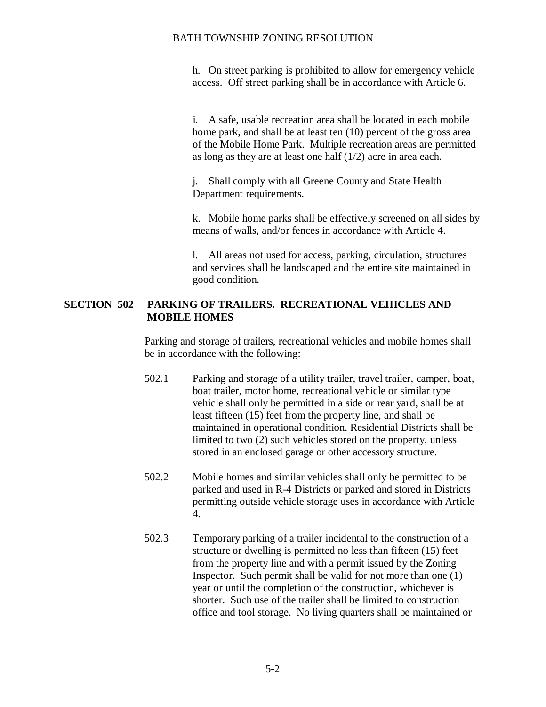h. On street parking is prohibited to allow for emergency vehicle access. Off street parking shall be in accordance with Article 6.

 i. A safe, usable recreation area shall be located in each mobile home park, and shall be at least ten (10) percent of the gross area of the Mobile Home Park. Multiple recreation areas are permitted as long as they are at least one half (1/2) acre in area each.

j. Shall comply with all Greene County and State Health Department requirements.

k. Mobile home parks shall be effectively screened on all sides by means of walls, and/or fences in accordance with Article 4.

l. All areas not used for access, parking, circulation, structures and services shall be landscaped and the entire site maintained in good condition.

# **SECTION 502 PARKING OF TRAILERS. RECREATIONAL VEHICLES AND MOBILE HOMES**

Parking and storage of trailers, recreational vehicles and mobile homes shall be in accordance with the following:

- 502.1 Parking and storage of a utility trailer, travel trailer, camper, boat, boat trailer, motor home, recreational vehicle or similar type vehicle shall only be permitted in a side or rear yard, shall be at least fifteen (15) feet from the property line, and shall be maintained in operational condition. Residential Districts shall be limited to two (2) such vehicles stored on the property, unless stored in an enclosed garage or other accessory structure.
- 502.2 Mobile homes and similar vehicles shall only be permitted to be parked and used in R-4 Districts or parked and stored in Districts permitting outside vehicle storage uses in accordance with Article 4.
- 502.3 Temporary parking of a trailer incidental to the construction of a structure or dwelling is permitted no less than fifteen (15) feet from the property line and with a permit issued by the Zoning Inspector. Such permit shall be valid for not more than one (1) year or until the completion of the construction, whichever is shorter. Such use of the trailer shall be limited to construction office and tool storage. No living quarters shall be maintained or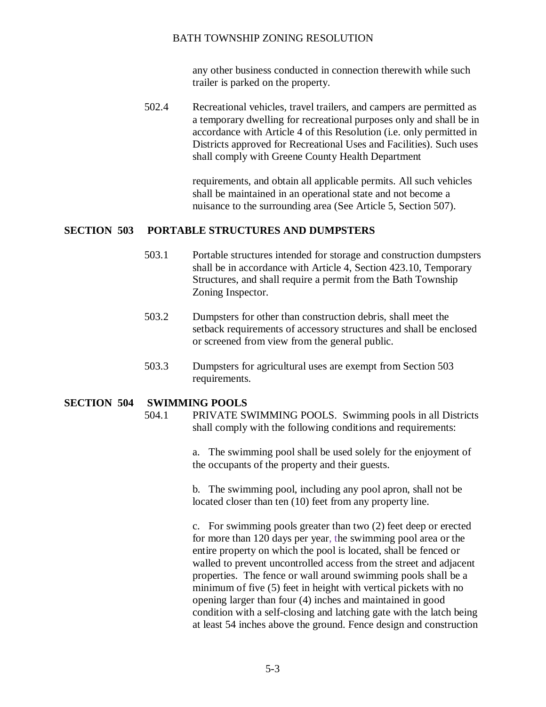any other business conducted in connection therewith while such trailer is parked on the property.

502.4 Recreational vehicles, travel trailers, and campers are permitted as a temporary dwelling for recreational purposes only and shall be in accordance with Article 4 of this Resolution (i.e. only permitted in Districts approved for Recreational Uses and Facilities). Such uses shall comply with Greene County Health Department

> requirements, and obtain all applicable permits. All such vehicles shall be maintained in an operational state and not become a nuisance to the surrounding area (See Article 5, Section 507).

### **SECTION 503 PORTABLE STRUCTURES AND DUMPSTERS**

- 503.1 Portable structures intended for storage and construction dumpsters shall be in accordance with Article 4, Section 423.10, Temporary Structures, and shall require a permit from the Bath Township Zoning Inspector.
- 503.2 Dumpsters for other than construction debris, shall meet the setback requirements of accessory structures and shall be enclosed or screened from view from the general public.
- 503.3 Dumpsters for agricultural uses are exempt from Section 503 requirements.

### **SECTION 504 SWIMMING POOLS**

504.1 PRIVATE SWIMMING POOLS. Swimming pools in all Districts shall comply with the following conditions and requirements:

> a. The swimming pool shall be used solely for the enjoyment of the occupants of the property and their guests.

b. The swimming pool, including any pool apron, shall not be located closer than ten (10) feet from any property line.

c. For swimming pools greater than two (2) feet deep or erected for more than 120 days per year, the swimming pool area or the entire property on which the pool is located, shall be fenced or walled to prevent uncontrolled access from the street and adjacent properties. The fence or wall around swimming pools shall be a minimum of five (5) feet in height with vertical pickets with no opening larger than four (4) inches and maintained in good condition with a self-closing and latching gate with the latch being at least 54 inches above the ground. Fence design and construction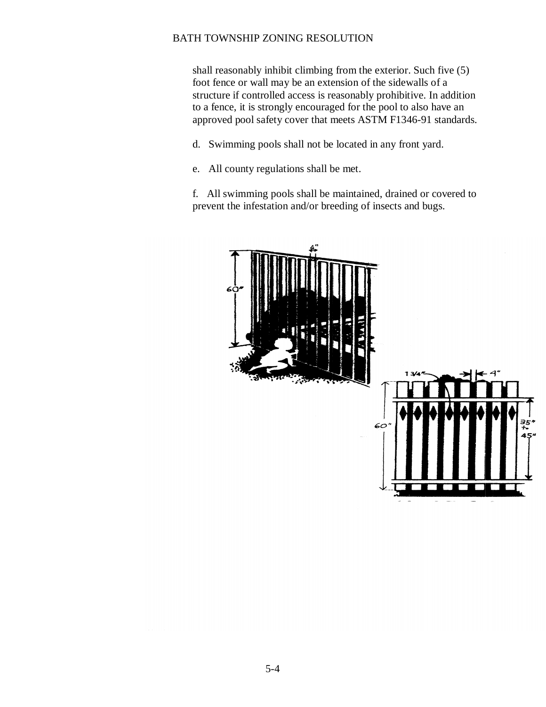shall reasonably inhibit climbing from the exterior. Such five (5) foot fence or wall may be an extension of the sidewalls of a structure if controlled access is reasonably prohibitive. In addition to a fence, it is strongly encouraged for the pool to also have an approved pool safety cover that meets ASTM F1346-91 standards.

d. Swimming pools shall not be located in any front yard.

e. All county regulations shall be met.

f. All swimming pools shall be maintained, drained or covered to prevent the infestation and/or breeding of insects and bugs.

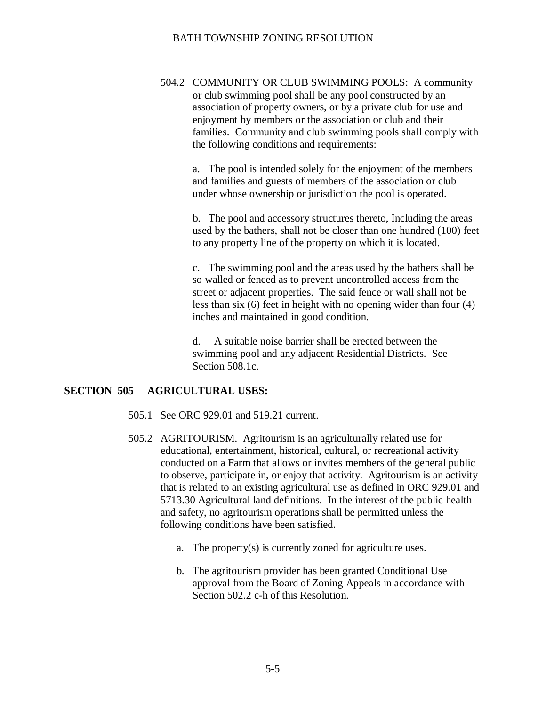504.2 COMMUNITY OR CLUB SWIMMING POOLS: A community or club swimming pool shall be any pool constructed by an association of property owners, or by a private club for use and enjoyment by members or the association or club and their families. Community and club swimming pools shall comply with the following conditions and requirements:

a. The pool is intended solely for the enjoyment of the members and families and guests of members of the association or club under whose ownership or jurisdiction the pool is operated.

 b. The pool and accessory structures thereto, Including the areas used by the bathers, shall not be closer than one hundred (100) feet to any property line of the property on which it is located.

c. The swimming pool and the areas used by the bathers shall be so walled or fenced as to prevent uncontrolled access from the street or adjacent properties. The said fence or wall shall not be less than six (6) feet in height with no opening wider than four (4) inches and maintained in good condition.

d. A suitable noise barrier shall be erected between the swimming pool and any adjacent Residential Districts. See Section 508.1c.

#### **SECTION 505 AGRICULTURAL USES:**

- 505.1 See ORC 929.01 and 519.21 current.
- 505.2 AGRITOURISM. Agritourism is an agriculturally related use for educational, entertainment, historical, cultural, or recreational activity conducted on a Farm that allows or invites members of the general public to observe, participate in, or enjoy that activity. Agritourism is an activity that is related to an existing agricultural use as defined in ORC 929.01 and 5713.30 Agricultural land definitions. In the interest of the public health and safety, no agritourism operations shall be permitted unless the following conditions have been satisfied.
	- a. The property(s) is currently zoned for agriculture uses.
	- b. The agritourism provider has been granted Conditional Use approval from the Board of Zoning Appeals in accordance with Section 502.2 c-h of this Resolution.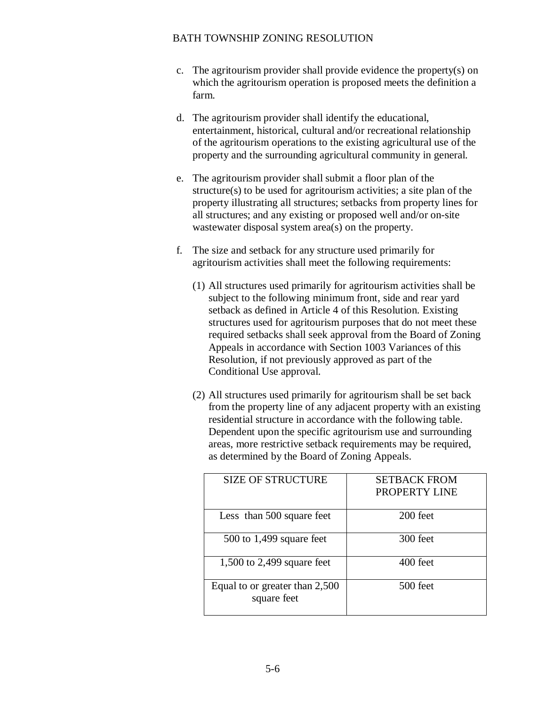- c. The agritourism provider shall provide evidence the property(s) on which the agritourism operation is proposed meets the definition a farm.
- d. The agritourism provider shall identify the educational, entertainment, historical, cultural and/or recreational relationship of the agritourism operations to the existing agricultural use of the property and the surrounding agricultural community in general.
- e. The agritourism provider shall submit a floor plan of the structure(s) to be used for agritourism activities; a site plan of the property illustrating all structures; setbacks from property lines for all structures; and any existing or proposed well and/or on-site wastewater disposal system area(s) on the property.
- f. The size and setback for any structure used primarily for agritourism activities shall meet the following requirements:
	- (1) All structures used primarily for agritourism activities shall be subject to the following minimum front, side and rear yard setback as defined in Article 4 of this Resolution. Existing structures used for agritourism purposes that do not meet these required setbacks shall seek approval from the Board of Zoning Appeals in accordance with Section 1003 Variances of this Resolution, if not previously approved as part of the Conditional Use approval.
	- (2) All structures used primarily for agritourism shall be set back from the property line of any adjacent property with an existing residential structure in accordance with the following table. Dependent upon the specific agritourism use and surrounding areas, more restrictive setback requirements may be required, as determined by the Board of Zoning Appeals.

| <b>SIZE OF STRUCTURE</b>                      | <b>SETBACK FROM</b><br>PROPERTY LINE |
|-----------------------------------------------|--------------------------------------|
| Less than 500 square feet                     | 200 feet                             |
| $500$ to 1,499 square feet                    | 300 feet                             |
| $1,500$ to 2,499 square feet                  | 400 feet                             |
| Equal to or greater than 2,500<br>square feet | 500 feet                             |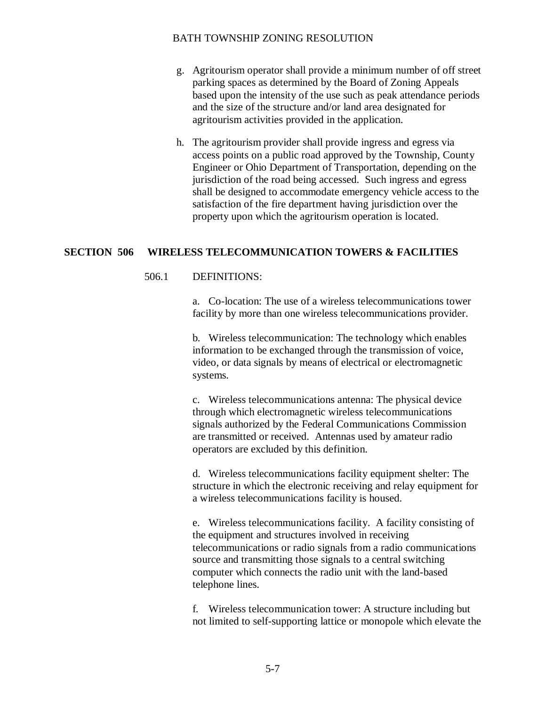- g. Agritourism operator shall provide a minimum number of off street parking spaces as determined by the Board of Zoning Appeals based upon the intensity of the use such as peak attendance periods and the size of the structure and/or land area designated for agritourism activities provided in the application.
- h. The agritourism provider shall provide ingress and egress via access points on a public road approved by the Township, County Engineer or Ohio Department of Transportation, depending on the jurisdiction of the road being accessed. Such ingress and egress shall be designed to accommodate emergency vehicle access to the satisfaction of the fire department having jurisdiction over the property upon which the agritourism operation is located.

### **SECTION 506 WIRELESS TELECOMMUNICATION TOWERS & FACILITIES**

### 506.1 DEFINITIONS:

a. Co-location: The use of a wireless telecommunications tower facility by more than one wireless telecommunications provider.

b. Wireless telecommunication: The technology which enables information to be exchanged through the transmission of voice, video, or data signals by means of electrical or electromagnetic systems.

c. Wireless telecommunications antenna: The physical device through which electromagnetic wireless telecommunications signals authorized by the Federal Communications Commission are transmitted or received. Antennas used by amateur radio operators are excluded by this definition.

d. Wireless telecommunications facility equipment shelter: The structure in which the electronic receiving and relay equipment for a wireless telecommunications facility is housed.

e. Wireless telecommunications facility. A facility consisting of the equipment and structures involved in receiving telecommunications or radio signals from a radio communications source and transmitting those signals to a central switching computer which connects the radio unit with the land-based telephone lines.

f. Wireless telecommunication tower: A structure including but not limited to self-supporting lattice or monopole which elevate the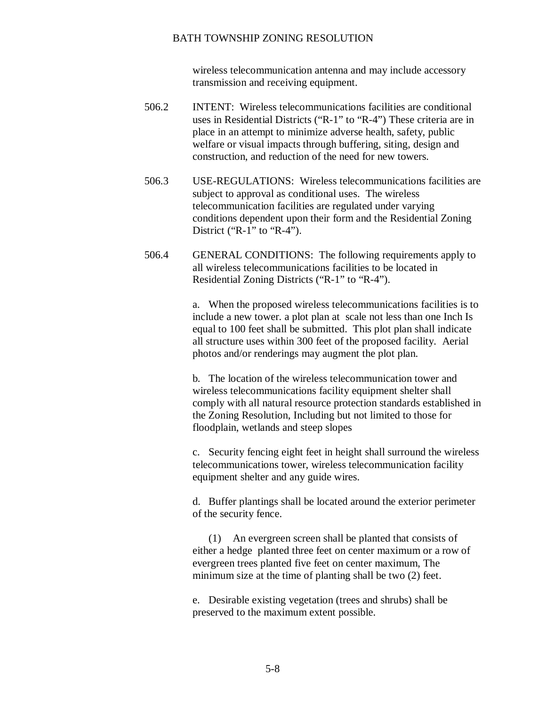wireless telecommunication antenna and may include accessory transmission and receiving equipment.

- 506.2 INTENT: Wireless telecommunications facilities are conditional uses in Residential Districts ("R-1" to "R-4") These criteria are in place in an attempt to minimize adverse health, safety, public welfare or visual impacts through buffering, siting, design and construction, and reduction of the need for new towers.
- 506.3 USE-REGULATIONS: Wireless telecommunications facilities are subject to approval as conditional uses. The wireless telecommunication facilities are regulated under varying conditions dependent upon their form and the Residential Zoning District ("R-1" to "R-4").
- 506.4 GENERAL CONDITIONS: The following requirements apply to all wireless telecommunications facilities to be located in Residential Zoning Districts ("R-1" to "R-4").

a. When the proposed wireless telecommunications facilities is to include a new tower. a plot plan at scale not less than one Inch Is equal to 100 feet shall be submitted. This plot plan shall indicate all structure uses within 300 feet of the proposed facility. Aerial photos and/or renderings may augment the plot plan.

b. The location of the wireless telecommunication tower and wireless telecommunications facility equipment shelter shall comply with all natural resource protection standards established in the Zoning Resolution, Including but not limited to those for floodplain, wetlands and steep slopes

c. Security fencing eight feet in height shall surround the wireless telecommunications tower, wireless telecommunication facility equipment shelter and any guide wires.

d. Buffer plantings shall be located around the exterior perimeter of the security fence.

(1) An evergreen screen shall be planted that consists of either a hedge planted three feet on center maximum or a row of evergreen trees planted five feet on center maximum, The minimum size at the time of planting shall be two (2) feet.

e. Desirable existing vegetation (trees and shrubs) shall be preserved to the maximum extent possible.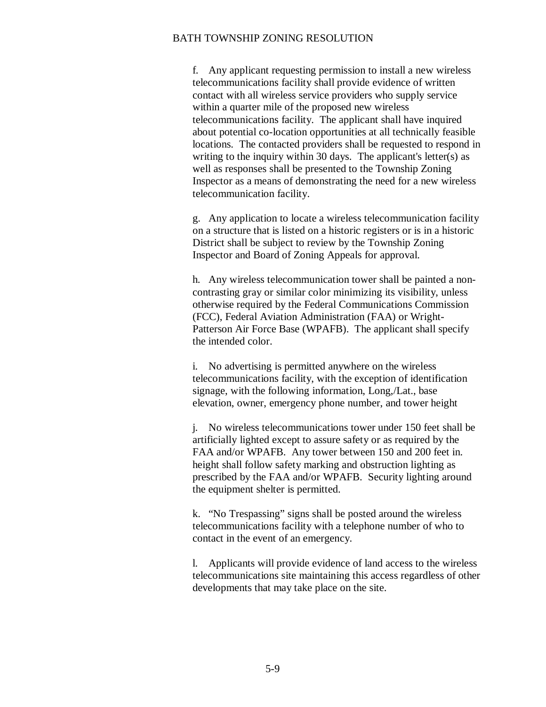f. Any applicant requesting permission to install a new wireless telecommunications facility shall provide evidence of written contact with all wireless service providers who supply service within a quarter mile of the proposed new wireless telecommunications facility. The applicant shall have inquired about potential co-location opportunities at all technically feasible locations. The contacted providers shall be requested to respond in writing to the inquiry within 30 days. The applicant's letter(s) as well as responses shall be presented to the Township Zoning Inspector as a means of demonstrating the need for a new wireless telecommunication facility.

g. Any application to locate a wireless telecommunication facility on a structure that is listed on a historic registers or is in a historic District shall be subject to review by the Township Zoning Inspector and Board of Zoning Appeals for approval.

h. Any wireless telecommunication tower shall be painted a noncontrasting gray or similar color minimizing its visibility, unless otherwise required by the Federal Communications Commission (FCC), Federal Aviation Administration (FAA) or Wright-Patterson Air Force Base (WPAFB). The applicant shall specify the intended color.

i. No advertising is permitted anywhere on the wireless telecommunications facility, with the exception of identification signage, with the following information, Long,/Lat., base elevation, owner, emergency phone number, and tower height

j. No wireless telecommunications tower under 150 feet shall be artificially lighted except to assure safety or as required by the FAA and/or WPAFB. Any tower between 150 and 200 feet in. height shall follow safety marking and obstruction lighting as prescribed by the FAA and/or WPAFB. Security lighting around the equipment shelter is permitted.

k. "No Trespassing" signs shall be posted around the wireless telecommunications facility with a telephone number of who to contact in the event of an emergency.

l. Applicants will provide evidence of land access to the wireless telecommunications site maintaining this access regardless of other developments that may take place on the site.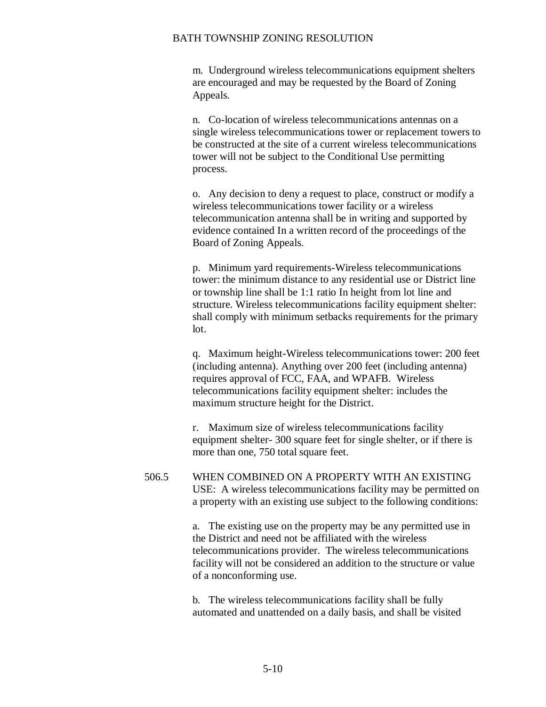m. Underground wireless telecommunications equipment shelters are encouraged and may be requested by the Board of Zoning Appeals.

n. Co-location of wireless telecommunications antennas on a single wireless telecommunications tower or replacement towers to be constructed at the site of a current wireless telecommunications tower will not be subject to the Conditional Use permitting process.

o. Any decision to deny a request to place, construct or modify a wireless telecommunications tower facility or a wireless telecommunication antenna shall be in writing and supported by evidence contained In a written record of the proceedings of the Board of Zoning Appeals.

p. Minimum yard requirements-Wireless telecommunications tower: the minimum distance to any residential use or District line or township line shall be 1:1 ratio In height from lot line and structure. Wireless telecommunications facility equipment shelter: shall comply with minimum setbacks requirements for the primary lot.

q. Maximum height-Wireless telecommunications tower: 200 feet (including antenna). Anything over 200 feet (including antenna) requires approval of FCC, FAA, and WPAFB. Wireless telecommunications facility equipment shelter: includes the maximum structure height for the District.

r. Maximum size of wireless telecommunications facility equipment shelter- 300 square feet for single shelter, or if there is more than one, 750 total square feet.

506.5 WHEN COMBINED ON A PROPERTY WITH AN EXISTING USE: A wireless telecommunications facility may be permitted on a property with an existing use subject to the following conditions:

> a. The existing use on the property may be any permitted use in the District and need not be affiliated with the wireless telecommunications provider. The wireless telecommunications facility will not be considered an addition to the structure or value of a nonconforming use.

b. The wireless telecommunications facility shall be fully automated and unattended on a daily basis, and shall be visited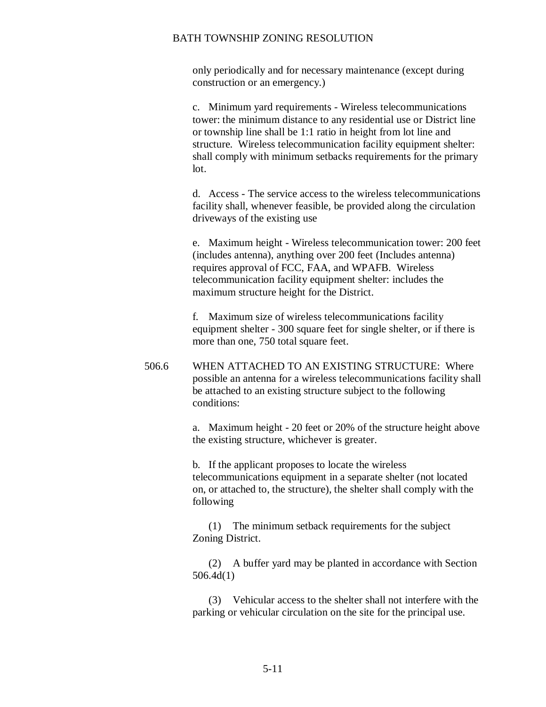only periodically and for necessary maintenance (except during construction or an emergency.)

c. Minimum yard requirements - Wireless telecommunications tower: the minimum distance to any residential use or District line or township line shall be 1:1 ratio in height from lot line and structure. Wireless telecommunication facility equipment shelter: shall comply with minimum setbacks requirements for the primary lot.

d. Access - The service access to the wireless telecommunications facility shall, whenever feasible, be provided along the circulation driveways of the existing use

e. Maximum height - Wireless telecommunication tower: 200 feet (includes antenna), anything over 200 feet (Includes antenna) requires approval of FCC, FAA, and WPAFB. Wireless telecommunication facility equipment shelter: includes the maximum structure height for the District.

f. Maximum size of wireless telecommunications facility equipment shelter - 300 square feet for single shelter, or if there is more than one, 750 total square feet.

506.6 WHEN ATTACHED TO AN EXISTING STRUCTURE: Where possible an antenna for a wireless telecommunications facility shall be attached to an existing structure subject to the following conditions:

> a. Maximum height - 20 feet or 20% of the structure height above the existing structure, whichever is greater.

b. If the applicant proposes to locate the wireless telecommunications equipment in a separate shelter (not located on, or attached to, the structure), the shelter shall comply with the following

(1) The minimum setback requirements for the subject Zoning District.

(2) A buffer yard may be planted in accordance with Section 506.4d(1)

(3) Vehicular access to the shelter shall not interfere with the parking or vehicular circulation on the site for the principal use.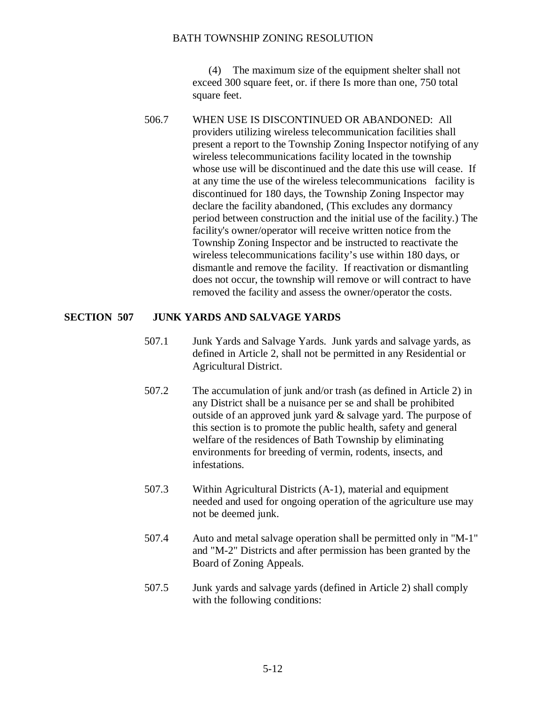(4) The maximum size of the equipment shelter shall not exceed 300 square feet, or. if there Is more than one, 750 total square feet.

506.7 WHEN USE IS DISCONTINUED OR ABANDONED: All providers utilizing wireless telecommunication facilities shall present a report to the Township Zoning Inspector notifying of any wireless telecommunications facility located in the township whose use will be discontinued and the date this use will cease. If at any time the use of the wireless telecommunications facility is discontinued for 180 days, the Township Zoning Inspector may declare the facility abandoned, (This excludes any dormancy period between construction and the initial use of the facility.) The facility's owner/operator will receive written notice from the Township Zoning Inspector and be instructed to reactivate the wireless telecommunications facility's use within 180 days, or dismantle and remove the facility. If reactivation or dismantling does not occur, the township will remove or will contract to have removed the facility and assess the owner/operator the costs.

### **SECTION 507 JUNK YARDS AND SALVAGE YARDS**

- 507.1 Junk Yards and Salvage Yards. Junk yards and salvage yards, as defined in Article 2, shall not be permitted in any Residential or Agricultural District.
- 507.2 The accumulation of junk and/or trash (as defined in Article 2) in any District shall be a nuisance per se and shall be prohibited outside of an approved junk yard & salvage yard. The purpose of this section is to promote the public health, safety and general welfare of the residences of Bath Township by eliminating environments for breeding of vermin, rodents, insects, and infestations.
- 507.3 Within Agricultural Districts (A-1), material and equipment needed and used for ongoing operation of the agriculture use may not be deemed junk.
- 507.4 Auto and metal salvage operation shall be permitted only in "M-1" and "M-2" Districts and after permission has been granted by the Board of Zoning Appeals.
- 507.5 Junk yards and salvage yards (defined in Article 2) shall comply with the following conditions: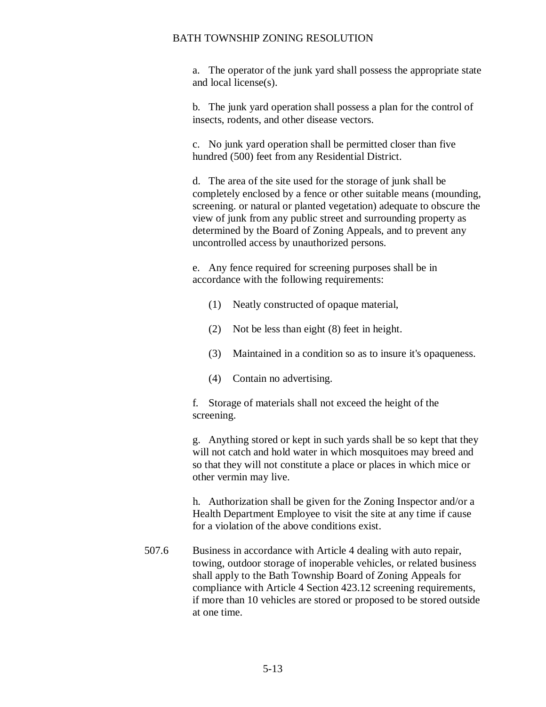a. The operator of the junk yard shall possess the appropriate state and local license(s).

b. The junk yard operation shall possess a plan for the control of insects, rodents, and other disease vectors.

c. No junk yard operation shall be permitted closer than five hundred (500) feet from any Residential District.

d. The area of the site used for the storage of junk shall be completely enclosed by a fence or other suitable means (mounding, screening. or natural or planted vegetation) adequate to obscure the view of junk from any public street and surrounding property as determined by the Board of Zoning Appeals, and to prevent any uncontrolled access by unauthorized persons.

e. Any fence required for screening purposes shall be in accordance with the following requirements:

- (1) Neatly constructed of opaque material,
- (2) Not be less than eight (8) feet in height.
- (3) Maintained in a condition so as to insure it's opaqueness.
- (4) Contain no advertising.

f. Storage of materials shall not exceed the height of the screening.

g. Anything stored or kept in such yards shall be so kept that they will not catch and hold water in which mosquitoes may breed and so that they will not constitute a place or places in which mice or other vermin may live.

 h. Authorization shall be given for the Zoning Inspector and/or a Health Department Employee to visit the site at any time if cause for a violation of the above conditions exist.

507.6 Business in accordance with Article 4 dealing with auto repair, towing, outdoor storage of inoperable vehicles, or related business shall apply to the Bath Township Board of Zoning Appeals for compliance with Article 4 Section 423.12 screening requirements, if more than 10 vehicles are stored or proposed to be stored outside at one time.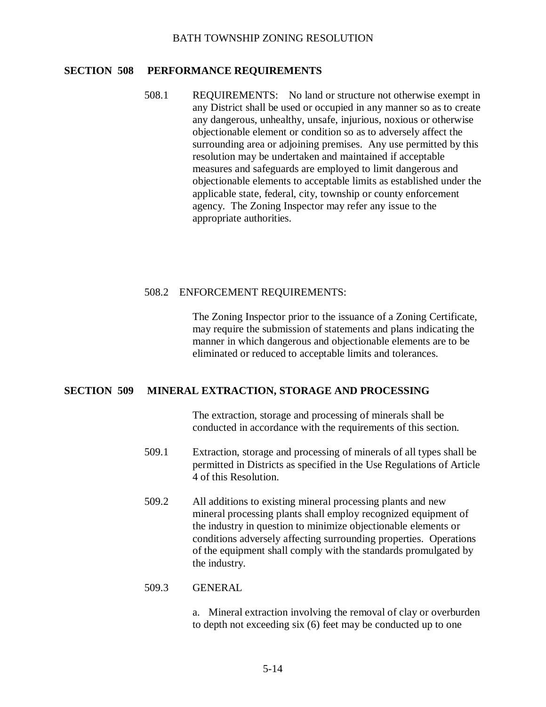## **SECTION 508 PERFORMANCE REQUIREMENTS**

508.1 REQUIREMENTS: No land or structure not otherwise exempt in any District shall be used or occupied in any manner so as to create any dangerous, unhealthy, unsafe, injurious, noxious or otherwise objectionable element or condition so as to adversely affect the surrounding area or adjoining premises. Any use permitted by this resolution may be undertaken and maintained if acceptable measures and safeguards are employed to limit dangerous and objectionable elements to acceptable limits as established under the applicable state, federal, city, township or county enforcement agency. The Zoning Inspector may refer any issue to the appropriate authorities.

# 508.2 ENFORCEMENT REQUIREMENTS:

The Zoning Inspector prior to the issuance of a Zoning Certificate, may require the submission of statements and plans indicating the manner in which dangerous and objectionable elements are to be eliminated or reduced to acceptable limits and tolerances.

### **SECTION 509 MINERAL EXTRACTION, STORAGE AND PROCESSING**

The extraction, storage and processing of minerals shall be conducted in accordance with the requirements of this section.

- 509.1 Extraction, storage and processing of minerals of all types shall be permitted in Districts as specified in the Use Regulations of Article 4 of this Resolution.
- 509.2 All additions to existing mineral processing plants and new mineral processing plants shall employ recognized equipment of the industry in question to minimize objectionable elements or conditions adversely affecting surrounding properties. Operations of the equipment shall comply with the standards promulgated by the industry.

### 509.3 GENERAL

a. Mineral extraction involving the removal of clay or overburden to depth not exceeding six (6) feet may be conducted up to one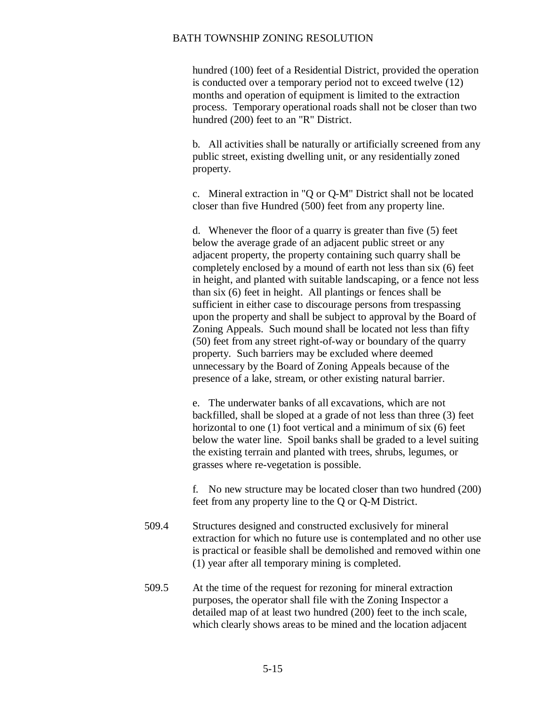hundred (100) feet of a Residential District, provided the operation is conducted over a temporary period not to exceed twelve (12) months and operation of equipment is limited to the extraction process. Temporary operational roads shall not be closer than two hundred (200) feet to an "R" District.

 b. All activities shall be naturally or artificially screened from any public street, existing dwelling unit, or any residentially zoned property.

c. Mineral extraction in "Q or Q-M" District shall not be located closer than five Hundred (500) feet from any property line.

d. Whenever the floor of a quarry is greater than five (5) feet below the average grade of an adjacent public street or any adjacent property, the property containing such quarry shall be completely enclosed by a mound of earth not less than six (6) feet in height, and planted with suitable landscaping, or a fence not less than six (6) feet in height. All plantings or fences shall be sufficient in either case to discourage persons from trespassing upon the property and shall be subject to approval by the Board of Zoning Appeals. Such mound shall be located not less than fifty (50) feet from any street right-of-way or boundary of the quarry property. Such barriers may be excluded where deemed unnecessary by the Board of Zoning Appeals because of the presence of a lake, stream, or other existing natural barrier.

e. The underwater banks of all excavations, which are not backfilled, shall be sloped at a grade of not less than three (3) feet horizontal to one (1) foot vertical and a minimum of six (6) feet below the water line. Spoil banks shall be graded to a level suiting the existing terrain and planted with trees, shrubs, legumes, or grasses where re-vegetation is possible.

f. No new structure may be located closer than two hundred (200) feet from any property line to the Q or Q-M District.

- 509.4 Structures designed and constructed exclusively for mineral extraction for which no future use is contemplated and no other use is practical or feasible shall be demolished and removed within one (1) year after all temporary mining is completed.
- 509.5 At the time of the request for rezoning for mineral extraction purposes, the operator shall file with the Zoning Inspector a detailed map of at least two hundred (200) feet to the inch scale, which clearly shows areas to be mined and the location adjacent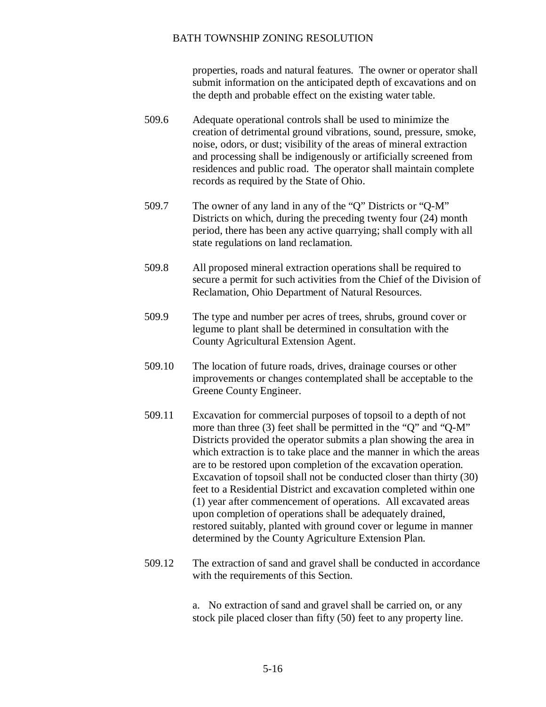properties, roads and natural features. The owner or operator shall submit information on the anticipated depth of excavations and on the depth and probable effect on the existing water table.

- 509.6 Adequate operational controls shall be used to minimize the creation of detrimental ground vibrations, sound, pressure, smoke, noise, odors, or dust; visibility of the areas of mineral extraction and processing shall be indigenously or artificially screened from residences and public road. The operator shall maintain complete records as required by the State of Ohio.
- 509.7 The owner of any land in any of the "Q" Districts or "Q-M" Districts on which, during the preceding twenty four (24) month period, there has been any active quarrying; shall comply with all state regulations on land reclamation.
- 509.8 All proposed mineral extraction operations shall be required to secure a permit for such activities from the Chief of the Division of Reclamation, Ohio Department of Natural Resources.
- 509.9 The type and number per acres of trees, shrubs, ground cover or legume to plant shall be determined in consultation with the County Agricultural Extension Agent.
- 509.10 The location of future roads, drives, drainage courses or other improvements or changes contemplated shall be acceptable to the Greene County Engineer.
- 509.11 Excavation for commercial purposes of topsoil to a depth of not more than three (3) feet shall be permitted in the "Q" and "Q-M" Districts provided the operator submits a plan showing the area in which extraction is to take place and the manner in which the areas are to be restored upon completion of the excavation operation. Excavation of topsoil shall not be conducted closer than thirty (30) feet to a Residential District and excavation completed within one (1) year after commencement of operations. All excavated areas upon completion of operations shall be adequately drained, restored suitably, planted with ground cover or legume in manner determined by the County Agriculture Extension Plan.
- 509.12 The extraction of sand and gravel shall be conducted in accordance with the requirements of this Section.

a. No extraction of sand and gravel shall be carried on, or any stock pile placed closer than fifty (50) feet to any property line.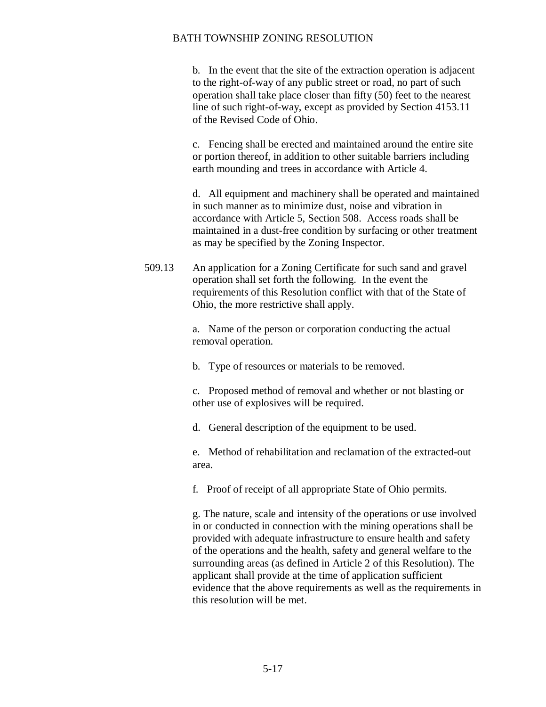b. In the event that the site of the extraction operation is adjacent to the right-of-way of any public street or road, no part of such operation shall take place closer than fifty (50) feet to the nearest line of such right-of-way, except as provided by Section 4153.11 of the Revised Code of Ohio.

c. Fencing shall be erected and maintained around the entire site or portion thereof, in addition to other suitable barriers including earth mounding and trees in accordance with Article 4.

d. All equipment and machinery shall be operated and maintained in such manner as to minimize dust, noise and vibration in accordance with Article 5, Section 508. Access roads shall be maintained in a dust-free condition by surfacing or other treatment as may be specified by the Zoning Inspector.

509.13 An application for a Zoning Certificate for such sand and gravel operation shall set forth the following. In the event the requirements of this Resolution conflict with that of the State of Ohio, the more restrictive shall apply.

> a. Name of the person or corporation conducting the actual removal operation.

b. Type of resources or materials to be removed.

c. Proposed method of removal and whether or not blasting or other use of explosives will be required.

d. General description of the equipment to be used.

e. Method of rehabilitation and reclamation of the extracted-out area.

f. Proof of receipt of all appropriate State of Ohio permits.

g. The nature, scale and intensity of the operations or use involved in or conducted in connection with the mining operations shall be provided with adequate infrastructure to ensure health and safety of the operations and the health, safety and general welfare to the surrounding areas (as defined in Article 2 of this Resolution). The applicant shall provide at the time of application sufficient evidence that the above requirements as well as the requirements in this resolution will be met.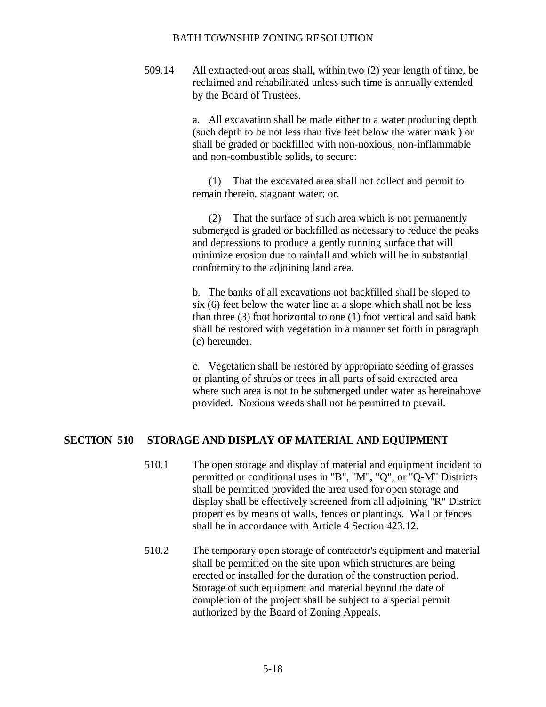509.14 All extracted-out areas shall, within two (2) year length of time, be reclaimed and rehabilitated unless such time is annually extended by the Board of Trustees.

> a. All excavation shall be made either to a water producing depth (such depth to be not less than five feet below the water mark ) or shall be graded or backfilled with non-noxious, non-inflammable and non-combustible solids, to secure:

(1) That the excavated area shall not collect and permit to remain therein, stagnant water; or,

(2) That the surface of such area which is not permanently submerged is graded or backfilled as necessary to reduce the peaks and depressions to produce a gently running surface that will minimize erosion due to rainfall and which will be in substantial conformity to the adjoining land area.

b. The banks of all excavations not backfilled shall be sloped to six (6) feet below the water line at a slope which shall not be less than three (3) foot horizontal to one (1) foot vertical and said bank shall be restored with vegetation in a manner set forth in paragraph (c) hereunder.

c. Vegetation shall be restored by appropriate seeding of grasses or planting of shrubs or trees in all parts of said extracted area where such area is not to be submerged under water as hereinabove provided. Noxious weeds shall not be permitted to prevail.

### **SECTION 510 STORAGE AND DISPLAY OF MATERIAL AND EQUIPMENT**

- 510.1 The open storage and display of material and equipment incident to permitted or conditional uses in "B", "M", "Q", or "Q-M" Districts shall be permitted provided the area used for open storage and display shall be effectively screened from all adjoining "R" District properties by means of walls, fences or plantings. Wall or fences shall be in accordance with Article 4 Section 423.12.
- 510.2 The temporary open storage of contractor's equipment and material shall be permitted on the site upon which structures are being erected or installed for the duration of the construction period. Storage of such equipment and material beyond the date of completion of the project shall be subject to a special permit authorized by the Board of Zoning Appeals.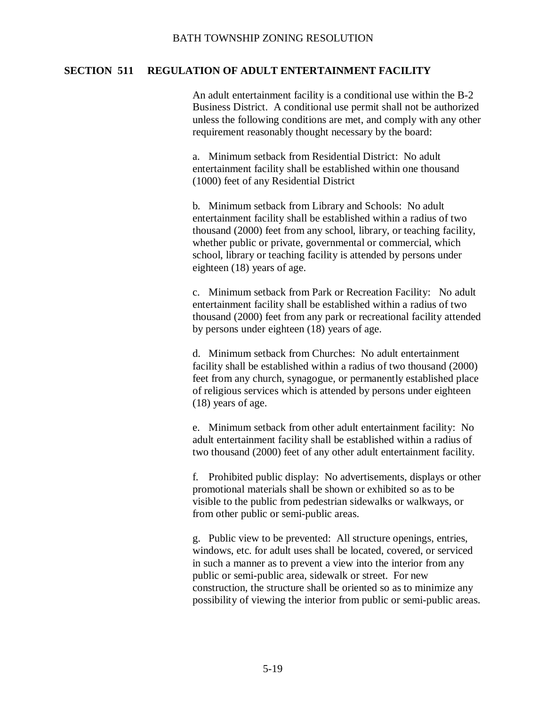# **SECTION 511 REGULATION OF ADULT ENTERTAINMENT FACILITY**

An adult entertainment facility is a conditional use within the B-2 Business District. A conditional use permit shall not be authorized unless the following conditions are met, and comply with any other requirement reasonably thought necessary by the board:

a. Minimum setback from Residential District: No adult entertainment facility shall be established within one thousand (1000) feet of any Residential District

b. Minimum setback from Library and Schools: No adult entertainment facility shall be established within a radius of two thousand (2000) feet from any school, library, or teaching facility, whether public or private, governmental or commercial, which school, library or teaching facility is attended by persons under eighteen (18) years of age.

c. Minimum setback from Park or Recreation Facility: No adult entertainment facility shall be established within a radius of two thousand (2000) feet from any park or recreational facility attended by persons under eighteen (18) years of age.

d. Minimum setback from Churches: No adult entertainment facility shall be established within a radius of two thousand (2000) feet from any church, synagogue, or permanently established place of religious services which is attended by persons under eighteen (18) years of age.

e. Minimum setback from other adult entertainment facility: No adult entertainment facility shall be established within a radius of two thousand (2000) feet of any other adult entertainment facility.

f. Prohibited public display: No advertisements, displays or other promotional materials shall be shown or exhibited so as to be visible to the public from pedestrian sidewalks or walkways, or from other public or semi-public areas.

g. Public view to be prevented: All structure openings, entries, windows, etc. for adult uses shall be located, covered, or serviced in such a manner as to prevent a view into the interior from any public or semi-public area, sidewalk or street. For new construction, the structure shall be oriented so as to minimize any possibility of viewing the interior from public or semi-public areas.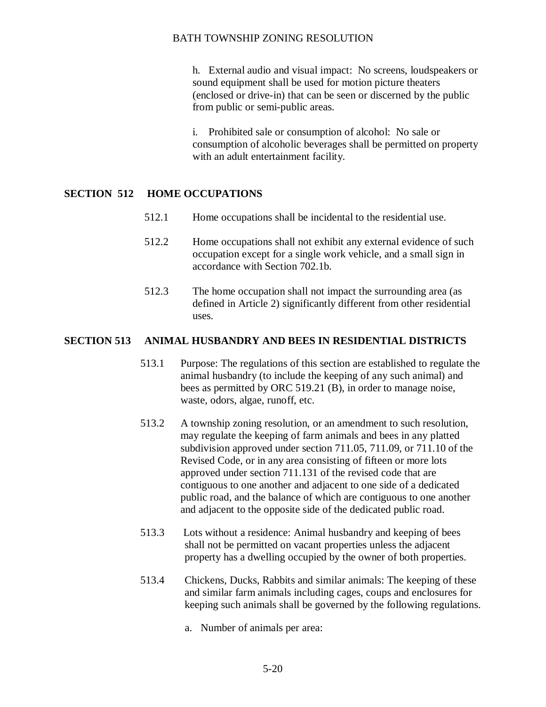h. External audio and visual impact: No screens, loudspeakers or sound equipment shall be used for motion picture theaters (enclosed or drive-in) that can be seen or discerned by the public from public or semi-public areas.

i. Prohibited sale or consumption of alcohol: No sale or consumption of alcoholic beverages shall be permitted on property with an adult entertainment facility.

# **SECTION 512 HOME OCCUPATIONS**

- 512.1 Home occupations shall be incidental to the residential use.
- 512.2 Home occupations shall not exhibit any external evidence of such occupation except for a single work vehicle, and a small sign in accordance with Section 702.1b.
- 512.3 The home occupation shall not impact the surrounding area (as defined in Article 2) significantly different from other residential uses.

# **SECTION 513 ANIMAL HUSBANDRY AND BEES IN RESIDENTIAL DISTRICTS**

- 513.1 Purpose: The regulations of this section are established to regulate the animal husbandry (to include the keeping of any such animal) and bees as permitted by ORC 519.21 (B), in order to manage noise, waste, odors, algae, runoff, etc.
- 513.2 A township zoning resolution, or an amendment to such resolution, may regulate the keeping of farm animals and bees in any platted subdivision approved under section 711.05, 711.09, or 711.10 of the Revised Code, or in any area consisting of fifteen or more lots approved under section 711.131 of the revised code that are contiguous to one another and adjacent to one side of a dedicated public road, and the balance of which are contiguous to one another and adjacent to the opposite side of the dedicated public road.
- 513.3 Lots without a residence: Animal husbandry and keeping of bees shall not be permitted on vacant properties unless the adjacent property has a dwelling occupied by the owner of both properties.
- 513.4 Chickens, Ducks, Rabbits and similar animals: The keeping of these and similar farm animals including cages, coups and enclosures for keeping such animals shall be governed by the following regulations.
	- a. Number of animals per area: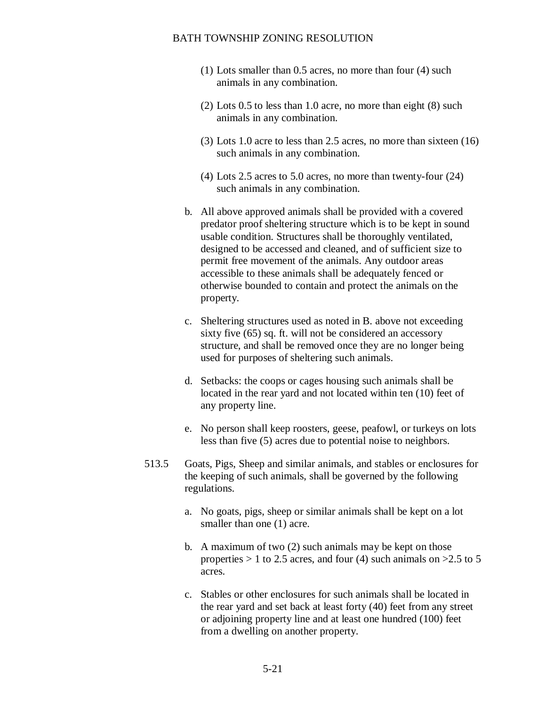- (1) Lots smaller than 0.5 acres, no more than four (4) such animals in any combination.
- (2) Lots 0.5 to less than 1.0 acre, no more than eight (8) such animals in any combination.
- (3) Lots 1.0 acre to less than 2.5 acres, no more than sixteen (16) such animals in any combination.
- (4) Lots 2.5 acres to 5.0 acres, no more than twenty-four (24) such animals in any combination.
- b. All above approved animals shall be provided with a covered predator proof sheltering structure which is to be kept in sound usable condition. Structures shall be thoroughly ventilated, designed to be accessed and cleaned, and of sufficient size to permit free movement of the animals. Any outdoor areas accessible to these animals shall be adequately fenced or otherwise bounded to contain and protect the animals on the property.
- c. Sheltering structures used as noted in B. above not exceeding sixty five (65) sq. ft. will not be considered an accessory structure, and shall be removed once they are no longer being used for purposes of sheltering such animals.
- d. Setbacks: the coops or cages housing such animals shall be located in the rear yard and not located within ten (10) feet of any property line.
- e. No person shall keep roosters, geese, peafowl, or turkeys on lots less than five (5) acres due to potential noise to neighbors.
- 513.5 Goats, Pigs, Sheep and similar animals, and stables or enclosures for the keeping of such animals, shall be governed by the following regulations.
	- a. No goats, pigs, sheep or similar animals shall be kept on a lot smaller than one (1) acre.
	- b. A maximum of two (2) such animals may be kept on those properties  $> 1$  to 2.5 acres, and four (4) such animals on  $>2.5$  to 5 acres.
	- c. Stables or other enclosures for such animals shall be located in the rear yard and set back at least forty (40) feet from any street or adjoining property line and at least one hundred (100) feet from a dwelling on another property.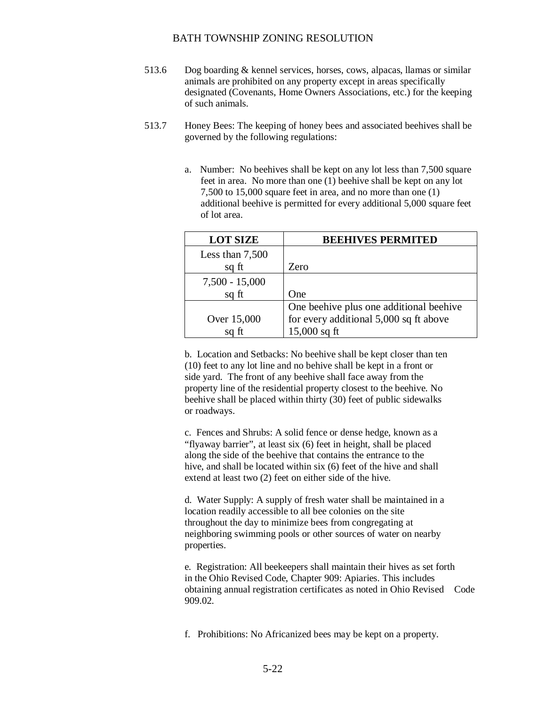- 513.6 Dog boarding & kennel services, horses, cows, alpacas, llamas or similar animals are prohibited on any property except in areas specifically designated (Covenants, Home Owners Associations, etc.) for the keeping of such animals.
- 513.7 Honey Bees: The keeping of honey bees and associated beehives shall be governed by the following regulations:
	- a. Number: No beehives shall be kept on any lot less than 7,500 square feet in area. No more than one (1) beehive shall be kept on any lot 7,500 to 15,000 square feet in area, and no more than one (1) additional beehive is permitted for every additional 5,000 square feet of lot area.

| <b>LOT SIZE</b>   | <b>BEEHIVES PERMITED</b>                |
|-------------------|-----------------------------------------|
| Less than $7,500$ |                                         |
| sq ft             | Zero                                    |
| $7,500 - 15,000$  |                                         |
| sq ft             | One                                     |
|                   | One beehive plus one additional beehive |
| Over 15,000       | for every additional 5,000 sq ft above  |
|                   | $15,000$ sq ft                          |

b. Location and Setbacks: No beehive shall be kept closer than ten (10) feet to any lot line and no behive shall be kept in a front or side yard. The front of any beehive shall face away from the property line of the residential property closest to the beehive. No beehive shall be placed within thirty (30) feet of public sidewalks or roadways.

c. Fences and Shrubs: A solid fence or dense hedge, known as a "flyaway barrier", at least six (6) feet in height, shall be placed along the side of the beehive that contains the entrance to the hive, and shall be located within six (6) feet of the hive and shall extend at least two (2) feet on either side of the hive.

d. Water Supply: A supply of fresh water shall be maintained in a location readily accessible to all bee colonies on the site throughout the day to minimize bees from congregating at neighboring swimming pools or other sources of water on nearby properties.

e. Registration: All beekeepers shall maintain their hives as set forth in the Ohio Revised Code, Chapter 909: Apiaries. This includes obtaining annual registration certificates as noted in Ohio Revised Code 909.02.

f. Prohibitions: No Africanized bees may be kept on a property.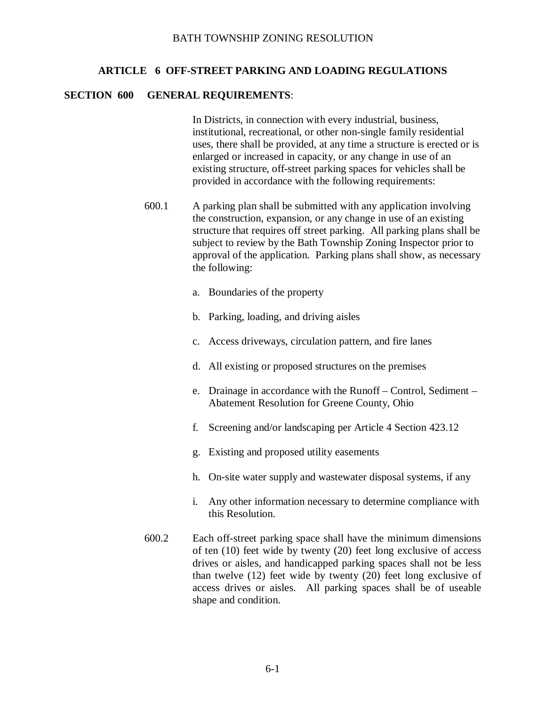# **ARTICLE 6 OFF-STREET PARKING AND LOADING REGULATIONS**

#### **SECTION 600 GENERAL REQUIREMENTS**:

In Districts, in connection with every industrial, business, institutional, recreational, or other non-single family residential uses, there shall be provided, at any time a structure is erected or is enlarged or increased in capacity, or any change in use of an existing structure, off-street parking spaces for vehicles shall be provided in accordance with the following requirements:

- 600.1 A parking plan shall be submitted with any application involving the construction, expansion, or any change in use of an existing structure that requires off street parking. All parking plans shall be subject to review by the Bath Township Zoning Inspector prior to approval of the application. Parking plans shall show, as necessary the following:
	- a. Boundaries of the property
	- b. Parking, loading, and driving aisles
	- c. Access driveways, circulation pattern, and fire lanes
	- d. All existing or proposed structures on the premises
	- e. Drainage in accordance with the Runoff Control, Sediment Abatement Resolution for Greene County, Ohio
	- f. Screening and/or landscaping per Article 4 Section 423.12
	- g. Existing and proposed utility easements
	- h. On-site water supply and wastewater disposal systems, if any
	- i. Any other information necessary to determine compliance with this Resolution.
- 600.2 Each off-street parking space shall have the minimum dimensions of ten (10) feet wide by twenty (20) feet long exclusive of access drives or aisles, and handicapped parking spaces shall not be less than twelve (12) feet wide by twenty (20) feet long exclusive of access drives or aisles. All parking spaces shall be of useable shape and condition.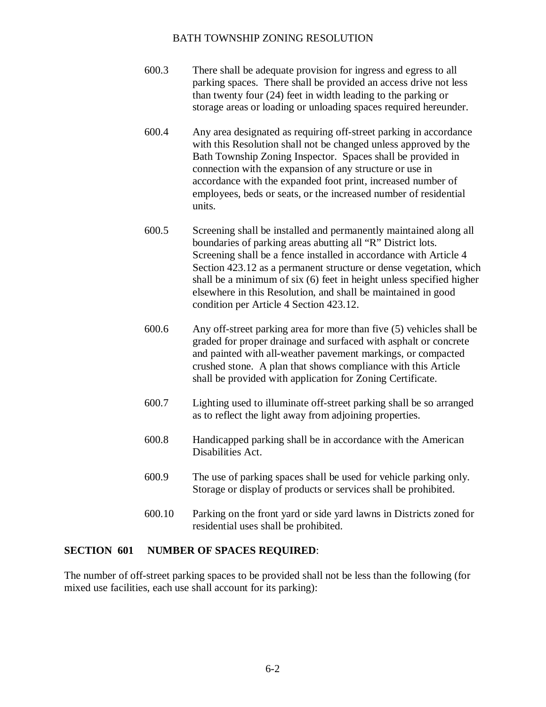- 600.3 There shall be adequate provision for ingress and egress to all parking spaces. There shall be provided an access drive not less than twenty four (24) feet in width leading to the parking or storage areas or loading or unloading spaces required hereunder.
- 600.4 Any area designated as requiring off-street parking in accordance with this Resolution shall not be changed unless approved by the Bath Township Zoning Inspector. Spaces shall be provided in connection with the expansion of any structure or use in accordance with the expanded foot print, increased number of employees, beds or seats, or the increased number of residential units.
- 600.5 Screening shall be installed and permanently maintained along all boundaries of parking areas abutting all "R" District lots. Screening shall be a fence installed in accordance with Article 4 Section 423.12 as a permanent structure or dense vegetation, which shall be a minimum of six (6) feet in height unless specified higher elsewhere in this Resolution, and shall be maintained in good condition per Article 4 Section 423.12.
- 600.6 Any off-street parking area for more than five (5) vehicles shall be graded for proper drainage and surfaced with asphalt or concrete and painted with all-weather pavement markings, or compacted crushed stone. A plan that shows compliance with this Article shall be provided with application for Zoning Certificate.
- 600.7 Lighting used to illuminate off-street parking shall be so arranged as to reflect the light away from adjoining properties.
- 600.8 Handicapped parking shall be in accordance with the American Disabilities Act.
- 600.9 The use of parking spaces shall be used for vehicle parking only. Storage or display of products or services shall be prohibited.
- 600.10 Parking on the front yard or side yard lawns in Districts zoned for residential uses shall be prohibited.

### **SECTION 601 NUMBER OF SPACES REQUIRED**:

The number of off-street parking spaces to be provided shall not be less than the following (for mixed use facilities, each use shall account for its parking):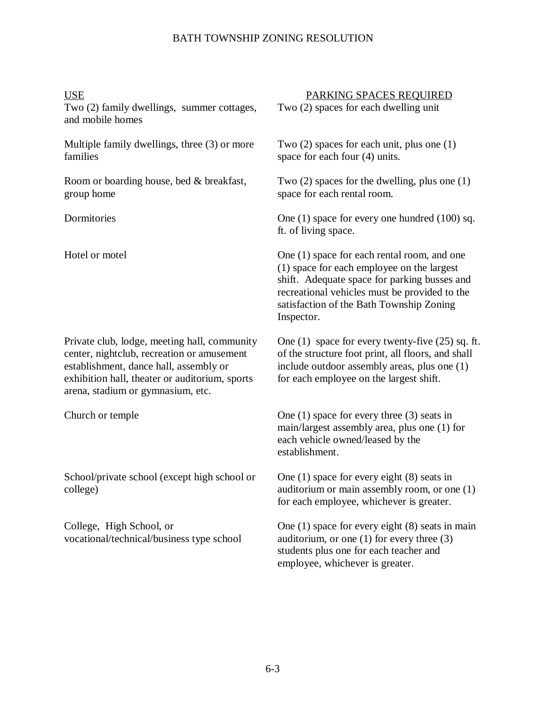Two (2) family dwellings, summer cottages, and mobile homes

Multiple family dwellings, three (3) or more families

Room or boarding house, bed & breakfast, group home

Private club, lodge, meeting hall, community center, nightclub, recreation or amusement establishment, dance hall, assembly or exhibition hall, theater or auditorium, sports arena, stadium or gymnasium, etc.

School/private school (except high school or college)

College, High School, or vocational/technical/business type school

USE PARKING SPACES REQUIRED

Two (2) spaces for each dwelling unit

Two (2) spaces for each unit, plus one (1) space for each four (4) units.

Two (2) spaces for the dwelling, plus one (1) space for each rental room.

Dormitories One (1) space for every one hundred (100) sq. ft. of living space.

Hotel or motel One (1) space for each rental room, and one (1) space for each employee on the largest shift. Adequate space for parking busses and recreational vehicles must be provided to the satisfaction of the Bath Township Zoning Inspector.

> One (1) space for every twenty-five (25) sq. ft. of the structure foot print, all floors, and shall include outdoor assembly areas, plus one (1) for each employee on the largest shift.

Church or temple One (1) space for every three (3) seats in main/largest assembly area, plus one (1) for each vehicle owned/leased by the establishment.

> One (1) space for every eight (8) seats in auditorium or main assembly room, or one (1) for each employee, whichever is greater.

> One (1) space for every eight (8) seats in main auditorium, or one (1) for every three (3) students plus one for each teacher and employee, whichever is greater.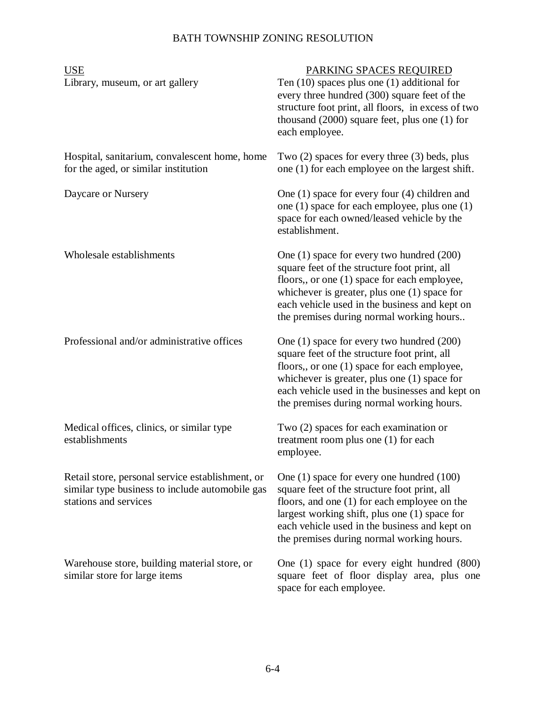| <b>USE</b>                                                                                                                   | PARKING SPACES REQUIRED                                                                                                                                                                                                                                                                      |
|------------------------------------------------------------------------------------------------------------------------------|----------------------------------------------------------------------------------------------------------------------------------------------------------------------------------------------------------------------------------------------------------------------------------------------|
| Library, museum, or art gallery                                                                                              | Ten $(10)$ spaces plus one $(1)$ additional for<br>every three hundred (300) square feet of the<br>structure foot print, all floors, in excess of two<br>thousand $(2000)$ square feet, plus one $(1)$ for<br>each employee.                                                                 |
| Hospital, sanitarium, convalescent home, home<br>for the aged, or similar institution                                        | Two $(2)$ spaces for every three $(3)$ beds, plus<br>one (1) for each employee on the largest shift.                                                                                                                                                                                         |
| Daycare or Nursery                                                                                                           | One $(1)$ space for every four $(4)$ children and<br>one $(1)$ space for each employee, plus one $(1)$<br>space for each owned/leased vehicle by the<br>establishment.                                                                                                                       |
| Wholesale establishments                                                                                                     | One (1) space for every two hundred (200)<br>square feet of the structure foot print, all<br>floors,, or one (1) space for each employee,<br>whichever is greater, plus one $(1)$ space for<br>each vehicle used in the business and kept on<br>the premises during normal working hours     |
| Professional and/or administrative offices                                                                                   | One (1) space for every two hundred (200)<br>square feet of the structure foot print, all<br>floors,, or one (1) space for each employee,<br>whichever is greater, plus one $(1)$ space for<br>each vehicle used in the businesses and kept on<br>the premises during normal working hours.  |
| Medical offices, clinics, or similar type<br>establishments                                                                  | Two (2) spaces for each examination or<br>treatment room plus one (1) for each<br>employee.                                                                                                                                                                                                  |
| Retail store, personal service establishment, or<br>similar type business to include automobile gas<br>stations and services | One $(1)$ space for every one hundred $(100)$<br>square feet of the structure foot print, all<br>floors, and one (1) for each employee on the<br>largest working shift, plus one (1) space for<br>each vehicle used in the business and kept on<br>the premises during normal working hours. |
| Warehouse store, building material store, or<br>similar store for large items                                                | One (1) space for every eight hundred (800)<br>square feet of floor display area, plus one<br>space for each employee.                                                                                                                                                                       |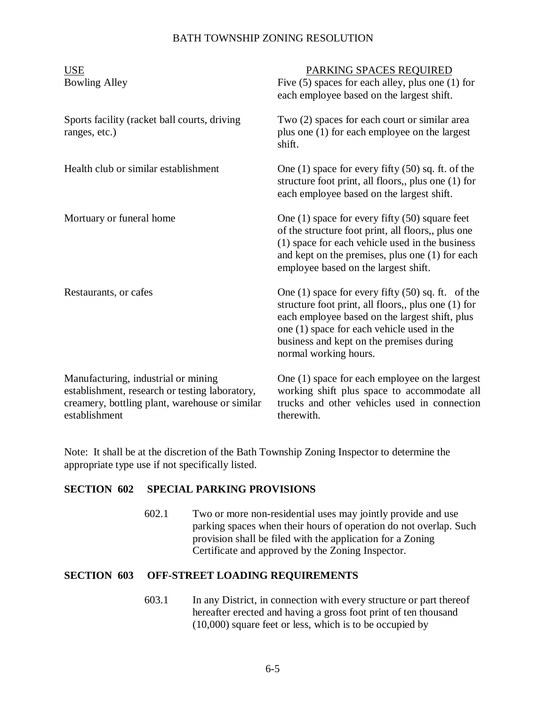| <b>USE</b><br><b>Bowling Alley</b>                                                                                                                       | PARKING SPACES REQUIRED<br>Five $(5)$ spaces for each alley, plus one $(1)$ for<br>each employee based on the largest shift.                                                                                                                                                      |
|----------------------------------------------------------------------------------------------------------------------------------------------------------|-----------------------------------------------------------------------------------------------------------------------------------------------------------------------------------------------------------------------------------------------------------------------------------|
| Sports facility (racket ball courts, driving<br>ranges, etc.)                                                                                            | Two (2) spaces for each court or similar area<br>plus one (1) for each employee on the largest<br>shift.                                                                                                                                                                          |
| Health club or similar establishment                                                                                                                     | One (1) space for every fifty (50) sq. ft. of the<br>structure foot print, all floors,, plus one (1) for<br>each employee based on the largest shift.                                                                                                                             |
| Mortuary or funeral home                                                                                                                                 | One $(1)$ space for every fifty $(50)$ square feet<br>of the structure foot print, all floors,, plus one<br>(1) space for each vehicle used in the business<br>and kept on the premises, plus one (1) for each<br>employee based on the largest shift.                            |
| Restaurants, or cafes                                                                                                                                    | One $(1)$ space for every fifty $(50)$ sq. ft. of the<br>structure foot print, all floors,, plus one (1) for<br>each employee based on the largest shift, plus<br>one (1) space for each vehicle used in the<br>business and kept on the premises during<br>normal working hours. |
| Manufacturing, industrial or mining<br>establishment, research or testing laboratory,<br>creamery, bottling plant, warehouse or similar<br>establishment | One (1) space for each employee on the largest<br>working shift plus space to accommodate all<br>trucks and other vehicles used in connection<br>therewith.                                                                                                                       |

Note: It shall be at the discretion of the Bath Township Zoning Inspector to determine the appropriate type use if not specifically listed.

## **SECTION 602 SPECIAL PARKING PROVISIONS**

602.1 Two or more non-residential uses may jointly provide and use parking spaces when their hours of operation do not overlap. Such provision shall be filed with the application for a Zoning Certificate and approved by the Zoning Inspector.

## **SECTION 603 OFF-STREET LOADING REQUIREMENTS**

603.1 In any District, in connection with every structure or part thereof hereafter erected and having a gross foot print of ten thousand (10,000) square feet or less, which is to be occupied by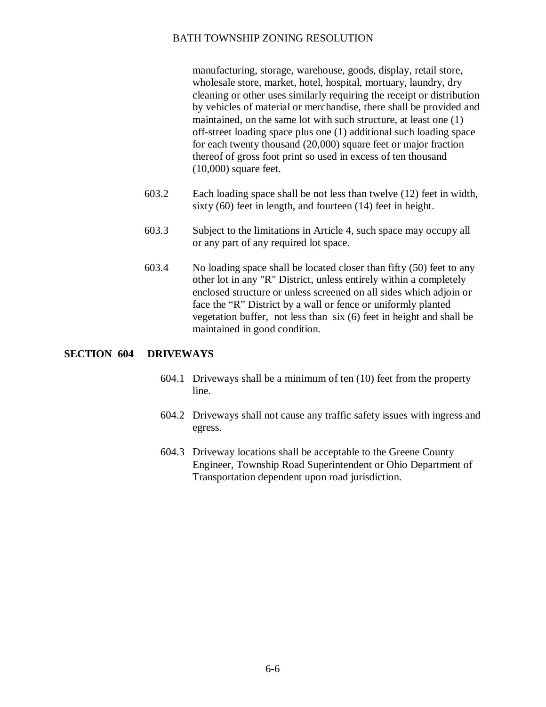manufacturing, storage, warehouse, goods, display, retail store, wholesale store, market, hotel, hospital, mortuary, laundry, dry cleaning or other uses similarly requiring the receipt or distribution by vehicles of material or merchandise, there shall be provided and maintained, on the same lot with such structure, at least one (1) off-street loading space plus one (1) additional such loading space for each twenty thousand (20,000) square feet or major fraction thereof of gross foot print so used in excess of ten thousand (10,000) square feet.

- 603.2 Each loading space shall be not less than twelve (12) feet in width, sixty (60) feet in length, and fourteen (14) feet in height.
- 603.3 Subject to the limitations in Article 4, such space may occupy all or any part of any required lot space.
- 603.4 No loading space shall be located closer than fifty (50) feet to any other lot in any "R" District, unless entirely within a completely enclosed structure or unless screened on all sides which adjoin or face the "R" District by a wall or fence or uniformly planted vegetation buffer, not less than six (6) feet in height and shall be maintained in good condition.

#### **SECTION 604 DRIVEWAYS**

- 604.1 Driveways shall be a minimum of ten (10) feet from the property line.
- 604.2 Driveways shall not cause any traffic safety issues with ingress and egress.
- 604.3 Driveway locations shall be acceptable to the Greene County Engineer, Township Road Superintendent or Ohio Department of Transportation dependent upon road jurisdiction.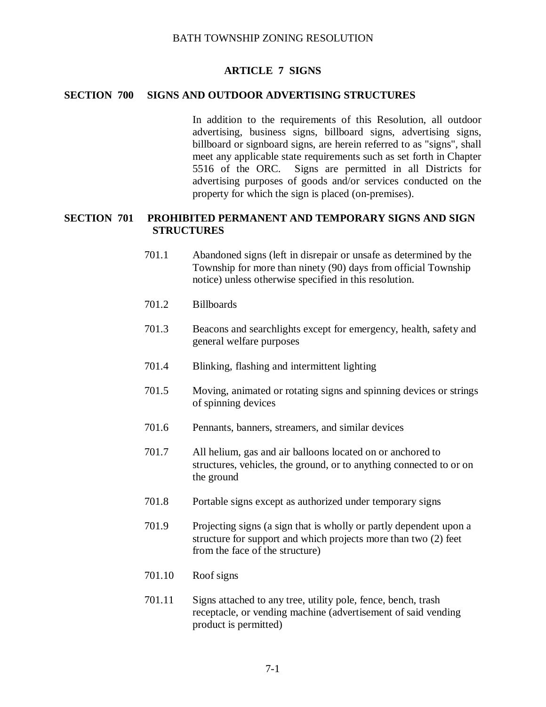## **ARTICLE 7 SIGNS**

## **SECTION 700 SIGNS AND OUTDOOR ADVERTISING STRUCTURES**

In addition to the requirements of this Resolution, all outdoor advertising, business signs, billboard signs, advertising signs, billboard or signboard signs, are herein referred to as "signs", shall meet any applicable state requirements such as set forth in Chapter 5516 of the ORC. Signs are permitted in all Districts for advertising purposes of goods and/or services conducted on the property for which the sign is placed (on-premises).

## **SECTION 701 PROHIBITED PERMANENT AND TEMPORARY SIGNS AND SIGN STRUCTURES**

- 701.1 Abandoned signs (left in disrepair or unsafe as determined by the Township for more than ninety (90) days from official Township notice) unless otherwise specified in this resolution.
- 701.2 Billboards
- 701.3 Beacons and searchlights except for emergency, health, safety and general welfare purposes
- 701.4 Blinking, flashing and intermittent lighting
- 701.5 Moving, animated or rotating signs and spinning devices or strings of spinning devices
- 701.6 Pennants, banners, streamers, and similar devices
- 701.7 All helium, gas and air balloons located on or anchored to structures, vehicles, the ground, or to anything connected to or on the ground
- 701.8 Portable signs except as authorized under temporary signs
- 701.9 Projecting signs (a sign that is wholly or partly dependent upon a structure for support and which projects more than two (2) feet from the face of the structure)
- 701.10 Roof signs
- 701.11 Signs attached to any tree, utility pole, fence, bench, trash receptacle, or vending machine (advertisement of said vending product is permitted)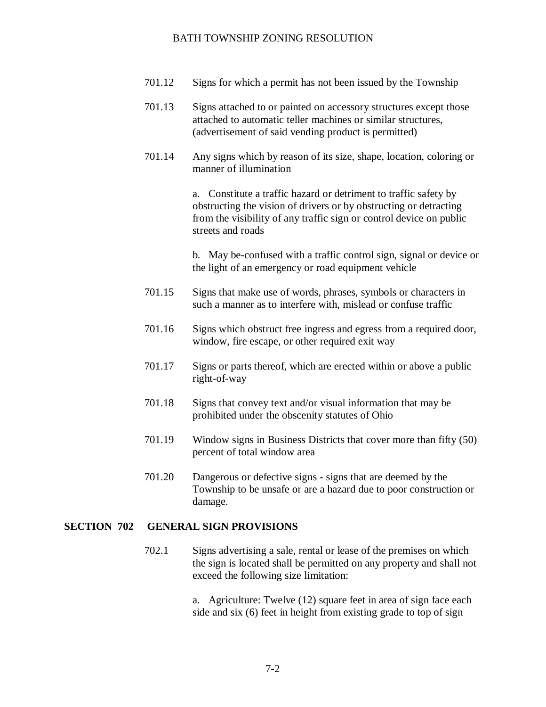- 701.12 Signs for which a permit has not been issued by the Township
- 701.13 Signs attached to or painted on accessory structures except those attached to automatic teller machines or similar structures, (advertisement of said vending product is permitted)
- 701.14 Any signs which by reason of its size, shape, location, coloring or manner of illumination

a. Constitute a traffic hazard or detriment to traffic safety by obstructing the vision of drivers or by obstructing or detracting from the visibility of any traffic sign or control device on public streets and roads

b. May be-confused with a traffic control sign, signal or device or the light of an emergency or road equipment vehicle

- 701.15 Signs that make use of words, phrases, symbols or characters in such a manner as to interfere with, mislead or confuse traffic
- 701.16 Signs which obstruct free ingress and egress from a required door, window, fire escape, or other required exit way
- 701.17 Signs or parts thereof, which are erected within or above a public right-of-way
- 701.18 Signs that convey text and/or visual information that may be prohibited under the obscenity statutes of Ohio
- 701.19 Window signs in Business Districts that cover more than fifty (50) percent of total window area
- 701.20 Dangerous or defective signs signs that are deemed by the Township to be unsafe or are a hazard due to poor construction or damage.

## **SECTION 702 GENERAL SIGN PROVISIONS**

702.1 Signs advertising a sale, rental or lease of the premises on which the sign is located shall be permitted on any property and shall not exceed the following size limitation:

> a. Agriculture: Twelve (12) square feet in area of sign face each side and six (6) feet in height from existing grade to top of sign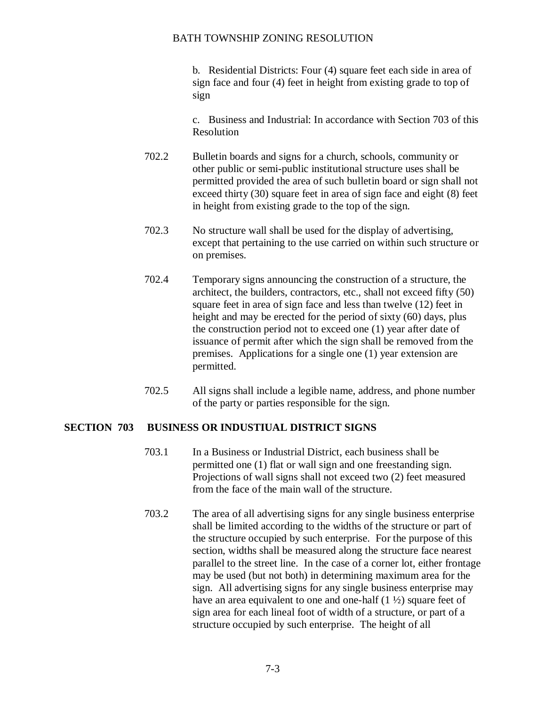b. Residential Districts: Four (4) square feet each side in area of sign face and four (4) feet in height from existing grade to top of sign

c. Business and Industrial: In accordance with Section 703 of this Resolution

- 702.2 Bulletin boards and signs for a church, schools, community or other public or semi-public institutional structure uses shall be permitted provided the area of such bulletin board or sign shall not exceed thirty (30) square feet in area of sign face and eight (8) feet in height from existing grade to the top of the sign.
- 702.3 No structure wall shall be used for the display of advertising, except that pertaining to the use carried on within such structure or on premises.
- 702.4 Temporary signs announcing the construction of a structure, the architect, the builders, contractors, etc., shall not exceed fifty (50) square feet in area of sign face and less than twelve (12) feet in height and may be erected for the period of sixty (60) days, plus the construction period not to exceed one (1) year after date of issuance of permit after which the sign shall be removed from the premises. Applications for a single one (1) year extension are permitted.
- 702.5 All signs shall include a legible name, address, and phone number of the party or parties responsible for the sign.

## **SECTION 703 BUSINESS OR INDUSTIUAL DISTRICT SIGNS**

- 703.1 In a Business or Industrial District, each business shall be permitted one (1) flat or wall sign and one freestanding sign. Projections of wall signs shall not exceed two (2) feet measured from the face of the main wall of the structure.
- 703.2 The area of all advertising signs for any single business enterprise shall be limited according to the widths of the structure or part of the structure occupied by such enterprise. For the purpose of this section, widths shall be measured along the structure face nearest parallel to the street line. In the case of a corner lot, either frontage may be used (but not both) in determining maximum area for the sign. All advertising signs for any single business enterprise may have an area equivalent to one and one-half (1  $\frac{1}{2}$ ) square feet of sign area for each lineal foot of width of a structure, or part of a structure occupied by such enterprise. The height of all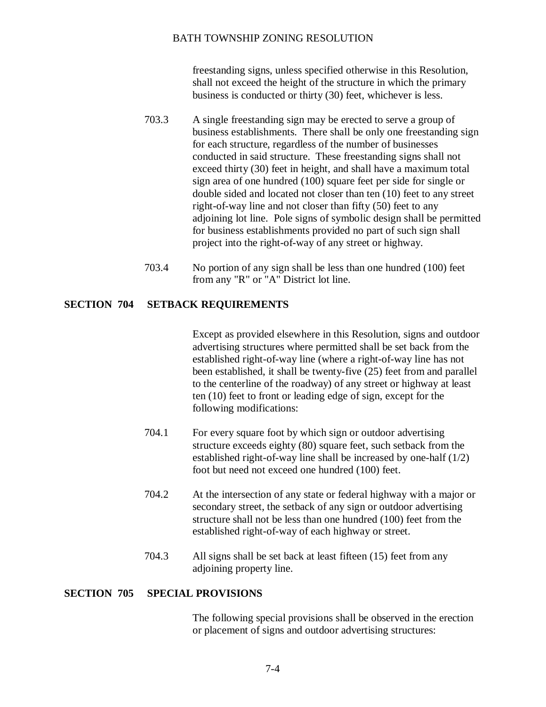freestanding signs, unless specified otherwise in this Resolution, shall not exceed the height of the structure in which the primary business is conducted or thirty (30) feet, whichever is less.

- 703.3 A single freestanding sign may be erected to serve a group of business establishments. There shall be only one freestanding sign for each structure, regardless of the number of businesses conducted in said structure. These freestanding signs shall not exceed thirty (30) feet in height, and shall have a maximum total sign area of one hundred (100) square feet per side for single or double sided and located not closer than ten (10) feet to any street right-of-way line and not closer than fifty (50) feet to any adjoining lot line. Pole signs of symbolic design shall be permitted for business establishments provided no part of such sign shall project into the right-of-way of any street or highway.
- 703.4 No portion of any sign shall be less than one hundred (100) feet from any "R" or "A" District lot line.

## **SECTION 704 SETBACK REQUIREMENTS**

Except as provided elsewhere in this Resolution, signs and outdoor advertising structures where permitted shall be set back from the established right-of-way line (where a right-of-way line has not been established, it shall be twenty-five (25) feet from and parallel to the centerline of the roadway) of any street or highway at least ten (10) feet to front or leading edge of sign, except for the following modifications:

- 704.1 For every square foot by which sign or outdoor advertising structure exceeds eighty (80) square feet, such setback from the established right-of-way line shall be increased by one-half (1/2) foot but need not exceed one hundred (100) feet.
- 704.2 At the intersection of any state or federal highway with a major or secondary street, the setback of any sign or outdoor advertising structure shall not be less than one hundred (100) feet from the established right-of-way of each highway or street.
- 704.3 All signs shall be set back at least fifteen (15) feet from any adjoining property line.

#### **SECTION 705 SPECIAL PROVISIONS**

The following special provisions shall be observed in the erection or placement of signs and outdoor advertising structures: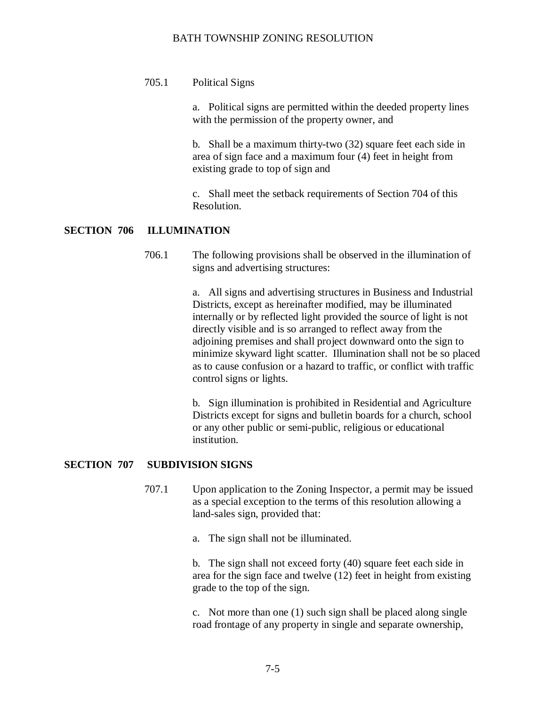## 705.1 Political Signs

a. Political signs are permitted within the deeded property lines with the permission of the property owner, and

b. Shall be a maximum thirty-two (32) square feet each side in area of sign face and a maximum four (4) feet in height from existing grade to top of sign and

c. Shall meet the setback requirements of Section 704 of this Resolution.

## **SECTION 706 ILLUMINATION**

706.1 The following provisions shall be observed in the illumination of signs and advertising structures:

> a. All signs and advertising structures in Business and Industrial Districts, except as hereinafter modified, may be illuminated internally or by reflected light provided the source of light is not directly visible and is so arranged to reflect away from the adjoining premises and shall project downward onto the sign to minimize skyward light scatter. Illumination shall not be so placed as to cause confusion or a hazard to traffic, or conflict with traffic control signs or lights.

b. Sign illumination is prohibited in Residential and Agriculture Districts except for signs and bulletin boards for a church, school or any other public or semi-public, religious or educational institution.

## **SECTION 707 SUBDIVISION SIGNS**

707.1 Upon application to the Zoning Inspector, a permit may be issued as a special exception to the terms of this resolution allowing a land-sales sign, provided that:

a. The sign shall not be illuminated.

b. The sign shall not exceed forty (40) square feet each side in area for the sign face and twelve (12) feet in height from existing grade to the top of the sign.

c. Not more than one (1) such sign shall be placed along single road frontage of any property in single and separate ownership,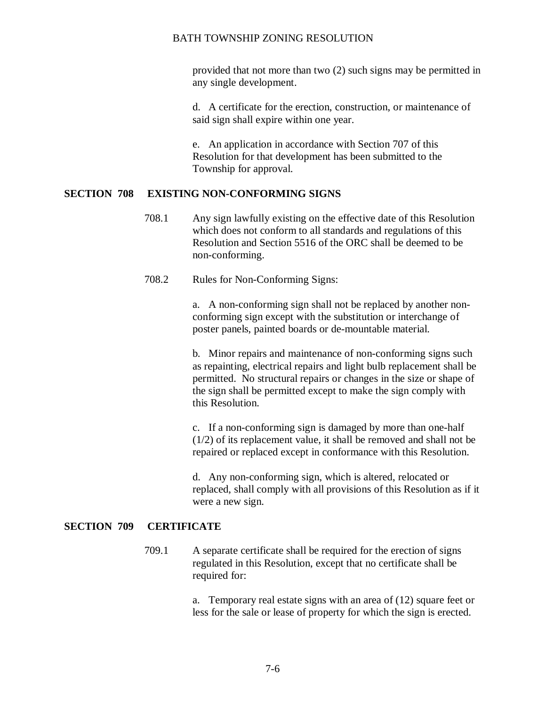provided that not more than two (2) such signs may be permitted in any single development.

d. A certificate for the erection, construction, or maintenance of said sign shall expire within one year.

e. An application in accordance with Section 707 of this Resolution for that development has been submitted to the Township for approval.

## **SECTION 708 EXISTING NON-CONFORMING SIGNS**

- 708.1 Any sign lawfully existing on the effective date of this Resolution which does not conform to all standards and regulations of this Resolution and Section 5516 of the ORC shall be deemed to be non-conforming.
- 708.2 Rules for Non-Conforming Signs:

a. A non-conforming sign shall not be replaced by another nonconforming sign except with the substitution or interchange of poster panels, painted boards or de-mountable material.

b. Minor repairs and maintenance of non-conforming signs such as repainting, electrical repairs and light bulb replacement shall be permitted. No structural repairs or changes in the size or shape of the sign shall be permitted except to make the sign comply with this Resolution.

c. If a non-conforming sign is damaged by more than one-half (1/2) of its replacement value, it shall be removed and shall not be repaired or replaced except in conformance with this Resolution.

d. Any non-conforming sign, which is altered, relocated or replaced, shall comply with all provisions of this Resolution as if it were a new sign.

## **SECTION 709 CERTIFICATE**

709.1 A separate certificate shall be required for the erection of signs regulated in this Resolution, except that no certificate shall be required for:

> a. Temporary real estate signs with an area of (12) square feet or less for the sale or lease of property for which the sign is erected.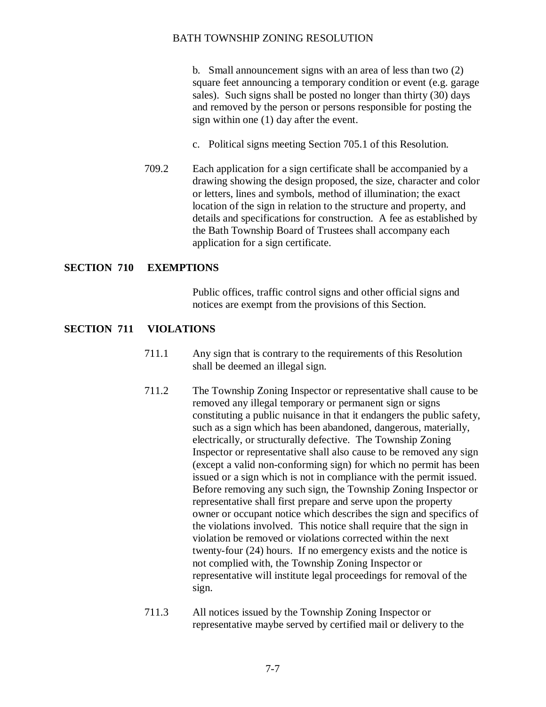b. Small announcement signs with an area of less than two (2) square feet announcing a temporary condition or event (e.g. garage sales). Such signs shall be posted no longer than thirty (30) days and removed by the person or persons responsible for posting the sign within one (1) day after the event.

- c. Political signs meeting Section 705.1 of this Resolution.
- 709.2 Each application for a sign certificate shall be accompanied by a drawing showing the design proposed, the size, character and color or letters, lines and symbols, method of illumination; the exact location of the sign in relation to the structure and property, and details and specifications for construction. A fee as established by the Bath Township Board of Trustees shall accompany each application for a sign certificate.

## **SECTION 710 EXEMPTIONS**

Public offices, traffic control signs and other official signs and notices are exempt from the provisions of this Section.

#### **SECTION 711 VIOLATIONS**

- 711.1 Any sign that is contrary to the requirements of this Resolution shall be deemed an illegal sign.
- 711.2 The Township Zoning Inspector or representative shall cause to be removed any illegal temporary or permanent sign or signs constituting a public nuisance in that it endangers the public safety, such as a sign which has been abandoned, dangerous, materially, electrically, or structurally defective. The Township Zoning Inspector or representative shall also cause to be removed any sign (except a valid non-conforming sign) for which no permit has been issued or a sign which is not in compliance with the permit issued. Before removing any such sign, the Township Zoning Inspector or representative shall first prepare and serve upon the property owner or occupant notice which describes the sign and specifics of the violations involved. This notice shall require that the sign in violation be removed or violations corrected within the next twenty-four (24) hours. If no emergency exists and the notice is not complied with, the Township Zoning Inspector or representative will institute legal proceedings for removal of the sign.
- 711.3 All notices issued by the Township Zoning Inspector or representative maybe served by certified mail or delivery to the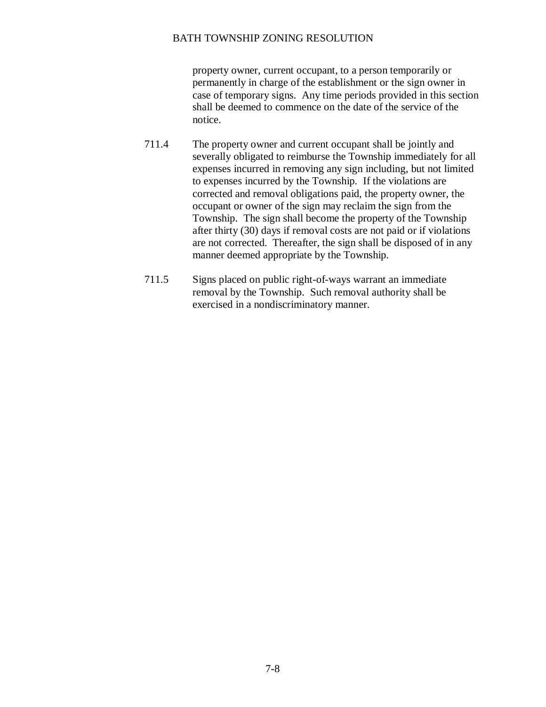property owner, current occupant, to a person temporarily or permanently in charge of the establishment or the sign owner in case of temporary signs. Any time periods provided in this section shall be deemed to commence on the date of the service of the notice.

- 711.4 The property owner and current occupant shall be jointly and severally obligated to reimburse the Township immediately for all expenses incurred in removing any sign including, but not limited to expenses incurred by the Township. If the violations are corrected and removal obligations paid, the property owner, the occupant or owner of the sign may reclaim the sign from the Township. The sign shall become the property of the Township after thirty (30) days if removal costs are not paid or if violations are not corrected. Thereafter, the sign shall be disposed of in any manner deemed appropriate by the Township.
- 711.5 Signs placed on public right-of-ways warrant an immediate removal by the Township. Such removal authority shall be exercised in a nondiscriminatory manner.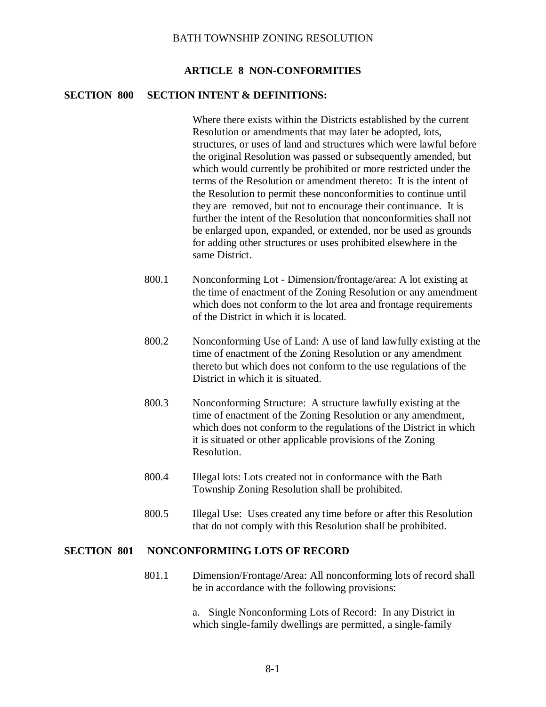#### **ARTICLE 8 NON-CONFORMITIES**

## **SECTION 800 SECTION INTENT & DEFINITIONS:**

Where there exists within the Districts established by the current Resolution or amendments that may later be adopted, lots, structures, or uses of land and structures which were lawful before the original Resolution was passed or subsequently amended, but which would currently be prohibited or more restricted under the terms of the Resolution or amendment thereto: It is the intent of the Resolution to permit these nonconformities to continue until they are removed, but not to encourage their continuance. It is further the intent of the Resolution that nonconformities shall not be enlarged upon, expanded, or extended, nor be used as grounds for adding other structures or uses prohibited elsewhere in the same District.

- 800.1 Nonconforming Lot Dimension/frontage/area: A lot existing at the time of enactment of the Zoning Resolution or any amendment which does not conform to the lot area and frontage requirements of the District in which it is located.
- 800.2 Nonconforming Use of Land: A use of land lawfully existing at the time of enactment of the Zoning Resolution or any amendment thereto but which does not conform to the use regulations of the District in which it is situated.
- 800.3 Nonconforming Structure: A structure lawfully existing at the time of enactment of the Zoning Resolution or any amendment, which does not conform to the regulations of the District in which it is situated or other applicable provisions of the Zoning Resolution.
- 800.4 Illegal lots: Lots created not in conformance with the Bath Township Zoning Resolution shall be prohibited.
- 800.5 Illegal Use: Uses created any time before or after this Resolution that do not comply with this Resolution shall be prohibited.

#### **SECTION 801 NONCONFORMIING LOTS OF RECORD**

801.1 Dimension/Frontage/Area: All nonconforming lots of record shall be in accordance with the following provisions:

> a. Single Nonconforming Lots of Record: In any District in which single-family dwellings are permitted, a single-family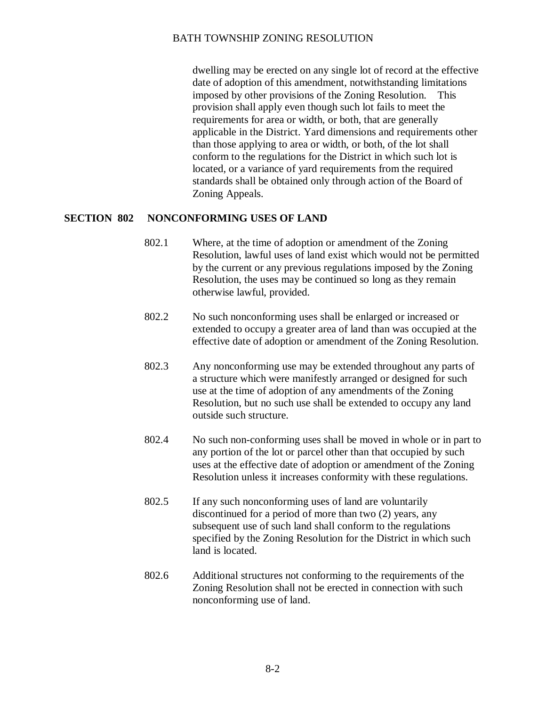dwelling may be erected on any single lot of record at the effective date of adoption of this amendment, notwithstanding limitations imposed by other provisions of the Zoning Resolution. This provision shall apply even though such lot fails to meet the requirements for area or width, or both, that are generally applicable in the District. Yard dimensions and requirements other than those applying to area or width, or both, of the lot shall conform to the regulations for the District in which such lot is located, or a variance of yard requirements from the required standards shall be obtained only through action of the Board of Zoning Appeals.

## **SECTION 802 NONCONFORMING USES OF LAND**

- 802.1 Where, at the time of adoption or amendment of the Zoning Resolution, lawful uses of land exist which would not be permitted by the current or any previous regulations imposed by the Zoning Resolution, the uses may be continued so long as they remain otherwise lawful, provided.
- 802.2 No such nonconforming uses shall be enlarged or increased or extended to occupy a greater area of land than was occupied at the effective date of adoption or amendment of the Zoning Resolution.
- 802.3 Any nonconforming use may be extended throughout any parts of a structure which were manifestly arranged or designed for such use at the time of adoption of any amendments of the Zoning Resolution, but no such use shall be extended to occupy any land outside such structure.
- 802.4 No such non-conforming uses shall be moved in whole or in part to any portion of the lot or parcel other than that occupied by such uses at the effective date of adoption or amendment of the Zoning Resolution unless it increases conformity with these regulations.
- 802.5 If any such nonconforming uses of land are voluntarily discontinued for a period of more than two (2) years, any subsequent use of such land shall conform to the regulations specified by the Zoning Resolution for the District in which such land is located.
- 802.6 Additional structures not conforming to the requirements of the Zoning Resolution shall not be erected in connection with such nonconforming use of land.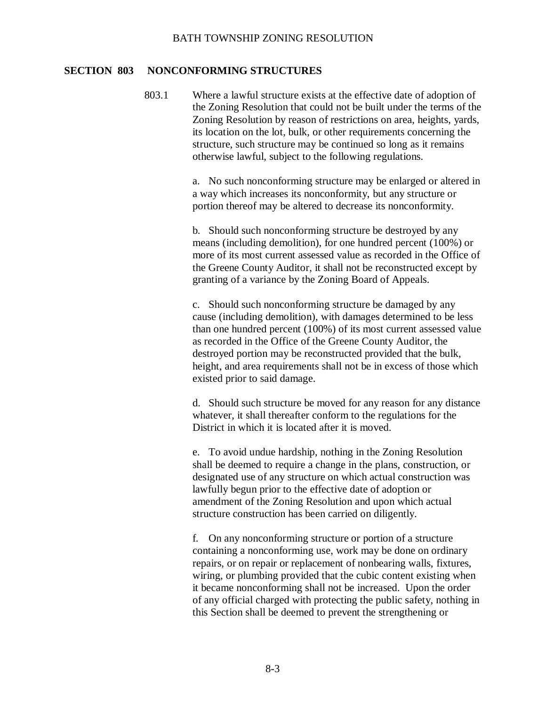#### **SECTION 803 NONCONFORMING STRUCTURES**

803.1 Where a lawful structure exists at the effective date of adoption of the Zoning Resolution that could not be built under the terms of the Zoning Resolution by reason of restrictions on area, heights, yards, its location on the lot, bulk, or other requirements concerning the structure, such structure may be continued so long as it remains otherwise lawful, subject to the following regulations.

> a. No such nonconforming structure may be enlarged or altered in a way which increases its nonconformity, but any structure or portion thereof may be altered to decrease its nonconformity.

> b. Should such nonconforming structure be destroyed by any means (including demolition), for one hundred percent (100%) or more of its most current assessed value as recorded in the Office of the Greene County Auditor, it shall not be reconstructed except by granting of a variance by the Zoning Board of Appeals.

> c. Should such nonconforming structure be damaged by any cause (including demolition), with damages determined to be less than one hundred percent (100%) of its most current assessed value as recorded in the Office of the Greene County Auditor, the destroyed portion may be reconstructed provided that the bulk, height, and area requirements shall not be in excess of those which existed prior to said damage.

> d. Should such structure be moved for any reason for any distance whatever, it shall thereafter conform to the regulations for the District in which it is located after it is moved.

e. To avoid undue hardship, nothing in the Zoning Resolution shall be deemed to require a change in the plans, construction, or designated use of any structure on which actual construction was lawfully begun prior to the effective date of adoption or amendment of the Zoning Resolution and upon which actual structure construction has been carried on diligently.

f. On any nonconforming structure or portion of a structure containing a nonconforming use, work may be done on ordinary repairs, or on repair or replacement of nonbearing walls, fixtures, wiring, or plumbing provided that the cubic content existing when it became nonconforming shall not be increased. Upon the order of any official charged with protecting the public safety, nothing in this Section shall be deemed to prevent the strengthening or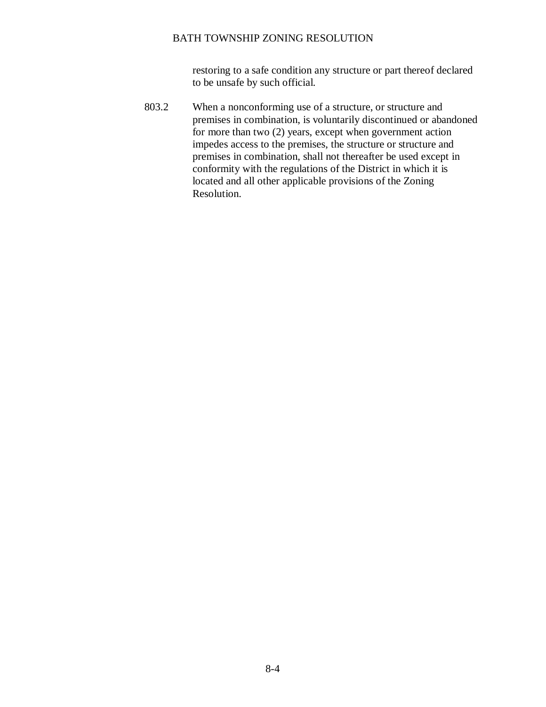restoring to a safe condition any structure or part thereof declared to be unsafe by such official.

803.2 When a nonconforming use of a structure, or structure and premises in combination, is voluntarily discontinued or abandoned for more than two (2) years, except when government action impedes access to the premises, the structure or structure and premises in combination, shall not thereafter be used except in conformity with the regulations of the District in which it is located and all other applicable provisions of the Zoning Resolution.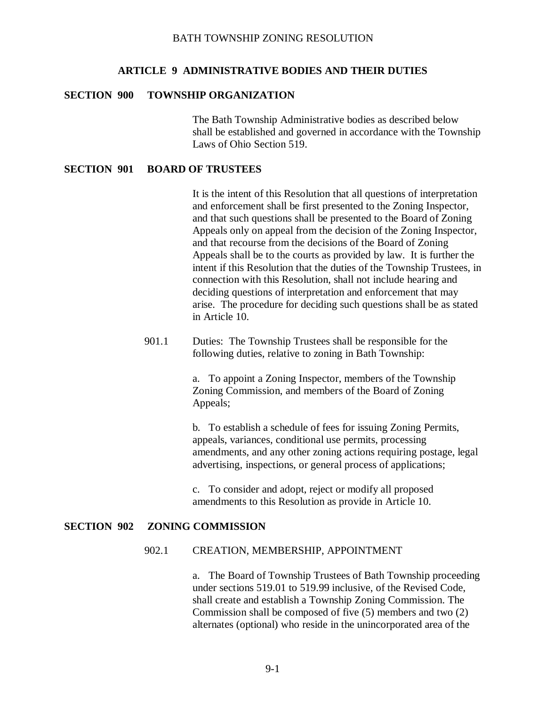#### **ARTICLE 9 ADMINISTRATIVE BODIES AND THEIR DUTIES**

## **SECTION 900 TOWNSHIP ORGANIZATION**

The Bath Township Administrative bodies as described below shall be established and governed in accordance with the Township Laws of Ohio Section 519.

#### **SECTION 901 BOARD OF TRUSTEES**

It is the intent of this Resolution that all questions of interpretation and enforcement shall be first presented to the Zoning Inspector, and that such questions shall be presented to the Board of Zoning Appeals only on appeal from the decision of the Zoning Inspector, and that recourse from the decisions of the Board of Zoning Appeals shall be to the courts as provided by law. It is further the intent if this Resolution that the duties of the Township Trustees, in connection with this Resolution, shall not include hearing and deciding questions of interpretation and enforcement that may arise. The procedure for deciding such questions shall be as stated in Article 10.

901.1 Duties: The Township Trustees shall be responsible for the following duties, relative to zoning in Bath Township:

> a. To appoint a Zoning Inspector, members of the Township Zoning Commission, and members of the Board of Zoning Appeals;

b. To establish a schedule of fees for issuing Zoning Permits, appeals, variances, conditional use permits, processing amendments, and any other zoning actions requiring postage, legal advertising, inspections, or general process of applications;

c. To consider and adopt, reject or modify all proposed amendments to this Resolution as provide in Article 10.

#### **SECTION 902 ZONING COMMISSION**

#### 902.1 CREATION, MEMBERSHIP, APPOINTMENT

a. The Board of Township Trustees of Bath Township proceeding under sections 519.01 to 519.99 inclusive, of the Revised Code, shall create and establish a Township Zoning Commission. The Commission shall be composed of five (5) members and two (2) alternates (optional) who reside in the unincorporated area of the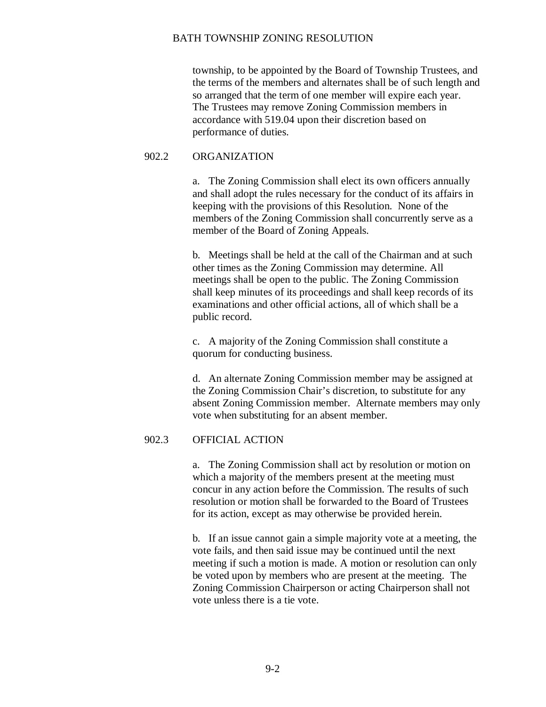township, to be appointed by the Board of Township Trustees, and the terms of the members and alternates shall be of such length and so arranged that the term of one member will expire each year. The Trustees may remove Zoning Commission members in accordance with 519.04 upon their discretion based on performance of duties.

## 902.2 ORGANIZATION

a. The Zoning Commission shall elect its own officers annually and shall adopt the rules necessary for the conduct of its affairs in keeping with the provisions of this Resolution. None of the members of the Zoning Commission shall concurrently serve as a member of the Board of Zoning Appeals.

b. Meetings shall be held at the call of the Chairman and at such other times as the Zoning Commission may determine. All meetings shall be open to the public. The Zoning Commission shall keep minutes of its proceedings and shall keep records of its examinations and other official actions, all of which shall be a public record.

c. A majority of the Zoning Commission shall constitute a quorum for conducting business.

d. An alternate Zoning Commission member may be assigned at the Zoning Commission Chair's discretion, to substitute for any absent Zoning Commission member. Alternate members may only vote when substituting for an absent member.

## 902.3 OFFICIAL ACTION

a. The Zoning Commission shall act by resolution or motion on which a majority of the members present at the meeting must concur in any action before the Commission. The results of such resolution or motion shall be forwarded to the Board of Trustees for its action, except as may otherwise be provided herein.

b. If an issue cannot gain a simple majority vote at a meeting, the vote fails, and then said issue may be continued until the next meeting if such a motion is made. A motion or resolution can only be voted upon by members who are present at the meeting. The Zoning Commission Chairperson or acting Chairperson shall not vote unless there is a tie vote.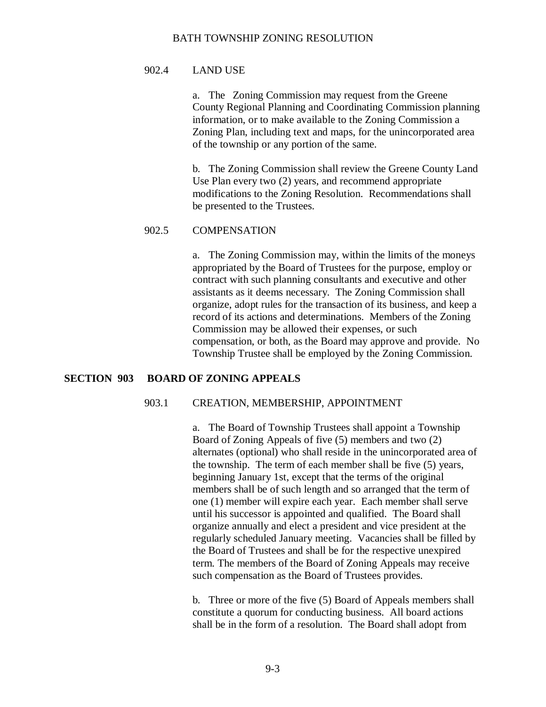#### 902.4 LAND USE

a. The Zoning Commission may request from the Greene County Regional Planning and Coordinating Commission planning information, or to make available to the Zoning Commission a Zoning Plan, including text and maps, for the unincorporated area of the township or any portion of the same.

b. The Zoning Commission shall review the Greene County Land Use Plan every two (2) years, and recommend appropriate modifications to the Zoning Resolution. Recommendations shall be presented to the Trustees.

#### 902.5 COMPENSATION

a. The Zoning Commission may, within the limits of the moneys appropriated by the Board of Trustees for the purpose, employ or contract with such planning consultants and executive and other assistants as it deems necessary. The Zoning Commission shall organize, adopt rules for the transaction of its business, and keep a record of its actions and determinations. Members of the Zoning Commission may be allowed their expenses, or such compensation, or both, as the Board may approve and provide. No Township Trustee shall be employed by the Zoning Commission.

## **SECTION 903 BOARD OF ZONING APPEALS**

## 903.1 CREATION, MEMBERSHIP, APPOINTMENT

a. The Board of Township Trustees shall appoint a Township Board of Zoning Appeals of five (5) members and two (2) alternates (optional) who shall reside in the unincorporated area of the township. The term of each member shall be five (5) years, beginning January 1st, except that the terms of the original members shall be of such length and so arranged that the term of one (1) member will expire each year. Each member shall serve until his successor is appointed and qualified. The Board shall organize annually and elect a president and vice president at the regularly scheduled January meeting. Vacancies shall be filled by the Board of Trustees and shall be for the respective unexpired term. The members of the Board of Zoning Appeals may receive such compensation as the Board of Trustees provides.

b. Three or more of the five (5) Board of Appeals members shall constitute a quorum for conducting business. All board actions shall be in the form of a resolution. The Board shall adopt from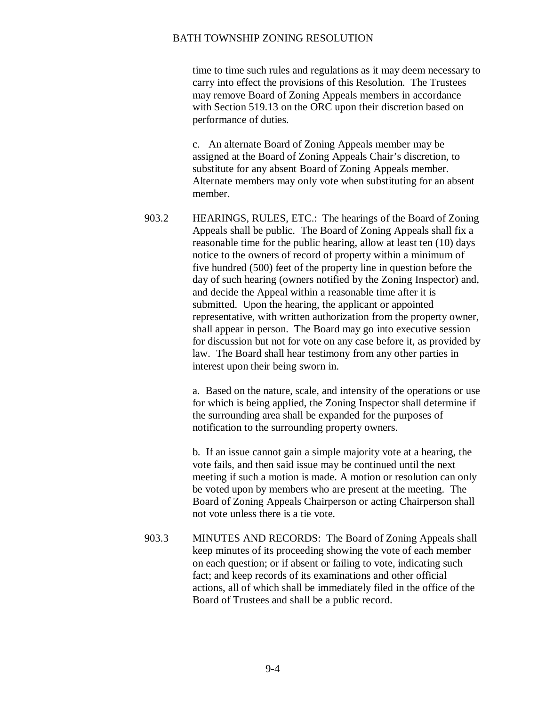time to time such rules and regulations as it may deem necessary to carry into effect the provisions of this Resolution. The Trustees may remove Board of Zoning Appeals members in accordance with Section 519.13 on the ORC upon their discretion based on performance of duties.

c. An alternate Board of Zoning Appeals member may be assigned at the Board of Zoning Appeals Chair's discretion, to substitute for any absent Board of Zoning Appeals member. Alternate members may only vote when substituting for an absent member.

903.2 HEARINGS, RULES, ETC.: The hearings of the Board of Zoning Appeals shall be public. The Board of Zoning Appeals shall fix a reasonable time for the public hearing, allow at least ten (10) days notice to the owners of record of property within a minimum of five hundred (500) feet of the property line in question before the day of such hearing (owners notified by the Zoning Inspector) and, and decide the Appeal within a reasonable time after it is submitted. Upon the hearing, the applicant or appointed representative, with written authorization from the property owner, shall appear in person. The Board may go into executive session for discussion but not for vote on any case before it, as provided by law. The Board shall hear testimony from any other parties in interest upon their being sworn in.

> a. Based on the nature, scale, and intensity of the operations or use for which is being applied, the Zoning Inspector shall determine if the surrounding area shall be expanded for the purposes of notification to the surrounding property owners.

b. If an issue cannot gain a simple majority vote at a hearing, the vote fails, and then said issue may be continued until the next meeting if such a motion is made. A motion or resolution can only be voted upon by members who are present at the meeting. The Board of Zoning Appeals Chairperson or acting Chairperson shall not vote unless there is a tie vote.

903.3 MINUTES AND RECORDS: The Board of Zoning Appeals shall keep minutes of its proceeding showing the vote of each member on each question; or if absent or failing to vote, indicating such fact; and keep records of its examinations and other official actions, all of which shall be immediately filed in the office of the Board of Trustees and shall be a public record.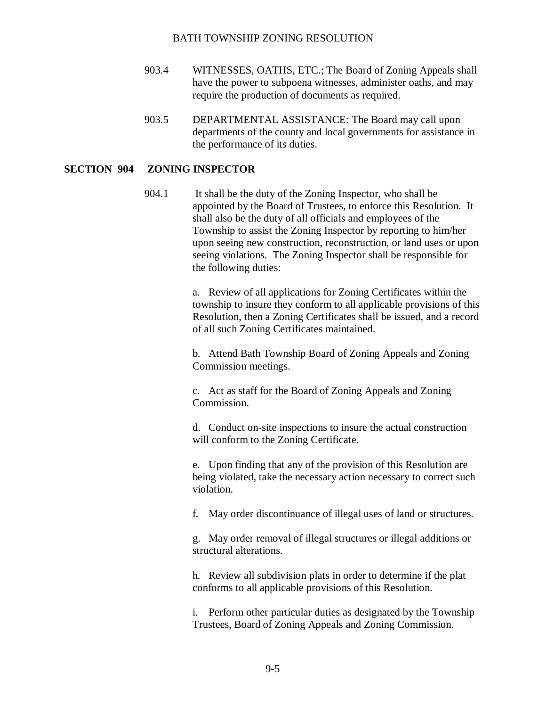- 903.4 WITNESSES, OATHS, ETC.; The Board of Zoning Appeals shall have the power to subpoena witnesses, administer oaths, and may require the production of documents as required.
- 903.5 DEPARTMENTAL ASSISTANCE: The Board may call upon departments of the county and local governments for assistance in the performance of its duties.

## **SECTION 904 ZONING INSPECTOR**

904.1 It shall be the duty of the Zoning Inspector, who shall be appointed by the Board of Trustees, to enforce this Resolution. It shall also be the duty of all officials and employees of the Township to assist the Zoning Inspector by reporting to him/her upon seeing new construction, reconstruction, or land uses or upon seeing violations. The Zoning Inspector shall be responsible for the following duties:

> a. Review of all applications for Zoning Certificates within the township to insure they conform to all applicable provisions of this Resolution, then a Zoning Certificates shall be issued, and a record of all such Zoning Certificates maintained.

b. Attend Bath Township Board of Zoning Appeals and Zoning Commission meetings.

c. Act as staff for the Board of Zoning Appeals and Zoning Commission.

d. Conduct on-site inspections to insure the actual construction will conform to the Zoning Certificate.

e. Upon finding that any of the provision of this Resolution are being violated, take the necessary action necessary to correct such violation.

f. May order discontinuance of illegal uses of land or structures.

g. May order removal of illegal structures or illegal additions or structural alterations.

h. Review all subdivision plats in order to determine if the plat conforms to all applicable provisions of this Resolution.

i. Perform other particular duties as designated by the Township Trustees, Board of Zoning Appeals and Zoning Commission.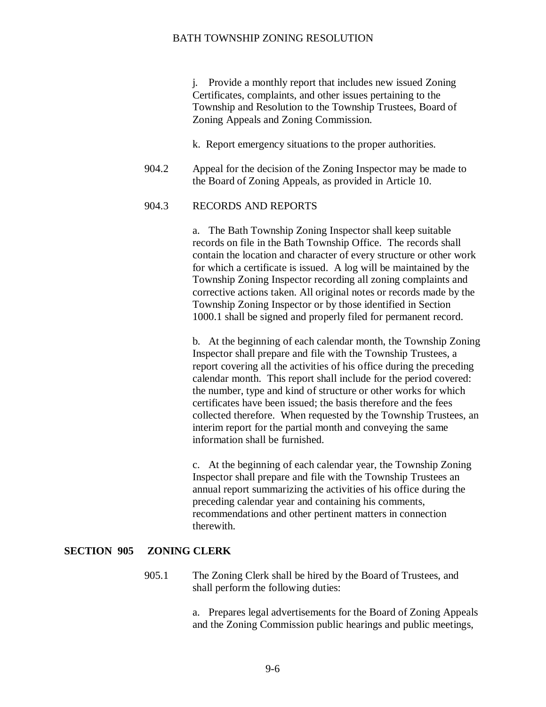j. Provide a monthly report that includes new issued Zoning Certificates, complaints, and other issues pertaining to the Township and Resolution to the Township Trustees, Board of Zoning Appeals and Zoning Commission.

- k. Report emergency situations to the proper authorities.
- 904.2 Appeal for the decision of the Zoning Inspector may be made to the Board of Zoning Appeals, as provided in Article 10.

#### 904.3 RECORDS AND REPORTS

a. The Bath Township Zoning Inspector shall keep suitable records on file in the Bath Township Office. The records shall contain the location and character of every structure or other work for which a certificate is issued. A log will be maintained by the Township Zoning Inspector recording all zoning complaints and corrective actions taken. All original notes or records made by the Township Zoning Inspector or by those identified in Section 1000.1 shall be signed and properly filed for permanent record.

b. At the beginning of each calendar month, the Township Zoning Inspector shall prepare and file with the Township Trustees, a report covering all the activities of his office during the preceding calendar month. This report shall include for the period covered: the number, type and kind of structure or other works for which certificates have been issued; the basis therefore and the fees collected therefore. When requested by the Township Trustees, an interim report for the partial month and conveying the same information shall be furnished.

c. At the beginning of each calendar year, the Township Zoning Inspector shall prepare and file with the Township Trustees an annual report summarizing the activities of his office during the preceding calendar year and containing his comments, recommendations and other pertinent matters in connection therewith.

#### **SECTION 905 ZONING CLERK**

905.1 The Zoning Clerk shall be hired by the Board of Trustees, and shall perform the following duties:

> a. Prepares legal advertisements for the Board of Zoning Appeals and the Zoning Commission public hearings and public meetings,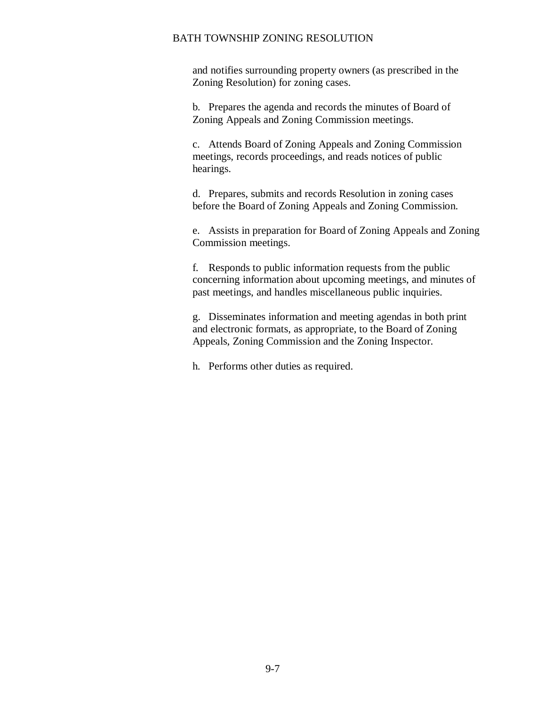and notifies surrounding property owners (as prescribed in the Zoning Resolution) for zoning cases.

b. Prepares the agenda and records the minutes of Board of Zoning Appeals and Zoning Commission meetings.

c. Attends Board of Zoning Appeals and Zoning Commission meetings, records proceedings, and reads notices of public hearings.

d. Prepares, submits and records Resolution in zoning cases before the Board of Zoning Appeals and Zoning Commission.

e. Assists in preparation for Board of Zoning Appeals and Zoning Commission meetings.

f. Responds to public information requests from the public concerning information about upcoming meetings, and minutes of past meetings, and handles miscellaneous public inquiries.

g. Disseminates information and meeting agendas in both print and electronic formats, as appropriate, to the Board of Zoning Appeals, Zoning Commission and the Zoning Inspector.

h. Performs other duties as required.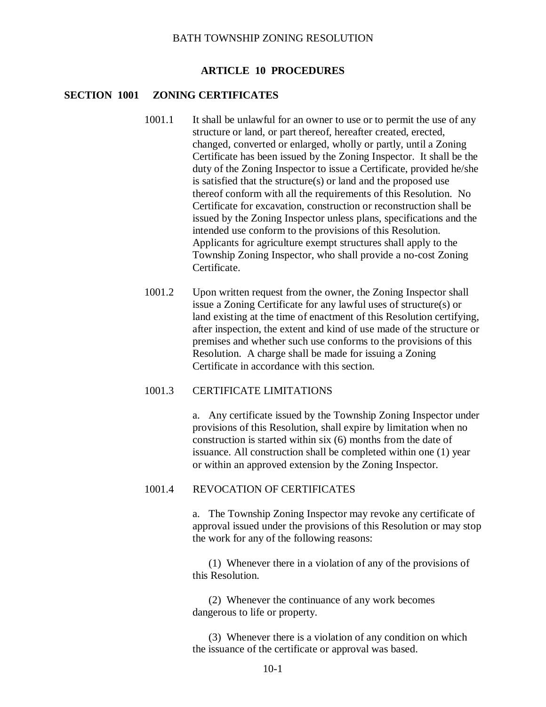#### **ARTICLE 10 PROCEDURES**

## **SECTION 1001 ZONING CERTIFICATES**

- 1001.1 It shall be unlawful for an owner to use or to permit the use of any structure or land, or part thereof, hereafter created, erected, changed, converted or enlarged, wholly or partly, until a Zoning Certificate has been issued by the Zoning Inspector. It shall be the duty of the Zoning Inspector to issue a Certificate, provided he/she is satisfied that the structure(s) or land and the proposed use thereof conform with all the requirements of this Resolution. No Certificate for excavation, construction or reconstruction shall be issued by the Zoning Inspector unless plans, specifications and the intended use conform to the provisions of this Resolution. Applicants for agriculture exempt structures shall apply to the Township Zoning Inspector, who shall provide a no-cost Zoning Certificate.
- 1001.2 Upon written request from the owner, the Zoning Inspector shall issue a Zoning Certificate for any lawful uses of structure(s) or land existing at the time of enactment of this Resolution certifying, after inspection, the extent and kind of use made of the structure or premises and whether such use conforms to the provisions of this Resolution. A charge shall be made for issuing a Zoning Certificate in accordance with this section.

#### 1001.3 CERTIFICATE LIMITATIONS

a. Any certificate issued by the Township Zoning Inspector under provisions of this Resolution, shall expire by limitation when no construction is started within six (6) months from the date of issuance. All construction shall be completed within one (1) year or within an approved extension by the Zoning Inspector.

#### 1001.4 REVOCATION OF CERTIFICATES

a. The Township Zoning Inspector may revoke any certificate of approval issued under the provisions of this Resolution or may stop the work for any of the following reasons:

(1) Whenever there in a violation of any of the provisions of this Resolution.

(2) Whenever the continuance of any work becomes dangerous to life or property.

(3) Whenever there is a violation of any condition on which the issuance of the certificate or approval was based.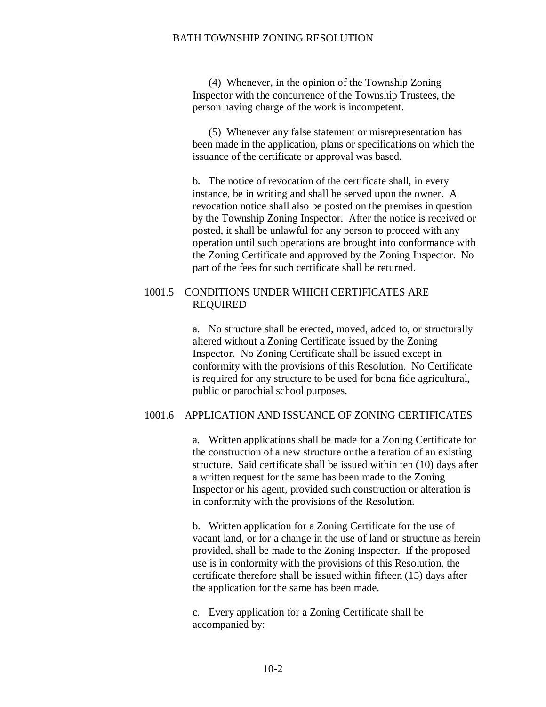(4) Whenever, in the opinion of the Township Zoning Inspector with the concurrence of the Township Trustees, the person having charge of the work is incompetent.

(5) Whenever any false statement or misrepresentation has been made in the application, plans or specifications on which the issuance of the certificate or approval was based.

b. The notice of revocation of the certificate shall, in every instance, be in writing and shall be served upon the owner. A revocation notice shall also be posted on the premises in question by the Township Zoning Inspector. After the notice is received or posted, it shall be unlawful for any person to proceed with any operation until such operations are brought into conformance with the Zoning Certificate and approved by the Zoning Inspector. No part of the fees for such certificate shall be returned.

## 1001.5 CONDITIONS UNDER WHICH CERTIFICATES ARE REQUIRED

a. No structure shall be erected, moved, added to, or structurally altered without a Zoning Certificate issued by the Zoning Inspector. No Zoning Certificate shall be issued except in conformity with the provisions of this Resolution. No Certificate is required for any structure to be used for bona fide agricultural, public or parochial school purposes.

#### 1001.6 APPLICATION AND ISSUANCE OF ZONING CERTIFICATES

a. Written applications shall be made for a Zoning Certificate for the construction of a new structure or the alteration of an existing structure. Said certificate shall be issued within ten (10) days after a written request for the same has been made to the Zoning Inspector or his agent, provided such construction or alteration is in conformity with the provisions of the Resolution.

b. Written application for a Zoning Certificate for the use of vacant land, or for a change in the use of land or structure as herein provided, shall be made to the Zoning Inspector. If the proposed use is in conformity with the provisions of this Resolution, the certificate therefore shall be issued within fifteen (15) days after the application for the same has been made.

c. Every application for a Zoning Certificate shall be accompanied by: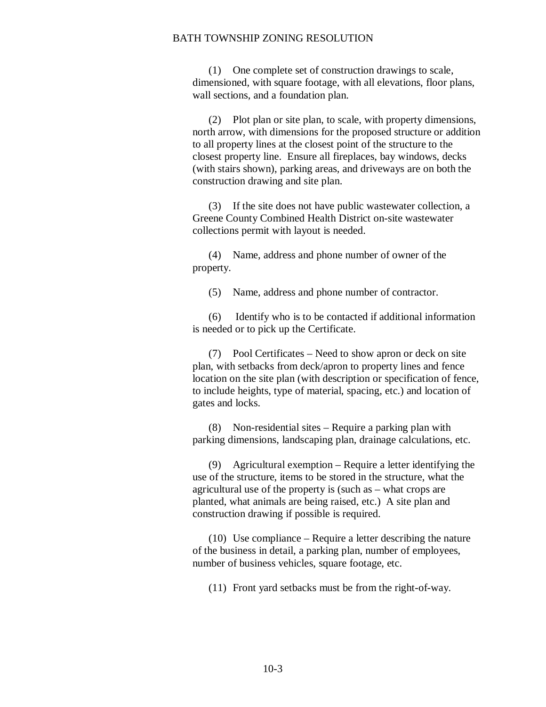(1) One complete set of construction drawings to scale, dimensioned, with square footage, with all elevations, floor plans, wall sections, and a foundation plan.

(2) Plot plan or site plan, to scale, with property dimensions, north arrow, with dimensions for the proposed structure or addition to all property lines at the closest point of the structure to the closest property line. Ensure all fireplaces, bay windows, decks (with stairs shown), parking areas, and driveways are on both the construction drawing and site plan.

(3) If the site does not have public wastewater collection, a Greene County Combined Health District on-site wastewater collections permit with layout is needed.

(4) Name, address and phone number of owner of the property.

(5) Name, address and phone number of contractor.

(6) Identify who is to be contacted if additional information is needed or to pick up the Certificate.

(7) Pool Certificates – Need to show apron or deck on site plan, with setbacks from deck/apron to property lines and fence location on the site plan (with description or specification of fence, to include heights, type of material, spacing, etc.) and location of gates and locks.

(8) Non-residential sites – Require a parking plan with parking dimensions, landscaping plan, drainage calculations, etc.

(9) Agricultural exemption – Require a letter identifying the use of the structure, items to be stored in the structure, what the agricultural use of the property is (such as – what crops are planted, what animals are being raised, etc.) A site plan and construction drawing if possible is required.

(10) Use compliance – Require a letter describing the nature of the business in detail, a parking plan, number of employees, number of business vehicles, square footage, etc.

(11) Front yard setbacks must be from the right-of-way.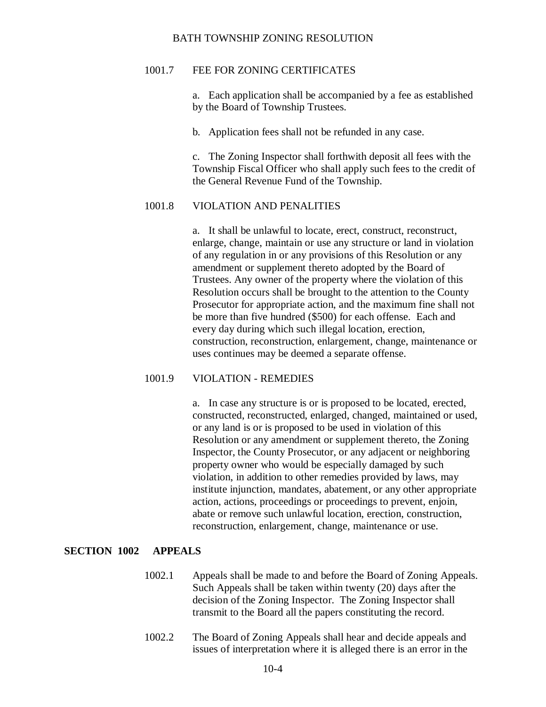#### 1001.7 FEE FOR ZONING CERTIFICATES

a. Each application shall be accompanied by a fee as established by the Board of Township Trustees.

b. Application fees shall not be refunded in any case.

c. The Zoning Inspector shall forthwith deposit all fees with the Township Fiscal Officer who shall apply such fees to the credit of the General Revenue Fund of the Township.

#### 1001.8 VIOLATION AND PENALITIES

a. It shall be unlawful to locate, erect, construct, reconstruct, enlarge, change, maintain or use any structure or land in violation of any regulation in or any provisions of this Resolution or any amendment or supplement thereto adopted by the Board of Trustees. Any owner of the property where the violation of this Resolution occurs shall be brought to the attention to the County Prosecutor for appropriate action, and the maximum fine shall not be more than five hundred (\$500) for each offense. Each and every day during which such illegal location, erection, construction, reconstruction, enlargement, change, maintenance or uses continues may be deemed a separate offense.

## 1001.9 VIOLATION - REMEDIES

a. In case any structure is or is proposed to be located, erected, constructed, reconstructed, enlarged, changed, maintained or used, or any land is or is proposed to be used in violation of this Resolution or any amendment or supplement thereto, the Zoning Inspector, the County Prosecutor, or any adjacent or neighboring property owner who would be especially damaged by such violation, in addition to other remedies provided by laws, may institute injunction, mandates, abatement, or any other appropriate action, actions, proceedings or proceedings to prevent, enjoin, abate or remove such unlawful location, erection, construction, reconstruction, enlargement, change, maintenance or use.

#### **SECTION 1002 APPEALS**

- 1002.1 Appeals shall be made to and before the Board of Zoning Appeals. Such Appeals shall be taken within twenty (20) days after the decision of the Zoning Inspector. The Zoning Inspector shall transmit to the Board all the papers constituting the record.
- 1002.2 The Board of Zoning Appeals shall hear and decide appeals and issues of interpretation where it is alleged there is an error in the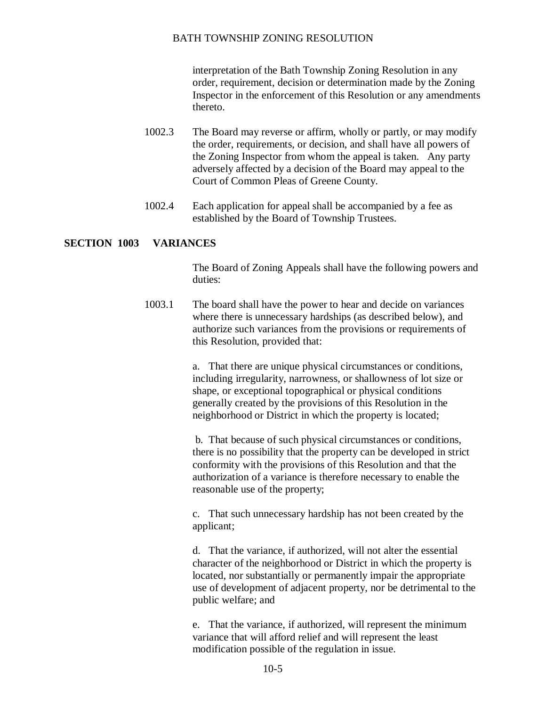interpretation of the Bath Township Zoning Resolution in any order, requirement, decision or determination made by the Zoning Inspector in the enforcement of this Resolution or any amendments thereto.

- 1002.3 The Board may reverse or affirm, wholly or partly, or may modify the order, requirements, or decision, and shall have all powers of the Zoning Inspector from whom the appeal is taken. Any party adversely affected by a decision of the Board may appeal to the Court of Common Pleas of Greene County.
- 1002.4 Each application for appeal shall be accompanied by a fee as established by the Board of Township Trustees.

#### **SECTION 1003 VARIANCES**

The Board of Zoning Appeals shall have the following powers and duties:

1003.1 The board shall have the power to hear and decide on variances where there is unnecessary hardships (as described below), and authorize such variances from the provisions or requirements of this Resolution, provided that:

> a. That there are unique physical circumstances or conditions, including irregularity, narrowness, or shallowness of lot size or shape, or exceptional topographical or physical conditions generally created by the provisions of this Resolution in the neighborhood or District in which the property is located;

b. That because of such physical circumstances or conditions, there is no possibility that the property can be developed in strict conformity with the provisions of this Resolution and that the authorization of a variance is therefore necessary to enable the reasonable use of the property;

c. That such unnecessary hardship has not been created by the applicant;

d. That the variance, if authorized, will not alter the essential character of the neighborhood or District in which the property is located, nor substantially or permanently impair the appropriate use of development of adjacent property, nor be detrimental to the public welfare; and

e. That the variance, if authorized, will represent the minimum variance that will afford relief and will represent the least modification possible of the regulation in issue.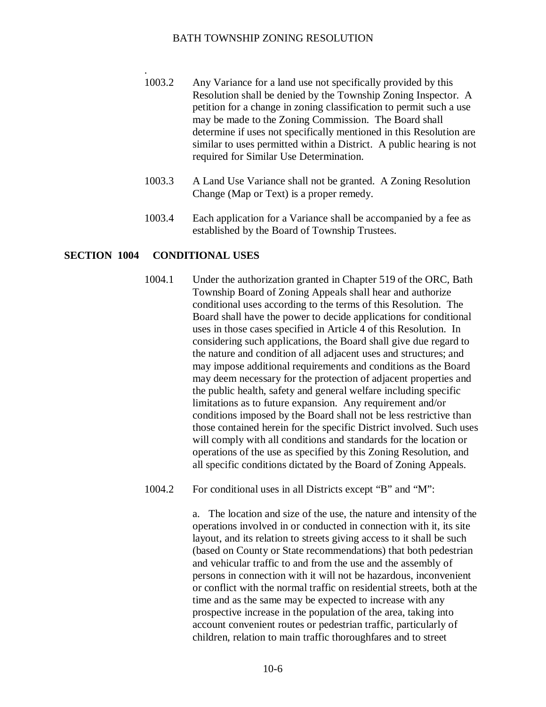- 1003.2 Any Variance for a land use not specifically provided by this Resolution shall be denied by the Township Zoning Inspector. A petition for a change in zoning classification to permit such a use may be made to the Zoning Commission. The Board shall determine if uses not specifically mentioned in this Resolution are similar to uses permitted within a District. A public hearing is not required for Similar Use Determination.
- 1003.3 A Land Use Variance shall not be granted. A Zoning Resolution Change (Map or Text) is a proper remedy.
- 1003.4 Each application for a Variance shall be accompanied by a fee as established by the Board of Township Trustees.

#### **SECTION 1004 CONDITIONAL USES**

.

- 1004.1 Under the authorization granted in Chapter 519 of the ORC, Bath Township Board of Zoning Appeals shall hear and authorize conditional uses according to the terms of this Resolution. The Board shall have the power to decide applications for conditional uses in those cases specified in Article 4 of this Resolution. In considering such applications, the Board shall give due regard to the nature and condition of all adjacent uses and structures; and may impose additional requirements and conditions as the Board may deem necessary for the protection of adjacent properties and the public health, safety and general welfare including specific limitations as to future expansion. Any requirement and/or conditions imposed by the Board shall not be less restrictive than those contained herein for the specific District involved. Such uses will comply with all conditions and standards for the location or operations of the use as specified by this Zoning Resolution, and all specific conditions dictated by the Board of Zoning Appeals.
- 1004.2 For conditional uses in all Districts except "B" and "M":

a. The location and size of the use, the nature and intensity of the operations involved in or conducted in connection with it, its site layout, and its relation to streets giving access to it shall be such (based on County or State recommendations) that both pedestrian and vehicular traffic to and from the use and the assembly of persons in connection with it will not be hazardous, inconvenient or conflict with the normal traffic on residential streets, both at the time and as the same may be expected to increase with any prospective increase in the population of the area, taking into account convenient routes or pedestrian traffic, particularly of children, relation to main traffic thoroughfares and to street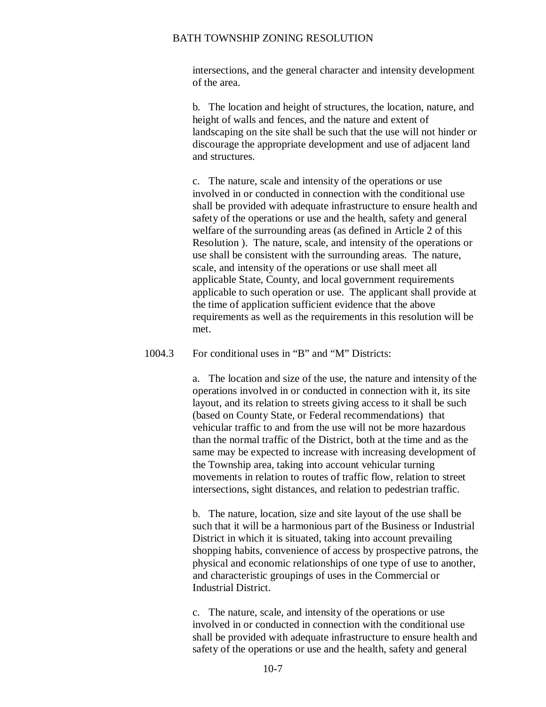intersections, and the general character and intensity development of the area.

b. The location and height of structures, the location, nature, and height of walls and fences, and the nature and extent of landscaping on the site shall be such that the use will not hinder or discourage the appropriate development and use of adjacent land and structures.

c. The nature, scale and intensity of the operations or use involved in or conducted in connection with the conditional use shall be provided with adequate infrastructure to ensure health and safety of the operations or use and the health, safety and general welfare of the surrounding areas (as defined in Article 2 of this Resolution ). The nature, scale, and intensity of the operations or use shall be consistent with the surrounding areas. The nature, scale, and intensity of the operations or use shall meet all applicable State, County, and local government requirements applicable to such operation or use. The applicant shall provide at the time of application sufficient evidence that the above requirements as well as the requirements in this resolution will be met.

#### 1004.3 For conditional uses in "B" and "M" Districts:

a. The location and size of the use, the nature and intensity of the operations involved in or conducted in connection with it, its site layout, and its relation to streets giving access to it shall be such (based on County State, or Federal recommendations) that vehicular traffic to and from the use will not be more hazardous than the normal traffic of the District, both at the time and as the same may be expected to increase with increasing development of the Township area, taking into account vehicular turning movements in relation to routes of traffic flow, relation to street intersections, sight distances, and relation to pedestrian traffic.

b. The nature, location, size and site layout of the use shall be such that it will be a harmonious part of the Business or Industrial District in which it is situated, taking into account prevailing shopping habits, convenience of access by prospective patrons, the physical and economic relationships of one type of use to another, and characteristic groupings of uses in the Commercial or Industrial District.

c. The nature, scale, and intensity of the operations or use involved in or conducted in connection with the conditional use shall be provided with adequate infrastructure to ensure health and safety of the operations or use and the health, safety and general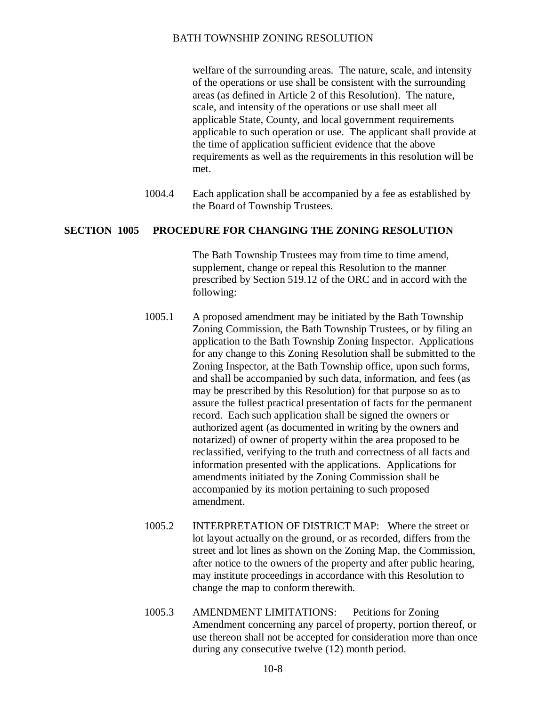welfare of the surrounding areas. The nature, scale, and intensity of the operations or use shall be consistent with the surrounding areas (as defined in Article 2 of this Resolution). The nature, scale, and intensity of the operations or use shall meet all applicable State, County, and local government requirements applicable to such operation or use. The applicant shall provide at the time of application sufficient evidence that the above requirements as well as the requirements in this resolution will be met.

1004.4 Each application shall be accompanied by a fee as established by the Board of Township Trustees.

## **SECTION 1005 PROCEDURE FOR CHANGING THE ZONING RESOLUTION**

The Bath Township Trustees may from time to time amend, supplement, change or repeal this Resolution to the manner prescribed by Section 519.12 of the ORC and in accord with the following:

- 1005.1 A proposed amendment may be initiated by the Bath Township Zoning Commission, the Bath Township Trustees, or by filing an application to the Bath Township Zoning Inspector. Applications for any change to this Zoning Resolution shall be submitted to the Zoning Inspector, at the Bath Township office, upon such forms, and shall be accompanied by such data, information, and fees (as may be prescribed by this Resolution) for that purpose so as to assure the fullest practical presentation of facts for the permanent record. Each such application shall be signed the owners or authorized agent (as documented in writing by the owners and notarized) of owner of property within the area proposed to be reclassified, verifying to the truth and correctness of all facts and information presented with the applications. Applications for amendments initiated by the Zoning Commission shall be accompanied by its motion pertaining to such proposed amendment.
- 1005.2 INTERPRETATION OF DISTRICT MAP: Where the street or lot layout actually on the ground, or as recorded, differs from the street and lot lines as shown on the Zoning Map, the Commission, after notice to the owners of the property and after public hearing, may institute proceedings in accordance with this Resolution to change the map to conform therewith.
- 1005.3 AMENDMENT LIMITATIONS: Petitions for Zoning Amendment concerning any parcel of property, portion thereof, or use thereon shall not be accepted for consideration more than once during any consecutive twelve (12) month period.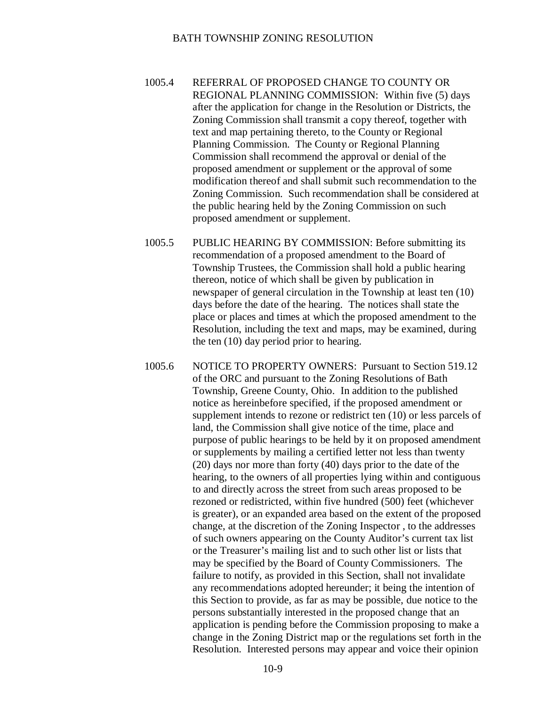- 1005.4 REFERRAL OF PROPOSED CHANGE TO COUNTY OR REGIONAL PLANNING COMMISSION: Within five (5) days after the application for change in the Resolution or Districts, the Zoning Commission shall transmit a copy thereof, together with text and map pertaining thereto, to the County or Regional Planning Commission. The County or Regional Planning Commission shall recommend the approval or denial of the proposed amendment or supplement or the approval of some modification thereof and shall submit such recommendation to the Zoning Commission. Such recommendation shall be considered at the public hearing held by the Zoning Commission on such proposed amendment or supplement.
- 1005.5 PUBLIC HEARING BY COMMISSION: Before submitting its recommendation of a proposed amendment to the Board of Township Trustees, the Commission shall hold a public hearing thereon, notice of which shall be given by publication in newspaper of general circulation in the Township at least ten (10) days before the date of the hearing. The notices shall state the place or places and times at which the proposed amendment to the Resolution, including the text and maps, may be examined, during the ten (10) day period prior to hearing.
- 1005.6 NOTICE TO PROPERTY OWNERS: Pursuant to Section 519.12 of the ORC and pursuant to the Zoning Resolutions of Bath Township, Greene County, Ohio. In addition to the published notice as hereinbefore specified, if the proposed amendment or supplement intends to rezone or redistrict ten (10) or less parcels of land, the Commission shall give notice of the time, place and purpose of public hearings to be held by it on proposed amendment or supplements by mailing a certified letter not less than twenty (20) days nor more than forty (40) days prior to the date of the hearing, to the owners of all properties lying within and contiguous to and directly across the street from such areas proposed to be rezoned or redistricted, within five hundred (500) feet (whichever is greater), or an expanded area based on the extent of the proposed change, at the discretion of the Zoning Inspector , to the addresses of such owners appearing on the County Auditor's current tax list or the Treasurer's mailing list and to such other list or lists that may be specified by the Board of County Commissioners. The failure to notify, as provided in this Section, shall not invalidate any recommendations adopted hereunder; it being the intention of this Section to provide, as far as may be possible, due notice to the persons substantially interested in the proposed change that an application is pending before the Commission proposing to make a change in the Zoning District map or the regulations set forth in the Resolution. Interested persons may appear and voice their opinion